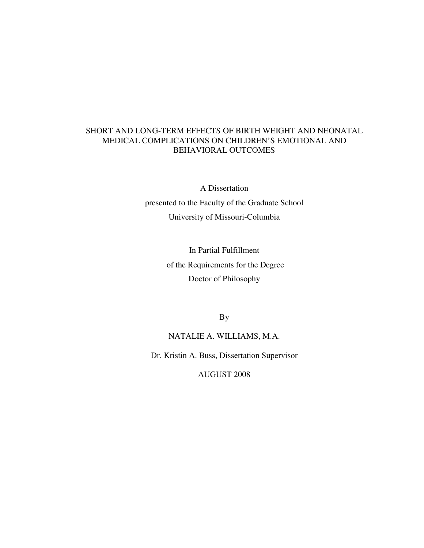## SHORT AND LONG-TERM EFFECTS OF BIRTH WEIGHT AND NEONATAL MEDICAL COMPLICATIONS ON CHILDREN'S EMOTIONAL AND BEHAVIORAL OUTCOMES

A Dissertation

 $\overline{a}$ 

 $\overline{a}$ 

 $\overline{a}$ 

presented to the Faculty of the Graduate School University of Missouri-Columbia

> In Partial Fulfillment of the Requirements for the Degree Doctor of Philosophy

> > By

NATALIE A. WILLIAMS, M.A.

Dr. Kristin A. Buss, Dissertation Supervisor

AUGUST 2008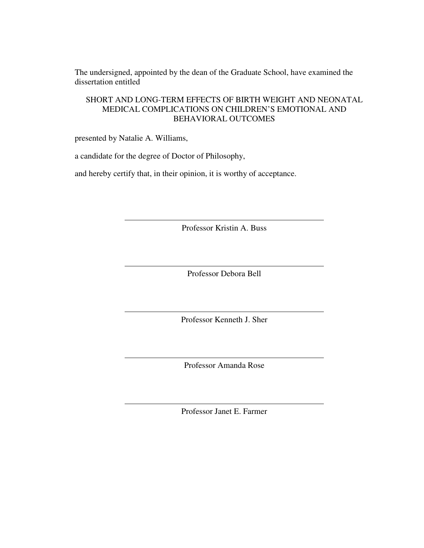The undersigned, appointed by the dean of the Graduate School, have examined the dissertation entitled

## SHORT AND LONG-TERM EFFECTS OF BIRTH WEIGHT AND NEONATAL MEDICAL COMPLICATIONS ON CHILDREN'S EMOTIONAL AND BEHAVIORAL OUTCOMES

presented by Natalie A. Williams,

a candidate for the degree of Doctor of Philosophy,

and hereby certify that, in their opinion, it is worthy of acceptance.

Professor Kristin A. Buss

Professor Debora Bell

Professor Kenneth J. Sher

Professor Amanda Rose

Professor Janet E. Farmer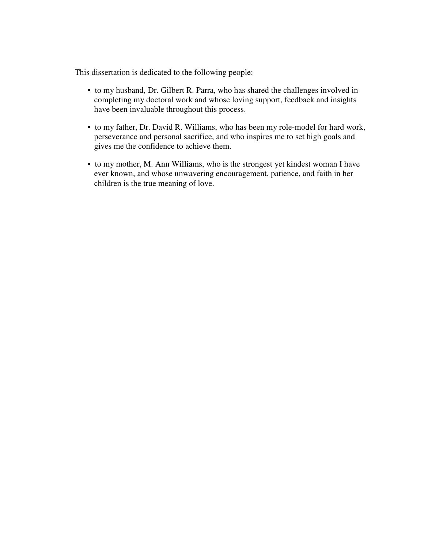This dissertation is dedicated to the following people:

- to my husband, Dr. Gilbert R. Parra, who has shared the challenges involved in completing my doctoral work and whose loving support, feedback and insights have been invaluable throughout this process.
- to my father, Dr. David R. Williams, who has been my role-model for hard work, perseverance and personal sacrifice, and who inspires me to set high goals and gives me the confidence to achieve them.
- to my mother, M. Ann Williams, who is the strongest yet kindest woman I have ever known, and whose unwavering encouragement, patience, and faith in her children is the true meaning of love.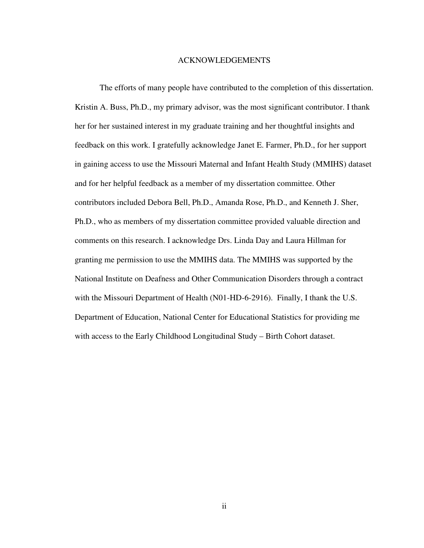#### ACKNOWLEDGEMENTS

The efforts of many people have contributed to the completion of this dissertation. Kristin A. Buss, Ph.D., my primary advisor, was the most significant contributor. I thank her for her sustained interest in my graduate training and her thoughtful insights and feedback on this work. I gratefully acknowledge Janet E. Farmer, Ph.D., for her support in gaining access to use the Missouri Maternal and Infant Health Study (MMIHS) dataset and for her helpful feedback as a member of my dissertation committee. Other contributors included Debora Bell, Ph.D., Amanda Rose, Ph.D., and Kenneth J. Sher, Ph.D., who as members of my dissertation committee provided valuable direction and comments on this research. I acknowledge Drs. Linda Day and Laura Hillman for granting me permission to use the MMIHS data. The MMIHS was supported by the National Institute on Deafness and Other Communication Disorders through a contract with the Missouri Department of Health (N01-HD-6-2916). Finally, I thank the U.S. Department of Education, National Center for Educational Statistics for providing me with access to the Early Childhood Longitudinal Study – Birth Cohort dataset.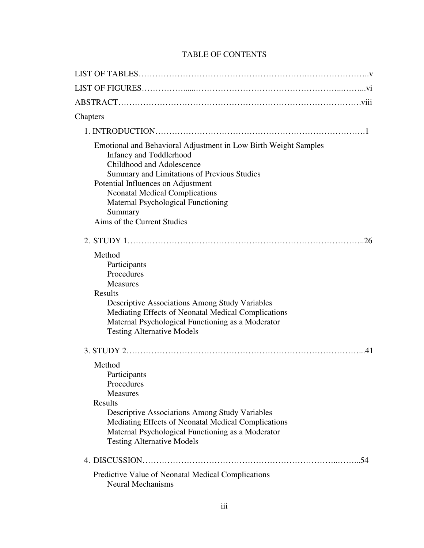# TABLE OF CONTENTS

| Chapters                                                                                                                                                                                                                                                                                                                                     |
|----------------------------------------------------------------------------------------------------------------------------------------------------------------------------------------------------------------------------------------------------------------------------------------------------------------------------------------------|
|                                                                                                                                                                                                                                                                                                                                              |
| Emotional and Behavioral Adjustment in Low Birth Weight Samples<br>Infancy and Toddlerhood<br>Childhood and Adolescence<br><b>Summary and Limitations of Previous Studies</b><br>Potential Influences on Adjustment<br><b>Neonatal Medical Complications</b><br>Maternal Psychological Functioning<br>Summary<br>Aims of the Current Studies |
| .26                                                                                                                                                                                                                                                                                                                                          |
| Method<br>Participants<br>Procedures<br><b>Measures</b><br>Results<br><b>Descriptive Associations Among Study Variables</b><br>Mediating Effects of Neonatal Medical Complications<br>Maternal Psychological Functioning as a Moderator<br><b>Testing Alternative Models</b>                                                                 |
|                                                                                                                                                                                                                                                                                                                                              |
| Method<br>Participants<br>Procedures<br><b>Measures</b><br>Results<br><b>Descriptive Associations Among Study Variables</b><br>Mediating Effects of Neonatal Medical Complications<br>Maternal Psychological Functioning as a Moderator<br><b>Testing Alternative Models</b>                                                                 |
|                                                                                                                                                                                                                                                                                                                                              |
| Predictive Value of Neonatal Medical Complications<br><b>Neural Mechanisms</b>                                                                                                                                                                                                                                                               |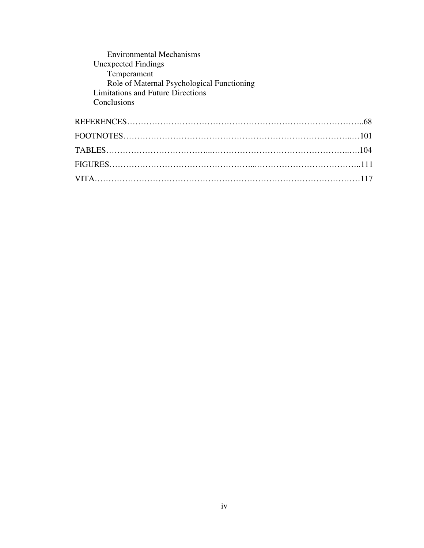| <b>Environmental Mechanisms</b>            |
|--------------------------------------------|
| <b>Unexpected Findings</b>                 |
| Temperament                                |
| Role of Maternal Psychological Functioning |
| Limitations and Future Directions          |
| Conclusions                                |
|                                            |
|                                            |
|                                            |
|                                            |
|                                            |
|                                            |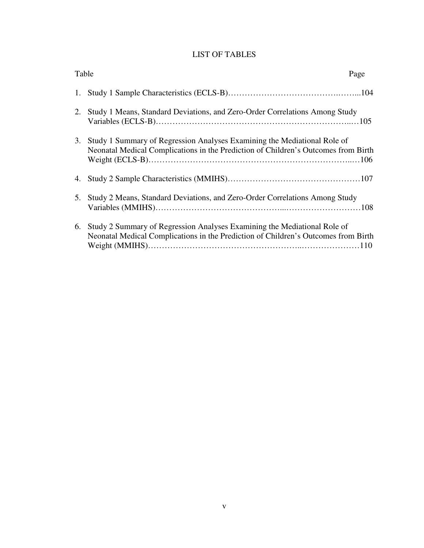# LIST OF TABLES

| Table |                                                                                                                                                                | Page |
|-------|----------------------------------------------------------------------------------------------------------------------------------------------------------------|------|
|       |                                                                                                                                                                |      |
| 2.    | Study 1 Means, Standard Deviations, and Zero-Order Correlations Among Study                                                                                    |      |
| 3.    | Study 1 Summary of Regression Analyses Examining the Mediational Role of<br>Neonatal Medical Complications in the Prediction of Children's Outcomes from Birth |      |
|       |                                                                                                                                                                |      |
| 5.    | Study 2 Means, Standard Deviations, and Zero-Order Correlations Among Study                                                                                    |      |
| 6.    | Study 2 Summary of Regression Analyses Examining the Mediational Role of<br>Neonatal Medical Complications in the Prediction of Children's Outcomes from Birth |      |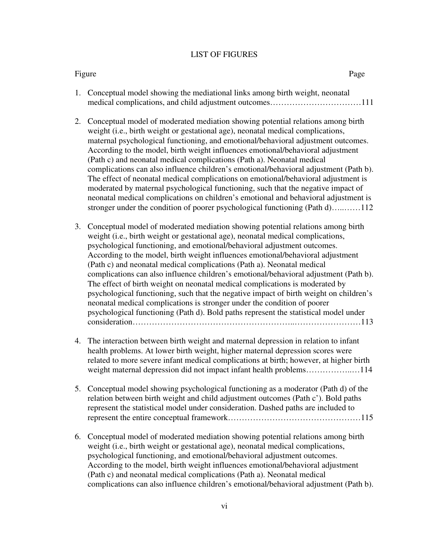#### LIST OF FIGURES

#### Figure Page

- 1. Conceptual model showing the mediational links among birth weight, neonatal medical complications, and child adjustment outcomes……………………………111
- 2. Conceptual model of moderated mediation showing potential relations among birth weight (*i.e.*, birth weight or gestational age), neonatal medical complications, maternal psychological functioning, and emotional/behavioral adjustment outcomes. According to the model, birth weight influences emotional/behavioral adjustment (Path c) and neonatal medical complications (Path a). Neonatal medical complications can also influence children's emotional/behavioral adjustment (Path b). The effect of neonatal medical complications on emotional/behavioral adjustment is moderated by maternal psychological functioning, such that the negative impact of neonatal medical complications on children's emotional and behavioral adjustment is stronger under the condition of poorer psychological functioning (Path d)…..……112
- 3. Conceptual model of moderated mediation showing potential relations among birth weight (i.e., birth weight or gestational age), neonatal medical complications, psychological functioning, and emotional/behavioral adjustment outcomes. According to the model, birth weight influences emotional/behavioral adjustment (Path c) and neonatal medical complications (Path a). Neonatal medical complications can also influence children's emotional/behavioral adjustment (Path b). The effect of birth weight on neonatal medical complications is moderated by psychological functioning, such that the negative impact of birth weight on children's neonatal medical complications is stronger under the condition of poorer psychological functioning (Path d). Bold paths represent the statistical model under consideration…………………………………………………..……………………113
- 4. The interaction between birth weight and maternal depression in relation to infant health problems. At lower birth weight, higher maternal depression scores were related to more severe infant medical complications at birth; however, at higher birth weight maternal depression did not impact infant health problems……………..…114
- 5. Conceptual model showing psychological functioning as a moderator (Path d) of the relation between birth weight and child adjustment outcomes (Path c'). Bold paths represent the statistical model under consideration. Dashed paths are included to represent the entire conceptual framework…………………………………………115
- 6. Conceptual model of moderated mediation showing potential relations among birth weight (i.e., birth weight or gestational age), neonatal medical complications, psychological functioning, and emotional/behavioral adjustment outcomes. According to the model, birth weight influences emotional/behavioral adjustment (Path c) and neonatal medical complications (Path a). Neonatal medical complications can also influence children's emotional/behavioral adjustment (Path b).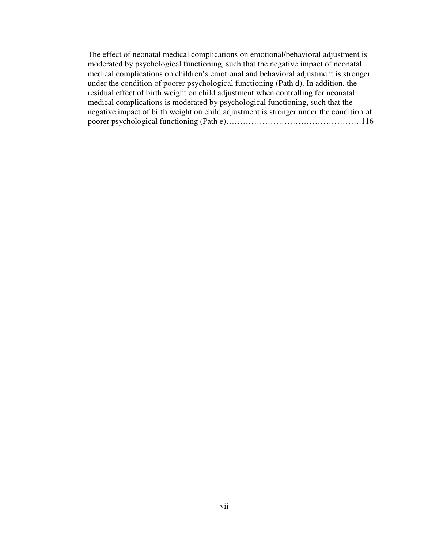The effect of neonatal medical complications on emotional/behavioral adjustment is moderated by psychological functioning, such that the negative impact of neonatal medical complications on children's emotional and behavioral adjustment is stronger under the condition of poorer psychological functioning (Path d). In addition, the residual effect of birth weight on child adjustment when controlling for neonatal medical complications is moderated by psychological functioning, such that the negative impact of birth weight on child adjustment is stronger under the condition of poorer psychological functioning (Path e)………………………………………….116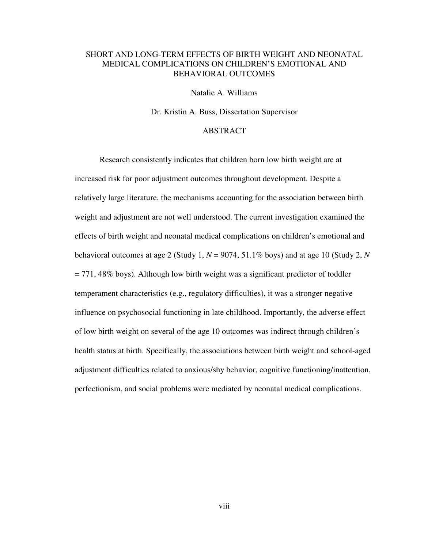## SHORT AND LONG-TERM EFFECTS OF BIRTH WEIGHT AND NEONATAL MEDICAL COMPLICATIONS ON CHILDREN'S EMOTIONAL AND BEHAVIORAL OUTCOMES

Natalie A. Williams

Dr. Kristin A. Buss, Dissertation Supervisor

## ABSTRACT

Research consistently indicates that children born low birth weight are at increased risk for poor adjustment outcomes throughout development. Despite a relatively large literature, the mechanisms accounting for the association between birth weight and adjustment are not well understood. The current investigation examined the effects of birth weight and neonatal medical complications on children's emotional and behavioral outcomes at age 2 (Study 1,  $N = 9074$ , 51.1% boys) and at age 10 (Study 2,  $N$  $= 771,48\%$  boys). Although low birth weight was a significant predictor of toddler temperament characteristics (e.g., regulatory difficulties), it was a stronger negative influence on psychosocial functioning in late childhood. Importantly, the adverse effect of low birth weight on several of the age 10 outcomes was indirect through children's health status at birth. Specifically, the associations between birth weight and school-aged adjustment difficulties related to anxious/shy behavior, cognitive functioning/inattention, perfectionism, and social problems were mediated by neonatal medical complications.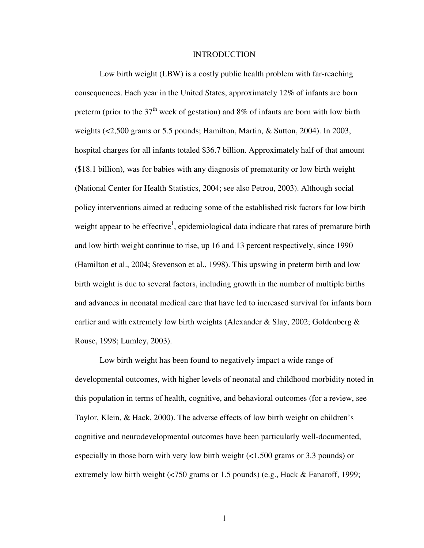#### **INTRODUCTION**

Low birth weight (LBW) is a costly public health problem with far-reaching consequences. Each year in the United States, approximately 12% of infants are born preterm (prior to the  $37<sup>th</sup>$  week of gestation) and  $8\%$  of infants are born with low birth weights (<2,500 grams or 5.5 pounds; Hamilton, Martin, & Sutton, 2004). In 2003, hospital charges for all infants totaled \$36.7 billion. Approximately half of that amount (\$18.1 billion), was for babies with any diagnosis of prematurity or low birth weight (National Center for Health Statistics, 2004; see also Petrou, 2003). Although social policy interventions aimed at reducing some of the established risk factors for low birth weight appear to be effective<sup>1</sup>, epidemiological data indicate that rates of premature birth and low birth weight continue to rise, up 16 and 13 percent respectively, since 1990 (Hamilton et al., 2004; Stevenson et al., 1998). This upswing in preterm birth and low birth weight is due to several factors, including growth in the number of multiple births and advances in neonatal medical care that have led to increased survival for infants born earlier and with extremely low birth weights (Alexander & Slay, 2002; Goldenberg  $\&$ Rouse, 1998; Lumley, 2003).

Low birth weight has been found to negatively impact a wide range of developmental outcomes, with higher levels of neonatal and childhood morbidity noted in this population in terms of health, cognitive, and behavioral outcomes (for a review, see Taylor, Klein, & Hack, 2000). The adverse effects of low birth weight on children's cognitive and neurodevelopmental outcomes have been particularly well-documented, especially in those born with very low birth weight (<1,500 grams or 3.3 pounds) or extremely low birth weight (<750 grams or 1.5 pounds) (e.g., Hack & Fanaroff, 1999;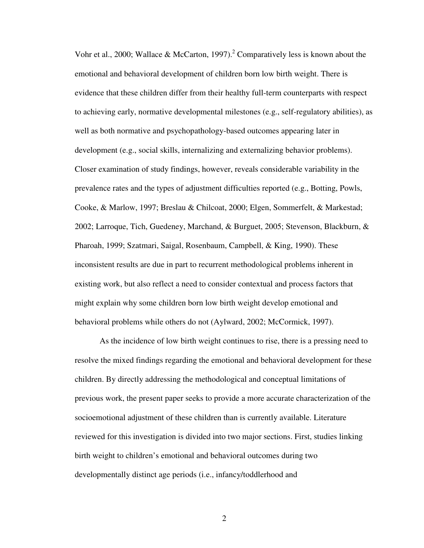Vohr et al., 2000; Wallace & McCarton, 1997).<sup>2</sup> Comparatively less is known about the emotional and behavioral development of children born low birth weight. There is evidence that these children differ from their healthy full-term counterparts with respect to achieving early, normative developmental milestones (e.g., self-regulatory abilities), as well as both normative and psychopathology-based outcomes appearing later in development (e.g., social skills, internalizing and externalizing behavior problems). Closer examination of study findings, however, reveals considerable variability in the prevalence rates and the types of adjustment difficulties reported (e.g., Botting, Powls, Cooke, & Marlow, 1997; Breslau & Chilcoat, 2000; Elgen, Sommerfelt, & Markestad; 2002; Larroque, Tich, Guedeney, Marchand, & Burguet, 2005; Stevenson, Blackburn, & Pharoah, 1999; Szatmari, Saigal, Rosenbaum, Campbell, & King, 1990). These inconsistent results are due in part to recurrent methodological problems inherent in existing work, but also reflect a need to consider contextual and process factors that might explain why some children born low birth weight develop emotional and behavioral problems while others do not (Aylward, 2002; McCormick, 1997).

As the incidence of low birth weight continues to rise, there is a pressing need to resolve the mixed findings regarding the emotional and behavioral development for these children. By directly addressing the methodological and conceptual limitations of previous work, the present paper seeks to provide a more accurate characterization of the socioemotional adjustment of these children than is currently available. Literature reviewed for this investigation is divided into two major sections. First, studies linking birth weight to children's emotional and behavioral outcomes during two developmentally distinct age periods (i.e., infancy/toddlerhood and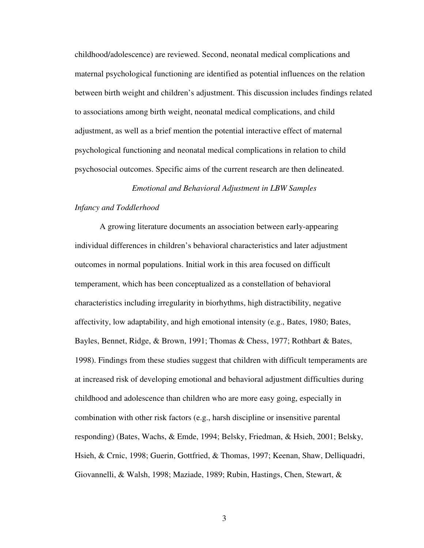childhood/adolescence) are reviewed. Second, neonatal medical complications and maternal psychological functioning are identified as potential influences on the relation between birth weight and children's adjustment. This discussion includes findings related to associations among birth weight, neonatal medical complications, and child adjustment, as well as a brief mention the potential interactive effect of maternal psychological functioning and neonatal medical complications in relation to child psychosocial outcomes. Specific aims of the current research are then delineated.

# *Emotional and Behavioral Adjustment in LBW Samples*

## *Infancy and Toddlerhood*

 A growing literature documents an association between early-appearing individual differences in children's behavioral characteristics and later adjustment outcomes in normal populations. Initial work in this area focused on difficult temperament, which has been conceptualized as a constellation of behavioral characteristics including irregularity in biorhythms, high distractibility, negative affectivity, low adaptability, and high emotional intensity (e.g., Bates, 1980; Bates, Bayles, Bennet, Ridge, & Brown, 1991; Thomas & Chess, 1977; Rothbart & Bates, 1998). Findings from these studies suggest that children with difficult temperaments are at increased risk of developing emotional and behavioral adjustment difficulties during childhood and adolescence than children who are more easy going, especially in combination with other risk factors (e.g., harsh discipline or insensitive parental responding) (Bates, Wachs, & Emde, 1994; Belsky, Friedman, & Hsieh, 2001; Belsky, Hsieh, & Crnic, 1998; Guerin, Gottfried, & Thomas, 1997; Keenan, Shaw, Delliquadri, Giovannelli, & Walsh, 1998; Maziade, 1989; Rubin, Hastings, Chen, Stewart, &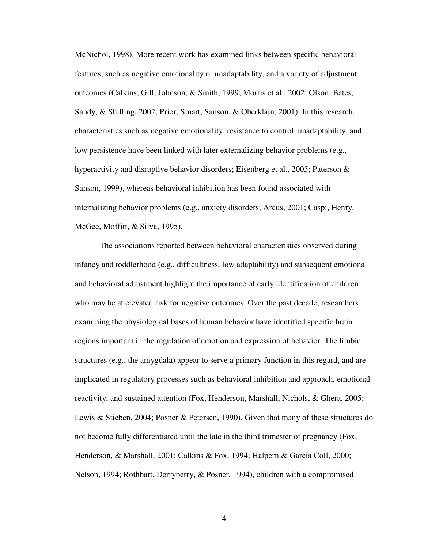McNichol, 1998). More recent work has examined links between specific behavioral features, such as negative emotionality or unadaptability, and a variety of adjustment outcomes (Calkins, Gill, Johnson, & Smith, 1999; Morris et al., 2002; Olson, Bates, Sandy, & Shilling, 2002; Prior, Smart, Sanson, & Oberklain, 2001). In this research, characteristics such as negative emotionality, resistance to control, unadaptability, and low persistence have been linked with later externalizing behavior problems (e.g., hyperactivity and disruptive behavior disorders; Eisenberg et al., 2005; Paterson & Sanson, 1999), whereas behavioral inhibition has been found associated with internalizing behavior problems (e.g., anxiety disorders; Arcus, 2001; Caspi, Henry, McGee, Moffitt, & Silva, 1995).

 The associations reported between behavioral characteristics observed during infancy and toddlerhood (e.g., difficultness, low adaptability) and subsequent emotional and behavioral adjustment highlight the importance of early identification of children who may be at elevated risk for negative outcomes. Over the past decade, researchers examining the physiological bases of human behavior have identified specific brain regions important in the regulation of emotion and expression of behavior. The limbic structures (e.g., the amygdala) appear to serve a primary function in this regard, and are implicated in regulatory processes such as behavioral inhibition and approach, emotional reactivity, and sustained attention (Fox, Henderson, Marshall, Nichols, & Ghera, 2005; Lewis & Stieben, 2004; Posner & Petersen, 1990). Given that many of these structures do not become fully differentiated until the late in the third trimester of pregnancy (Fox, Henderson, & Marshall, 2001; Calkins & Fox, 1994; Halpern & Garcia Coll, 2000; Nelson, 1994; Rothbart, Derryberry, & Posner, 1994), children with a compromised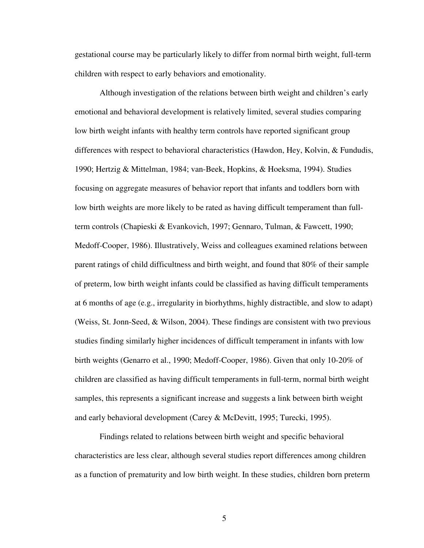gestational course may be particularly likely to differ from normal birth weight, full-term children with respect to early behaviors and emotionality.

 Although investigation of the relations between birth weight and children's early emotional and behavioral development is relatively limited, several studies comparing low birth weight infants with healthy term controls have reported significant group differences with respect to behavioral characteristics (Hawdon, Hey, Kolvin, & Fundudis, 1990; Hertzig & Mittelman, 1984; van-Beek, Hopkins, & Hoeksma, 1994). Studies focusing on aggregate measures of behavior report that infants and toddlers born with low birth weights are more likely to be rated as having difficult temperament than fullterm controls (Chapieski & Evankovich, 1997; Gennaro, Tulman, & Fawcett, 1990; Medoff-Cooper, 1986). Illustratively, Weiss and colleagues examined relations between parent ratings of child difficultness and birth weight, and found that 80% of their sample of preterm, low birth weight infants could be classified as having difficult temperaments at 6 months of age (e.g., irregularity in biorhythms, highly distractible, and slow to adapt) (Weiss, St. Jonn-Seed, & Wilson, 2004). These findings are consistent with two previous studies finding similarly higher incidences of difficult temperament in infants with low birth weights (Genarro et al., 1990; Medoff-Cooper, 1986). Given that only 10-20% of children are classified as having difficult temperaments in full-term, normal birth weight samples, this represents a significant increase and suggests a link between birth weight and early behavioral development (Carey & McDevitt, 1995; Turecki, 1995).

 Findings related to relations between birth weight and specific behavioral characteristics are less clear, although several studies report differences among children as a function of prematurity and low birth weight. In these studies, children born preterm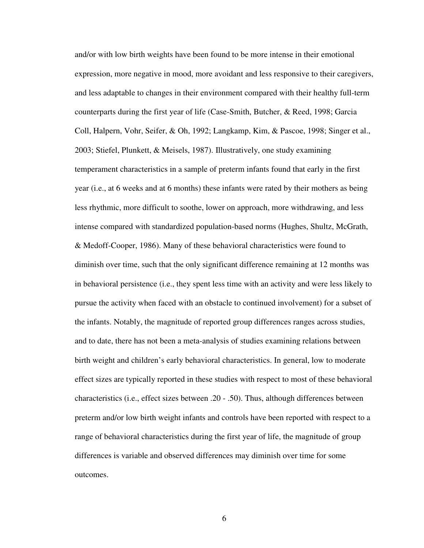and/or with low birth weights have been found to be more intense in their emotional expression, more negative in mood, more avoidant and less responsive to their caregivers, and less adaptable to changes in their environment compared with their healthy full-term counterparts during the first year of life (Case-Smith, Butcher, & Reed, 1998; Garcia Coll, Halpern, Vohr, Seifer, & Oh, 1992; Langkamp, Kim, & Pascoe, 1998; Singer et al., 2003; Stiefel, Plunkett, & Meisels, 1987). Illustratively, one study examining temperament characteristics in a sample of preterm infants found that early in the first year (i.e., at 6 weeks and at 6 months) these infants were rated by their mothers as being less rhythmic, more difficult to soothe, lower on approach, more withdrawing, and less intense compared with standardized population-based norms (Hughes, Shultz, McGrath, & Medoff-Cooper, 1986). Many of these behavioral characteristics were found to diminish over time, such that the only significant difference remaining at 12 months was in behavioral persistence (i.e., they spent less time with an activity and were less likely to pursue the activity when faced with an obstacle to continued involvement) for a subset of the infants. Notably, the magnitude of reported group differences ranges across studies, and to date, there has not been a meta-analysis of studies examining relations between birth weight and children's early behavioral characteristics. In general, low to moderate effect sizes are typically reported in these studies with respect to most of these behavioral characteristics (i.e., effect sizes between .20 - .50). Thus, although differences between preterm and/or low birth weight infants and controls have been reported with respect to a range of behavioral characteristics during the first year of life, the magnitude of group differences is variable and observed differences may diminish over time for some outcomes.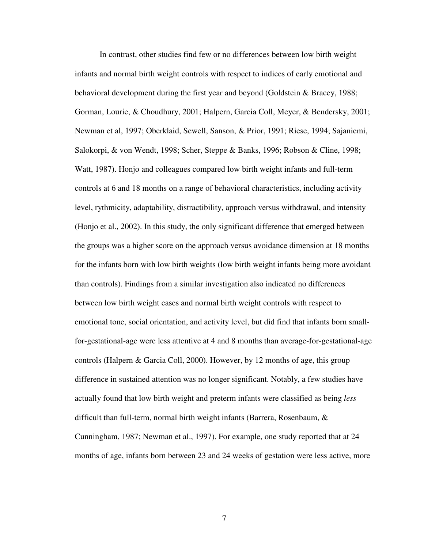In contrast, other studies find few or no differences between low birth weight infants and normal birth weight controls with respect to indices of early emotional and behavioral development during the first year and beyond (Goldstein & Bracey, 1988; Gorman, Lourie, & Choudhury, 2001; Halpern, Garcia Coll, Meyer, & Bendersky, 2001; Newman et al, 1997; Oberklaid, Sewell, Sanson, & Prior, 1991; Riese, 1994; Sajaniemi, Salokorpi, & von Wendt, 1998; Scher, Steppe & Banks, 1996; Robson & Cline, 1998; Watt, 1987). Honjo and colleagues compared low birth weight infants and full-term controls at 6 and 18 months on a range of behavioral characteristics, including activity level, rythmicity, adaptability, distractibility, approach versus withdrawal, and intensity (Honjo et al., 2002). In this study, the only significant difference that emerged between the groups was a higher score on the approach versus avoidance dimension at 18 months for the infants born with low birth weights (low birth weight infants being more avoidant than controls). Findings from a similar investigation also indicated no differences between low birth weight cases and normal birth weight controls with respect to emotional tone, social orientation, and activity level, but did find that infants born smallfor-gestational-age were less attentive at 4 and 8 months than average-for-gestational-age controls (Halpern & Garcia Coll, 2000). However, by 12 months of age, this group difference in sustained attention was no longer significant. Notably, a few studies have actually found that low birth weight and preterm infants were classified as being *less* difficult than full-term, normal birth weight infants (Barrera, Rosenbaum, & Cunningham, 1987; Newman et al., 1997). For example, one study reported that at 24 months of age, infants born between 23 and 24 weeks of gestation were less active, more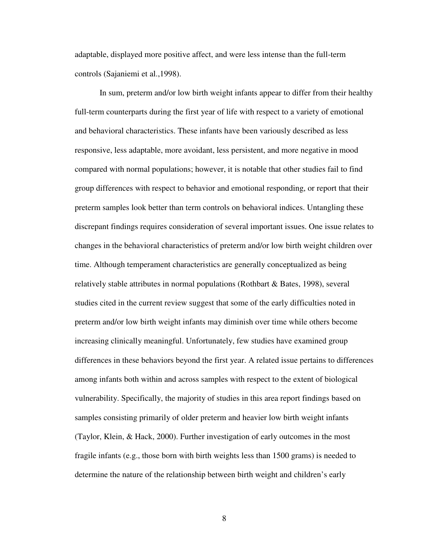adaptable, displayed more positive affect, and were less intense than the full-term controls (Sajaniemi et al.,1998).

In sum, preterm and/or low birth weight infants appear to differ from their healthy full-term counterparts during the first year of life with respect to a variety of emotional and behavioral characteristics. These infants have been variously described as less responsive, less adaptable, more avoidant, less persistent, and more negative in mood compared with normal populations; however, it is notable that other studies fail to find group differences with respect to behavior and emotional responding, or report that their preterm samples look better than term controls on behavioral indices. Untangling these discrepant findings requires consideration of several important issues. One issue relates to changes in the behavioral characteristics of preterm and/or low birth weight children over time. Although temperament characteristics are generally conceptualized as being relatively stable attributes in normal populations (Rothbart & Bates, 1998), several studies cited in the current review suggest that some of the early difficulties noted in preterm and/or low birth weight infants may diminish over time while others become increasing clinically meaningful. Unfortunately, few studies have examined group differences in these behaviors beyond the first year. A related issue pertains to differences among infants both within and across samples with respect to the extent of biological vulnerability. Specifically, the majority of studies in this area report findings based on samples consisting primarily of older preterm and heavier low birth weight infants (Taylor, Klein, & Hack, 2000). Further investigation of early outcomes in the most fragile infants (e.g., those born with birth weights less than 1500 grams) is needed to determine the nature of the relationship between birth weight and children's early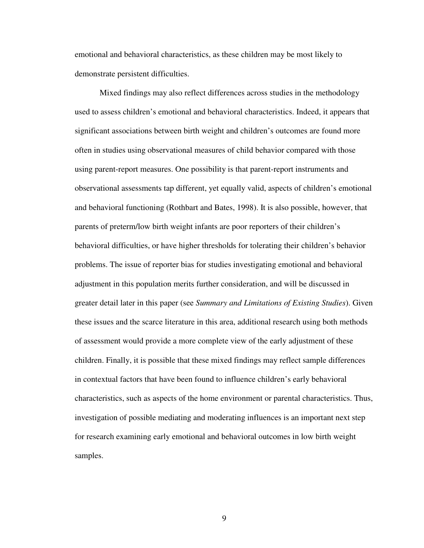emotional and behavioral characteristics, as these children may be most likely to demonstrate persistent difficulties.

Mixed findings may also reflect differences across studies in the methodology used to assess children's emotional and behavioral characteristics. Indeed, it appears that significant associations between birth weight and children's outcomes are found more often in studies using observational measures of child behavior compared with those using parent-report measures. One possibility is that parent-report instruments and observational assessments tap different, yet equally valid, aspects of children's emotional and behavioral functioning (Rothbart and Bates, 1998). It is also possible, however, that parents of preterm/low birth weight infants are poor reporters of their children's behavioral difficulties, or have higher thresholds for tolerating their children's behavior problems. The issue of reporter bias for studies investigating emotional and behavioral adjustment in this population merits further consideration, and will be discussed in greater detail later in this paper (see *Summary and Limitations of Existing Studies*). Given these issues and the scarce literature in this area, additional research using both methods of assessment would provide a more complete view of the early adjustment of these children. Finally, it is possible that these mixed findings may reflect sample differences in contextual factors that have been found to influence children's early behavioral characteristics, such as aspects of the home environment or parental characteristics. Thus, investigation of possible mediating and moderating influences is an important next step for research examining early emotional and behavioral outcomes in low birth weight samples.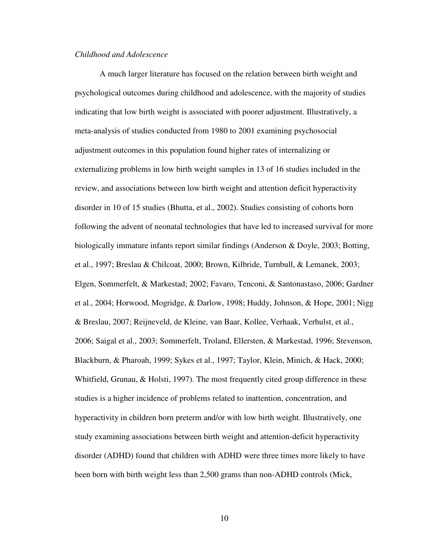## *Childhood and Adolescence*

A much larger literature has focused on the relation between birth weight and psychological outcomes during childhood and adolescence, with the majority of studies indicating that low birth weight is associated with poorer adjustment. Illustratively, a meta-analysis of studies conducted from 1980 to 2001 examining psychosocial adjustment outcomes in this population found higher rates of internalizing or externalizing problems in low birth weight samples in 13 of 16 studies included in the review, and associations between low birth weight and attention deficit hyperactivity disorder in 10 of 15 studies (Bhutta, et al., 2002). Studies consisting of cohorts born following the advent of neonatal technologies that have led to increased survival for more biologically immature infants report similar findings (Anderson & Doyle, 2003; Botting, et al., 1997; Breslau & Chilcoat, 2000; Brown, Kilbride, Turnbull, & Lemanek, 2003; Elgen, Sommerfelt, & Markestad; 2002; Favaro, Tenconi, & Santonastaso, 2006; Gardner et al., 2004; Horwood, Mogridge, & Darlow, 1998; Huddy, Johnson, & Hope, 2001; Nigg & Breslau, 2007; Reijneveld, de Kleine, van Baar, Kollee, Verhaak, Verhulst, et al., 2006; Saigal et al., 2003; Sommerfelt, Troland, Ellersten, & Markestad, 1996; Stevenson, Blackburn, & Pharoah, 1999; Sykes et al., 1997; Taylor, Klein, Minich, & Hack, 2000; Whitfield, Grunau, & Holsti, 1997). The most frequently cited group difference in these studies is a higher incidence of problems related to inattention, concentration, and hyperactivity in children born preterm and/or with low birth weight. Illustratively, one study examining associations between birth weight and attention-deficit hyperactivity disorder (ADHD) found that children with ADHD were three times more likely to have been born with birth weight less than 2,500 grams than non-ADHD controls (Mick,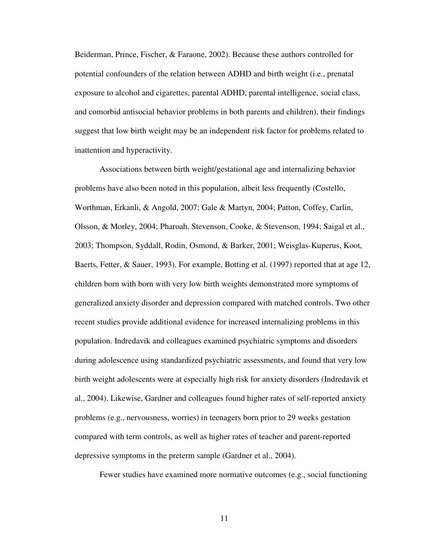Beiderman, Prince, Fischer, & Faraone, 2002). Because these authors controlled for potential confounders of the relation between ADHD and birth weight (i.e., prenatal exposure to alcohol and cigarettes, parental ADHD, parental intelligence, social class, and comorbid antisocial behavior problems in both parents and children), their findings suggest that low birth weight may be an independent risk factor for problems related to inattention and hyperactivity.

Associations between birth weight/gestational age and internalizing behavior problems have also been noted in this population, albeit less frequently (Costello, Worthman, Erkanli, & Angold, 2007; Gale & Martyn, 2004; Patton, Coffey, Carlin, Olsson, & Morley, 2004; Pharoah, Stevenson, Cooke, & Stevenson, 1994; Saigal et al., 2003; Thompson, Syddall, Rodin, Osmond, & Barker, 2001; Weisglas-Kuperus, Koot, Baerts, Fetter, & Sauer, 1993). For example, Botting et al. (1997) reported that at age 12, children born with born with very low birth weights demonstrated more symptoms of generalized anxiety disorder and depression compared with matched controls. Two other recent studies provide additional evidence for increased internalizing problems in this population. Indredavik and colleagues examined psychiatric symptoms and disorders during adolescence using standardized psychiatric assessments, and found that very low birth weight adolescents were at especially high risk for anxiety disorders (Indredavik et al., 2004). Likewise, Gardner and colleagues found higher rates of self-reported anxiety problems (e.g., nervousness, worries) in teenagers born prior to 29 weeks gestation compared with term controls, as well as higher rates of teacher and parent-reported depressive symptoms in the preterm sample (Gardner et al., 2004).

Fewer studies have examined more normative outcomes (e.g., social functioning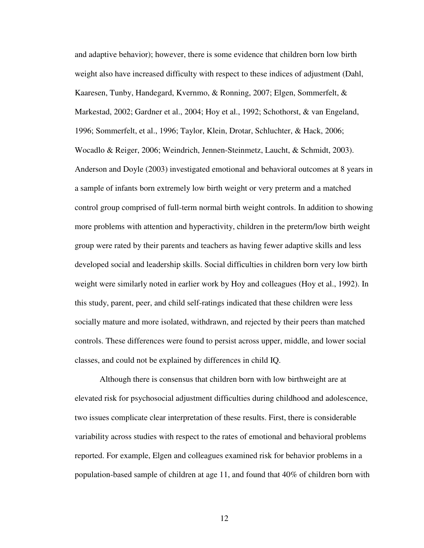and adaptive behavior); however, there is some evidence that children born low birth weight also have increased difficulty with respect to these indices of adjustment (Dahl, Kaaresen, Tunby, Handegard, Kvernmo, & Ronning, 2007; Elgen, Sommerfelt, & Markestad, 2002; Gardner et al., 2004; Hoy et al., 1992; Schothorst, & van Engeland, 1996; Sommerfelt, et al., 1996; Taylor, Klein, Drotar, Schluchter, & Hack, 2006; Wocadlo & Reiger, 2006; Weindrich, Jennen-Steinmetz, Laucht, & Schmidt, 2003). Anderson and Doyle (2003) investigated emotional and behavioral outcomes at 8 years in a sample of infants born extremely low birth weight or very preterm and a matched control group comprised of full-term normal birth weight controls. In addition to showing more problems with attention and hyperactivity, children in the preterm/low birth weight group were rated by their parents and teachers as having fewer adaptive skills and less developed social and leadership skills. Social difficulties in children born very low birth weight were similarly noted in earlier work by Hoy and colleagues (Hoy et al., 1992). In this study, parent, peer, and child self-ratings indicated that these children were less socially mature and more isolated, withdrawn, and rejected by their peers than matched controls. These differences were found to persist across upper, middle, and lower social classes, and could not be explained by differences in child IQ.

Although there is consensus that children born with low birthweight are at elevated risk for psychosocial adjustment difficulties during childhood and adolescence, two issues complicate clear interpretation of these results. First, there is considerable variability across studies with respect to the rates of emotional and behavioral problems reported. For example, Elgen and colleagues examined risk for behavior problems in a population-based sample of children at age 11, and found that 40% of children born with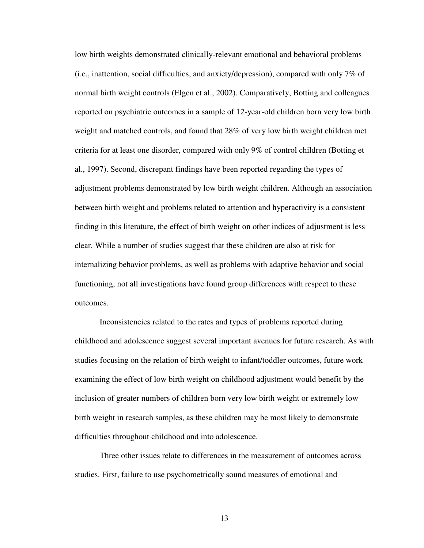low birth weights demonstrated clinically-relevant emotional and behavioral problems (i.e., inattention, social difficulties, and anxiety/depression), compared with only 7% of normal birth weight controls (Elgen et al., 2002). Comparatively, Botting and colleagues reported on psychiatric outcomes in a sample of 12-year-old children born very low birth weight and matched controls, and found that 28% of very low birth weight children met criteria for at least one disorder, compared with only 9% of control children (Botting et al., 1997). Second, discrepant findings have been reported regarding the types of adjustment problems demonstrated by low birth weight children. Although an association between birth weight and problems related to attention and hyperactivity is a consistent finding in this literature, the effect of birth weight on other indices of adjustment is less clear. While a number of studies suggest that these children are also at risk for internalizing behavior problems, as well as problems with adaptive behavior and social functioning, not all investigations have found group differences with respect to these outcomes.

Inconsistencies related to the rates and types of problems reported during childhood and adolescence suggest several important avenues for future research. As with studies focusing on the relation of birth weight to infant/toddler outcomes, future work examining the effect of low birth weight on childhood adjustment would benefit by the inclusion of greater numbers of children born very low birth weight or extremely low birth weight in research samples, as these children may be most likely to demonstrate difficulties throughout childhood and into adolescence.

Three other issues relate to differences in the measurement of outcomes across studies. First, failure to use psychometrically sound measures of emotional and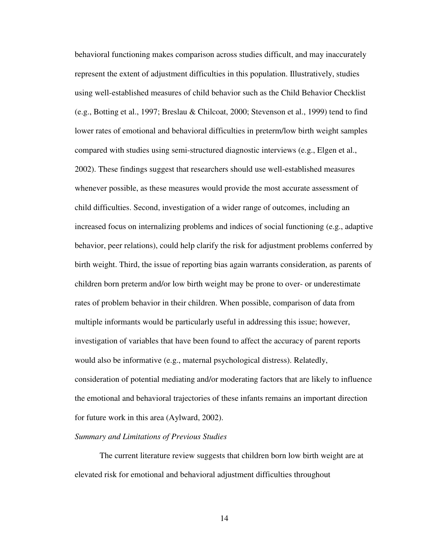behavioral functioning makes comparison across studies difficult, and may inaccurately represent the extent of adjustment difficulties in this population. Illustratively, studies using well-established measures of child behavior such as the Child Behavior Checklist (e.g., Botting et al., 1997; Breslau & Chilcoat, 2000; Stevenson et al., 1999) tend to find lower rates of emotional and behavioral difficulties in preterm/low birth weight samples compared with studies using semi-structured diagnostic interviews (e.g., Elgen et al., 2002). These findings suggest that researchers should use well-established measures whenever possible, as these measures would provide the most accurate assessment of child difficulties. Second, investigation of a wider range of outcomes, including an increased focus on internalizing problems and indices of social functioning (e.g., adaptive behavior, peer relations), could help clarify the risk for adjustment problems conferred by birth weight. Third, the issue of reporting bias again warrants consideration, as parents of children born preterm and/or low birth weight may be prone to over- or underestimate rates of problem behavior in their children. When possible, comparison of data from multiple informants would be particularly useful in addressing this issue; however, investigation of variables that have been found to affect the accuracy of parent reports would also be informative (e.g., maternal psychological distress). Relatedly, consideration of potential mediating and/or moderating factors that are likely to influence the emotional and behavioral trajectories of these infants remains an important direction for future work in this area (Aylward, 2002).

#### *Summary and Limitations of Previous Studies*

The current literature review suggests that children born low birth weight are at elevated risk for emotional and behavioral adjustment difficulties throughout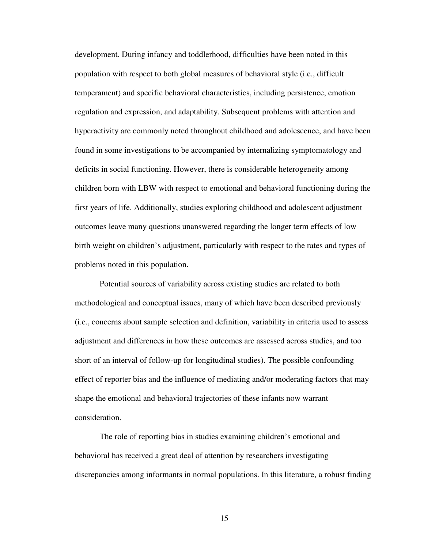development. During infancy and toddlerhood, difficulties have been noted in this population with respect to both global measures of behavioral style (i.e., difficult temperament) and specific behavioral characteristics, including persistence, emotion regulation and expression, and adaptability. Subsequent problems with attention and hyperactivity are commonly noted throughout childhood and adolescence, and have been found in some investigations to be accompanied by internalizing symptomatology and deficits in social functioning. However, there is considerable heterogeneity among children born with LBW with respect to emotional and behavioral functioning during the first years of life. Additionally, studies exploring childhood and adolescent adjustment outcomes leave many questions unanswered regarding the longer term effects of low birth weight on children's adjustment, particularly with respect to the rates and types of problems noted in this population.

Potential sources of variability across existing studies are related to both methodological and conceptual issues, many of which have been described previously (i.e., concerns about sample selection and definition, variability in criteria used to assess adjustment and differences in how these outcomes are assessed across studies, and too short of an interval of follow-up for longitudinal studies). The possible confounding effect of reporter bias and the influence of mediating and/or moderating factors that may shape the emotional and behavioral trajectories of these infants now warrant consideration.

The role of reporting bias in studies examining children's emotional and behavioral has received a great deal of attention by researchers investigating discrepancies among informants in normal populations. In this literature, a robust finding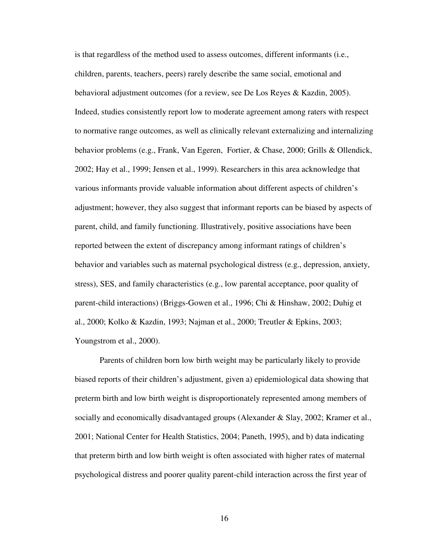is that regardless of the method used to assess outcomes, different informants (i.e., children, parents, teachers, peers) rarely describe the same social, emotional and behavioral adjustment outcomes (for a review, see De Los Reyes & Kazdin, 2005). Indeed, studies consistently report low to moderate agreement among raters with respect to normative range outcomes, as well as clinically relevant externalizing and internalizing behavior problems (e.g., Frank, Van Egeren, Fortier, & Chase, 2000; Grills & Ollendick, 2002; Hay et al., 1999; Jensen et al., 1999). Researchers in this area acknowledge that various informants provide valuable information about different aspects of children's adjustment; however, they also suggest that informant reports can be biased by aspects of parent, child, and family functioning. Illustratively, positive associations have been reported between the extent of discrepancy among informant ratings of children's behavior and variables such as maternal psychological distress (e.g., depression, anxiety, stress), SES, and family characteristics (e.g., low parental acceptance, poor quality of parent-child interactions) (Briggs-Gowen et al., 1996; Chi & Hinshaw, 2002; Duhig et al., 2000; Kolko & Kazdin, 1993; Najman et al., 2000; Treutler & Epkins, 2003; Youngstrom et al., 2000).

Parents of children born low birth weight may be particularly likely to provide biased reports of their children's adjustment, given a) epidemiological data showing that preterm birth and low birth weight is disproportionately represented among members of socially and economically disadvantaged groups (Alexander & Slay, 2002; Kramer et al., 2001; National Center for Health Statistics, 2004; Paneth, 1995), and b) data indicating that preterm birth and low birth weight is often associated with higher rates of maternal psychological distress and poorer quality parent-child interaction across the first year of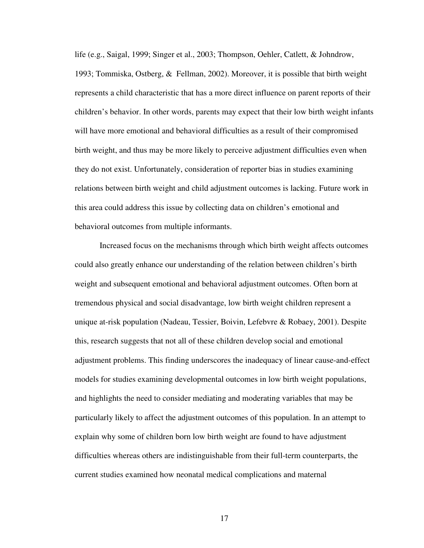life (e.g., Saigal, 1999; Singer et al., 2003; Thompson, Oehler, Catlett, & Johndrow, 1993; Tommiska, Ostberg, & Fellman, 2002). Moreover, it is possible that birth weight represents a child characteristic that has a more direct influence on parent reports of their children's behavior. In other words, parents may expect that their low birth weight infants will have more emotional and behavioral difficulties as a result of their compromised birth weight, and thus may be more likely to perceive adjustment difficulties even when they do not exist. Unfortunately, consideration of reporter bias in studies examining relations between birth weight and child adjustment outcomes is lacking. Future work in this area could address this issue by collecting data on children's emotional and behavioral outcomes from multiple informants.

 Increased focus on the mechanisms through which birth weight affects outcomes could also greatly enhance our understanding of the relation between children's birth weight and subsequent emotional and behavioral adjustment outcomes. Often born at tremendous physical and social disadvantage, low birth weight children represent a unique at-risk population (Nadeau, Tessier, Boivin, Lefebvre & Robaey, 2001). Despite this, research suggests that not all of these children develop social and emotional adjustment problems. This finding underscores the inadequacy of linear cause-and-effect models for studies examining developmental outcomes in low birth weight populations, and highlights the need to consider mediating and moderating variables that may be particularly likely to affect the adjustment outcomes of this population. In an attempt to explain why some of children born low birth weight are found to have adjustment difficulties whereas others are indistinguishable from their full-term counterparts, the current studies examined how neonatal medical complications and maternal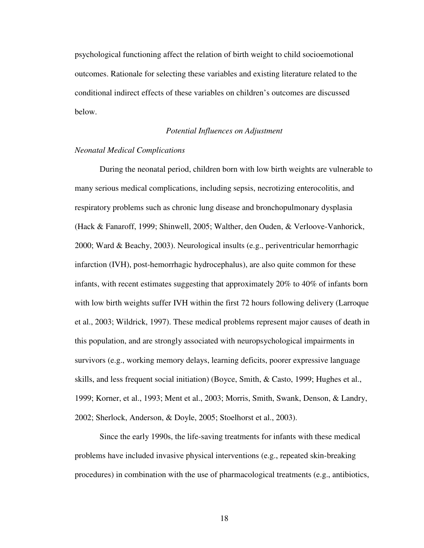psychological functioning affect the relation of birth weight to child socioemotional outcomes. Rationale for selecting these variables and existing literature related to the conditional indirect effects of these variables on children's outcomes are discussed below.

#### *Potential Influences on Adjustment*

#### *Neonatal Medical Complications*

 During the neonatal period, children born with low birth weights are vulnerable to many serious medical complications, including sepsis, necrotizing enterocolitis, and respiratory problems such as chronic lung disease and bronchopulmonary dysplasia (Hack & Fanaroff, 1999; Shinwell, 2005; Walther, den Ouden, & Verloove-Vanhorick, 2000; Ward & Beachy, 2003). Neurological insults (e.g., periventricular hemorrhagic infarction (IVH), post-hemorrhagic hydrocephalus), are also quite common for these infants, with recent estimates suggesting that approximately 20% to 40% of infants born with low birth weights suffer IVH within the first 72 hours following delivery (Larroque et al., 2003; Wildrick, 1997). These medical problems represent major causes of death in this population, and are strongly associated with neuropsychological impairments in survivors (e.g., working memory delays, learning deficits, poorer expressive language skills, and less frequent social initiation) (Boyce, Smith, & Casto, 1999; Hughes et al., 1999; Korner, et al., 1993; Ment et al., 2003; Morris, Smith, Swank, Denson, & Landry, 2002; Sherlock, Anderson, & Doyle, 2005; Stoelhorst et al., 2003).

 Since the early 1990s, the life-saving treatments for infants with these medical problems have included invasive physical interventions (e.g., repeated skin-breaking procedures) in combination with the use of pharmacological treatments (e.g., antibiotics,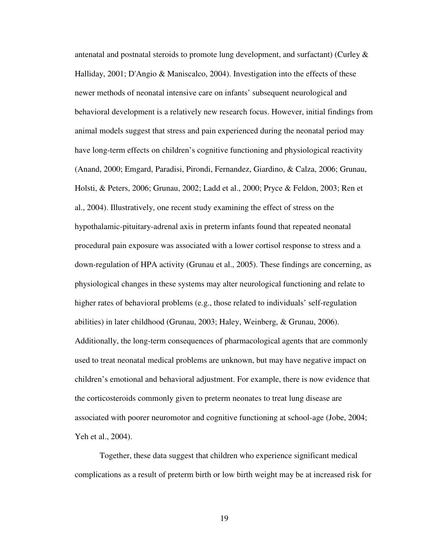antenatal and postnatal steroids to promote lung development, and surfactant) (Curley & Halliday, 2001; D'Angio & Maniscalco, 2004). Investigation into the effects of these newer methods of neonatal intensive care on infants' subsequent neurological and behavioral development is a relatively new research focus. However, initial findings from animal models suggest that stress and pain experienced during the neonatal period may have long-term effects on children's cognitive functioning and physiological reactivity (Anand, 2000; Emgard, Paradisi, Pirondi, Fernandez, Giardino, & Calza, 2006; Grunau, Holsti, & Peters, 2006; Grunau, 2002; Ladd et al., 2000; Pryce & Feldon, 2003; Ren et al., 2004). Illustratively, one recent study examining the effect of stress on the hypothalamic-pituitary-adrenal axis in preterm infants found that repeated neonatal procedural pain exposure was associated with a lower cortisol response to stress and a down-regulation of HPA activity (Grunau et al., 2005). These findings are concerning, as physiological changes in these systems may alter neurological functioning and relate to higher rates of behavioral problems (e.g., those related to individuals' self-regulation abilities) in later childhood (Grunau, 2003; Haley, Weinberg, & Grunau, 2006). Additionally, the long-term consequences of pharmacological agents that are commonly used to treat neonatal medical problems are unknown, but may have negative impact on children's emotional and behavioral adjustment. For example, there is now evidence that the corticosteroids commonly given to preterm neonates to treat lung disease are associated with poorer neuromotor and cognitive functioning at school-age (Jobe, 2004; Yeh et al., 2004).

Together, these data suggest that children who experience significant medical complications as a result of preterm birth or low birth weight may be at increased risk for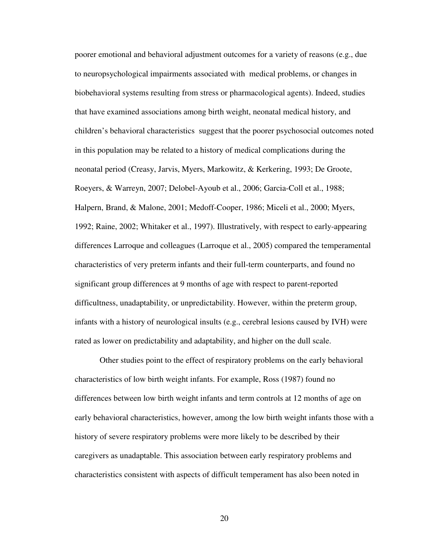poorer emotional and behavioral adjustment outcomes for a variety of reasons (e.g., due to neuropsychological impairments associated with medical problems, or changes in biobehavioral systems resulting from stress or pharmacological agents). Indeed, studies that have examined associations among birth weight, neonatal medical history, and children's behavioral characteristics suggest that the poorer psychosocial outcomes noted in this population may be related to a history of medical complications during the neonatal period (Creasy, Jarvis, Myers, Markowitz, & Kerkering, 1993; De Groote, Roeyers, & Warreyn, 2007; Delobel-Ayoub et al., 2006; Garcia-Coll et al., 1988; Halpern, Brand, & Malone, 2001; Medoff-Cooper, 1986; Miceli et al., 2000; Myers, 1992; Raine, 2002; Whitaker et al., 1997). Illustratively, with respect to early-appearing differences Larroque and colleagues (Larroque et al., 2005) compared the temperamental characteristics of very preterm infants and their full-term counterparts, and found no significant group differences at 9 months of age with respect to parent-reported difficultness, unadaptability, or unpredictability. However, within the preterm group, infants with a history of neurological insults (e.g., cerebral lesions caused by IVH) were rated as lower on predictability and adaptability, and higher on the dull scale.

Other studies point to the effect of respiratory problems on the early behavioral characteristics of low birth weight infants. For example, Ross (1987) found no differences between low birth weight infants and term controls at 12 months of age on early behavioral characteristics, however, among the low birth weight infants those with a history of severe respiratory problems were more likely to be described by their caregivers as unadaptable. This association between early respiratory problems and characteristics consistent with aspects of difficult temperament has also been noted in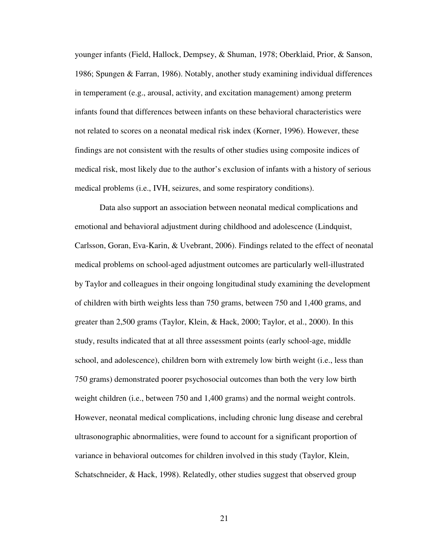younger infants (Field, Hallock, Dempsey, & Shuman, 1978; Oberklaid, Prior, & Sanson, 1986; Spungen & Farran, 1986). Notably, another study examining individual differences in temperament (e.g., arousal, activity, and excitation management) among preterm infants found that differences between infants on these behavioral characteristics were not related to scores on a neonatal medical risk index (Korner, 1996). However, these findings are not consistent with the results of other studies using composite indices of medical risk, most likely due to the author's exclusion of infants with a history of serious medical problems (i.e., IVH, seizures, and some respiratory conditions).

Data also support an association between neonatal medical complications and emotional and behavioral adjustment during childhood and adolescence (Lindquist, Carlsson, Goran, Eva-Karin, & Uvebrant, 2006). Findings related to the effect of neonatal medical problems on school-aged adjustment outcomes are particularly well-illustrated by Taylor and colleagues in their ongoing longitudinal study examining the development of children with birth weights less than 750 grams, between 750 and 1,400 grams, and greater than 2,500 grams (Taylor, Klein, & Hack, 2000; Taylor, et al., 2000). In this study, results indicated that at all three assessment points (early school-age, middle school, and adolescence), children born with extremely low birth weight (i.e., less than 750 grams) demonstrated poorer psychosocial outcomes than both the very low birth weight children (i.e., between 750 and 1,400 grams) and the normal weight controls. However, neonatal medical complications, including chronic lung disease and cerebral ultrasonographic abnormalities, were found to account for a significant proportion of variance in behavioral outcomes for children involved in this study (Taylor, Klein, Schatschneider, & Hack, 1998). Relatedly, other studies suggest that observed group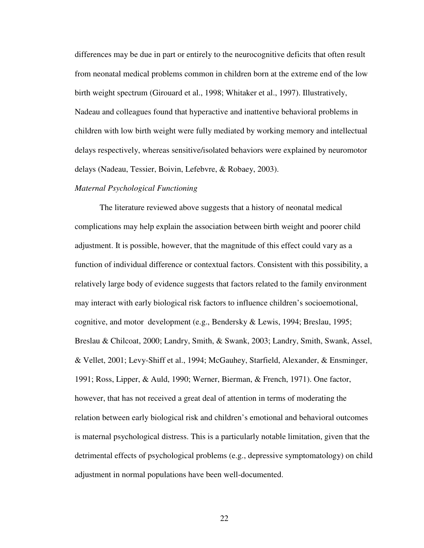differences may be due in part or entirely to the neurocognitive deficits that often result from neonatal medical problems common in children born at the extreme end of the low birth weight spectrum (Girouard et al., 1998; Whitaker et al., 1997). Illustratively, Nadeau and colleagues found that hyperactive and inattentive behavioral problems in children with low birth weight were fully mediated by working memory and intellectual delays respectively, whereas sensitive/isolated behaviors were explained by neuromotor delays (Nadeau, Tessier, Boivin, Lefebvre, & Robaey, 2003).

#### *Maternal Psychological Functioning*

The literature reviewed above suggests that a history of neonatal medical complications may help explain the association between birth weight and poorer child adjustment. It is possible, however, that the magnitude of this effect could vary as a function of individual difference or contextual factors. Consistent with this possibility, a relatively large body of evidence suggests that factors related to the family environment may interact with early biological risk factors to influence children's socioemotional, cognitive, and motor development (e.g., Bendersky & Lewis, 1994; Breslau, 1995; Breslau & Chilcoat, 2000; Landry, Smith, & Swank, 2003; Landry, Smith, Swank, Assel, & Vellet, 2001; Levy-Shiff et al., 1994; McGauhey, Starfield, Alexander, & Ensminger, 1991; Ross, Lipper, & Auld, 1990; Werner, Bierman, & French, 1971). One factor, however, that has not received a great deal of attention in terms of moderating the relation between early biological risk and children's emotional and behavioral outcomes is maternal psychological distress. This is a particularly notable limitation, given that the detrimental effects of psychological problems (e.g., depressive symptomatology) on child adjustment in normal populations have been well-documented.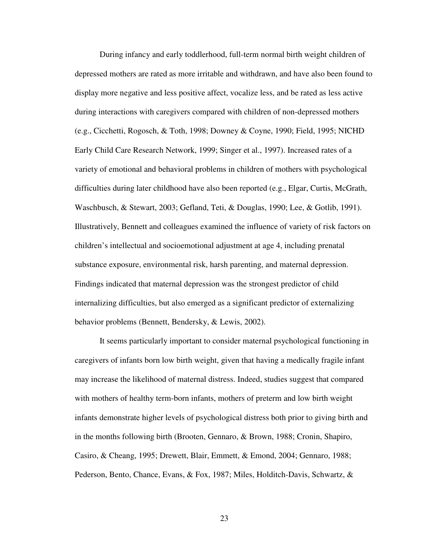During infancy and early toddlerhood, full-term normal birth weight children of depressed mothers are rated as more irritable and withdrawn, and have also been found to display more negative and less positive affect, vocalize less, and be rated as less active during interactions with caregivers compared with children of non-depressed mothers (e.g., Cicchetti, Rogosch, & Toth, 1998; Downey & Coyne, 1990; Field, 1995; NICHD Early Child Care Research Network, 1999; Singer et al., 1997). Increased rates of a variety of emotional and behavioral problems in children of mothers with psychological difficulties during later childhood have also been reported (e.g., Elgar, Curtis, McGrath, Waschbusch, & Stewart, 2003; Gefland, Teti, & Douglas, 1990; Lee, & Gotlib, 1991). Illustratively, Bennett and colleagues examined the influence of variety of risk factors on children's intellectual and socioemotional adjustment at age 4, including prenatal substance exposure, environmental risk, harsh parenting, and maternal depression. Findings indicated that maternal depression was the strongest predictor of child internalizing difficulties, but also emerged as a significant predictor of externalizing behavior problems (Bennett, Bendersky, & Lewis, 2002).

It seems particularly important to consider maternal psychological functioning in caregivers of infants born low birth weight, given that having a medically fragile infant may increase the likelihood of maternal distress. Indeed, studies suggest that compared with mothers of healthy term-born infants, mothers of preterm and low birth weight infants demonstrate higher levels of psychological distress both prior to giving birth and in the months following birth (Brooten, Gennaro, & Brown, 1988; Cronin, Shapiro, Casiro, & Cheang, 1995; Drewett, Blair, Emmett, & Emond, 2004; Gennaro, 1988; Pederson, Bento, Chance, Evans, & Fox, 1987; Miles, Holditch-Davis, Schwartz, &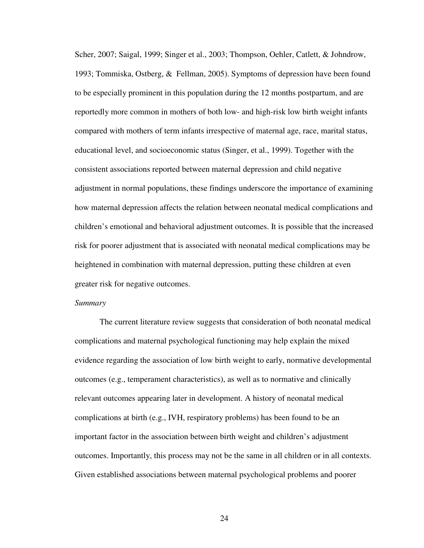Scher, 2007; Saigal, 1999; Singer et al., 2003; Thompson, Oehler, Catlett, & Johndrow, 1993; Tommiska, Ostberg, & Fellman, 2005). Symptoms of depression have been found to be especially prominent in this population during the 12 months postpartum, and are reportedly more common in mothers of both low- and high-risk low birth weight infants compared with mothers of term infants irrespective of maternal age, race, marital status, educational level, and socioeconomic status (Singer, et al., 1999). Together with the consistent associations reported between maternal depression and child negative adjustment in normal populations, these findings underscore the importance of examining how maternal depression affects the relation between neonatal medical complications and children's emotional and behavioral adjustment outcomes. It is possible that the increased risk for poorer adjustment that is associated with neonatal medical complications may be heightened in combination with maternal depression, putting these children at even greater risk for negative outcomes.

#### *Summary*

The current literature review suggests that consideration of both neonatal medical complications and maternal psychological functioning may help explain the mixed evidence regarding the association of low birth weight to early, normative developmental outcomes (e.g., temperament characteristics), as well as to normative and clinically relevant outcomes appearing later in development. A history of neonatal medical complications at birth (e.g., IVH, respiratory problems) has been found to be an important factor in the association between birth weight and children's adjustment outcomes. Importantly, this process may not be the same in all children or in all contexts. Given established associations between maternal psychological problems and poorer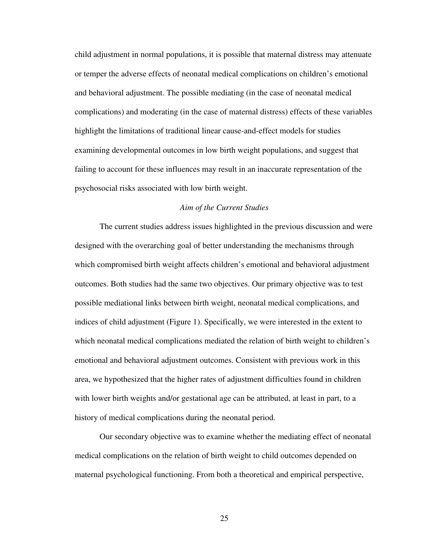child adjustment in normal populations, it is possible that maternal distress may attenuate or temper the adverse effects of neonatal medical complications on children's emotional and behavioral adjustment. The possible mediating (in the case of neonatal medical complications) and moderating (in the case of maternal distress) effects of these variables highlight the limitations of traditional linear cause-and-effect models for studies examining developmental outcomes in low birth weight populations, and suggest that failing to account for these influences may result in an inaccurate representation of the psychosocial risks associated with low birth weight.

## *Aim of the Current Studies*

The current studies address issues highlighted in the previous discussion and were designed with the overarching goal of better understanding the mechanisms through which compromised birth weight affects children's emotional and behavioral adjustment outcomes. Both studies had the same two objectives. Our primary objective was to test possible mediational links between birth weight, neonatal medical complications, and indices of child adjustment (Figure 1). Specifically, we were interested in the extent to which neonatal medical complications mediated the relation of birth weight to children's emotional and behavioral adjustment outcomes. Consistent with previous work in this area, we hypothesized that the higher rates of adjustment difficulties found in children with lower birth weights and/or gestational age can be attributed, at least in part, to a history of medical complications during the neonatal period.

 Our secondary objective was to examine whether the mediating effect of neonatal medical complications on the relation of birth weight to child outcomes depended on maternal psychological functioning. From both a theoretical and empirical perspective,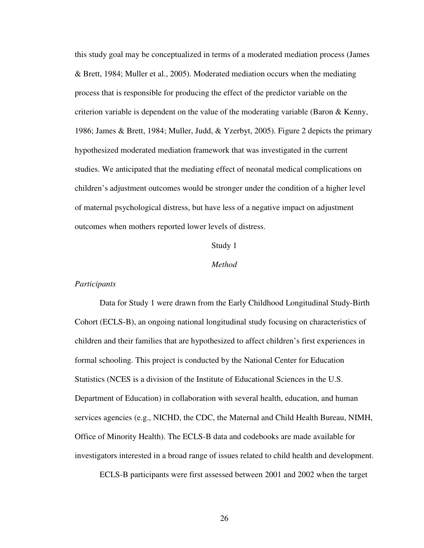this study goal may be conceptualized in terms of a moderated mediation process (James & Brett, 1984; Muller et al., 2005). Moderated mediation occurs when the mediating process that is responsible for producing the effect of the predictor variable on the criterion variable is dependent on the value of the moderating variable (Baron  $\&$  Kenny, 1986; James & Brett, 1984; Muller, Judd, & Yzerbyt, 2005). Figure 2 depicts the primary hypothesized moderated mediation framework that was investigated in the current studies. We anticipated that the mediating effect of neonatal medical complications on children's adjustment outcomes would be stronger under the condition of a higher level of maternal psychological distress, but have less of a negative impact on adjustment outcomes when mothers reported lower levels of distress.

## Study 1

## *Method*

## *Participants*

 Data for Study 1 were drawn from the Early Childhood Longitudinal Study-Birth Cohort (ECLS-B), an ongoing national longitudinal study focusing on characteristics of children and their families that are hypothesized to affect children's first experiences in formal schooling. This project is conducted by the National Center for Education Statistics (NCES is a division of the Institute of Educational Sciences in the U.S. Department of Education) in collaboration with several health, education, and human services agencies (e.g., NICHD, the CDC, the Maternal and Child Health Bureau, NIMH, Office of Minority Health). The ECLS-B data and codebooks are made available for investigators interested in a broad range of issues related to child health and development.

ECLS-B participants were first assessed between 2001 and 2002 when the target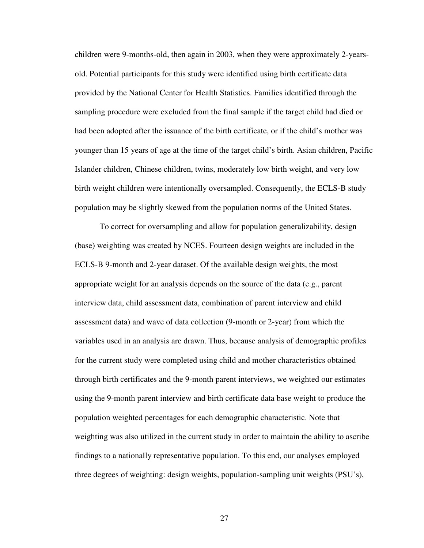children were 9-months-old, then again in 2003, when they were approximately 2-yearsold. Potential participants for this study were identified using birth certificate data provided by the National Center for Health Statistics. Families identified through the sampling procedure were excluded from the final sample if the target child had died or had been adopted after the issuance of the birth certificate, or if the child's mother was younger than 15 years of age at the time of the target child's birth. Asian children, Pacific Islander children, Chinese children, twins, moderately low birth weight, and very low birth weight children were intentionally oversampled. Consequently, the ECLS-B study population may be slightly skewed from the population norms of the United States.

 To correct for oversampling and allow for population generalizability, design (base) weighting was created by NCES. Fourteen design weights are included in the ECLS-B 9-month and 2-year dataset. Of the available design weights, the most appropriate weight for an analysis depends on the source of the data (e.g., parent interview data, child assessment data, combination of parent interview and child assessment data) and wave of data collection (9-month or 2-year) from which the variables used in an analysis are drawn. Thus, because analysis of demographic profiles for the current study were completed using child and mother characteristics obtained through birth certificates and the 9-month parent interviews, we weighted our estimates using the 9-month parent interview and birth certificate data base weight to produce the population weighted percentages for each demographic characteristic. Note that weighting was also utilized in the current study in order to maintain the ability to ascribe findings to a nationally representative population. To this end, our analyses employed three degrees of weighting: design weights, population-sampling unit weights (PSU's),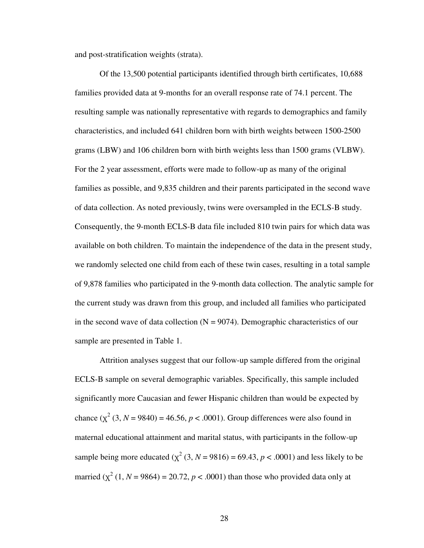and post-stratification weights (strata).

Of the 13,500 potential participants identified through birth certificates, 10,688 families provided data at 9-months for an overall response rate of 74.1 percent. The resulting sample was nationally representative with regards to demographics and family characteristics, and included 641 children born with birth weights between 1500-2500 grams (LBW) and 106 children born with birth weights less than 1500 grams (VLBW). For the 2 year assessment, efforts were made to follow-up as many of the original families as possible, and 9,835 children and their parents participated in the second wave of data collection. As noted previously, twins were oversampled in the ECLS-B study. Consequently, the 9-month ECLS-B data file included 810 twin pairs for which data was available on both children. To maintain the independence of the data in the present study, we randomly selected one child from each of these twin cases, resulting in a total sample of 9,878 families who participated in the 9-month data collection. The analytic sample for the current study was drawn from this group, and included all families who participated in the second wave of data collection  $(N = 9074)$ . Demographic characteristics of our sample are presented in Table 1.

Attrition analyses suggest that our follow-up sample differed from the original ECLS-B sample on several demographic variables. Specifically, this sample included significantly more Caucasian and fewer Hispanic children than would be expected by chance  $(\chi^2 (3, N = 9840) = 46.56, p < .0001)$ . Group differences were also found in maternal educational attainment and marital status, with participants in the follow-up sample being more educated  $(\chi^2 (3, N = 9816) = 69.43, p < .0001)$  and less likely to be married  $(\chi^2 (1, N = 9864) = 20.72, p < .0001)$  than those who provided data only at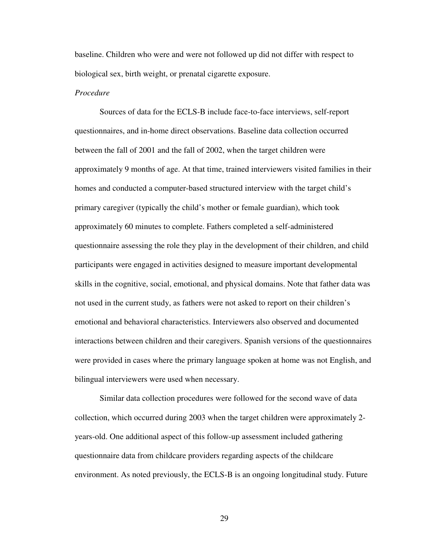baseline. Children who were and were not followed up did not differ with respect to biological sex, birth weight, or prenatal cigarette exposure.

### *Procedure*

 Sources of data for the ECLS-B include face-to-face interviews, self-report questionnaires, and in-home direct observations. Baseline data collection occurred between the fall of 2001 and the fall of 2002, when the target children were approximately 9 months of age. At that time, trained interviewers visited families in their homes and conducted a computer-based structured interview with the target child's primary caregiver (typically the child's mother or female guardian), which took approximately 60 minutes to complete. Fathers completed a self-administered questionnaire assessing the role they play in the development of their children, and child participants were engaged in activities designed to measure important developmental skills in the cognitive, social, emotional, and physical domains. Note that father data was not used in the current study, as fathers were not asked to report on their children's emotional and behavioral characteristics. Interviewers also observed and documented interactions between children and their caregivers. Spanish versions of the questionnaires were provided in cases where the primary language spoken at home was not English, and bilingual interviewers were used when necessary.

Similar data collection procedures were followed for the second wave of data collection, which occurred during 2003 when the target children were approximately 2 years-old. One additional aspect of this follow-up assessment included gathering questionnaire data from childcare providers regarding aspects of the childcare environment. As noted previously, the ECLS-B is an ongoing longitudinal study. Future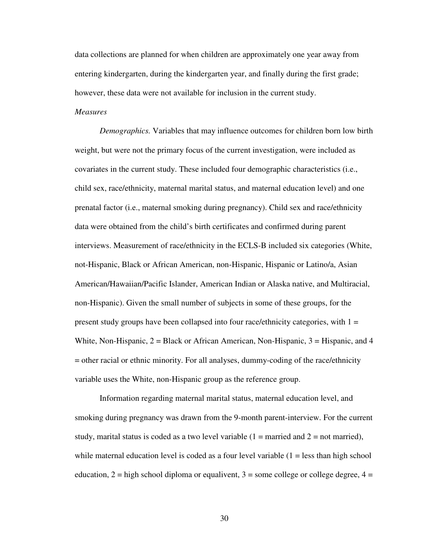data collections are planned for when children are approximately one year away from entering kindergarten, during the kindergarten year, and finally during the first grade; however, these data were not available for inclusion in the current study.

# *Measures*

*Demographics.* Variables that may influence outcomes for children born low birth weight, but were not the primary focus of the current investigation, were included as covariates in the current study. These included four demographic characteristics (i.e., child sex, race/ethnicity, maternal marital status, and maternal education level) and one prenatal factor (i.e., maternal smoking during pregnancy). Child sex and race/ethnicity data were obtained from the child's birth certificates and confirmed during parent interviews. Measurement of race/ethnicity in the ECLS-B included six categories (White, not-Hispanic, Black or African American, non-Hispanic, Hispanic or Latino/a, Asian American/Hawaiian/Pacific Islander, American Indian or Alaska native, and Multiracial, non-Hispanic). Given the small number of subjects in some of these groups, for the present study groups have been collapsed into four race/ethnicity categories, with  $1 =$ White, Non-Hispanic,  $2 = Black$  or African American, Non-Hispanic,  $3 = Hispanic$ , and  $4$ = other racial or ethnic minority. For all analyses, dummy-coding of the race/ethnicity variable uses the White, non-Hispanic group as the reference group.

Information regarding maternal marital status, maternal education level, and smoking during pregnancy was drawn from the 9-month parent-interview. For the current study, marital status is coded as a two level variable  $(1 =$  married and  $2 =$  not married), while maternal education level is coded as a four level variable  $(1 =$  less than high school education,  $2 =$  high school diploma or equalivent,  $3 =$  some college or college degree,  $4 =$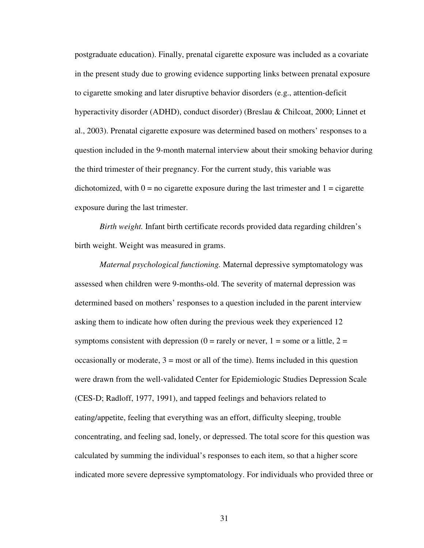postgraduate education). Finally, prenatal cigarette exposure was included as a covariate in the present study due to growing evidence supporting links between prenatal exposure to cigarette smoking and later disruptive behavior disorders (e.g., attention-deficit hyperactivity disorder (ADHD), conduct disorder) (Breslau & Chilcoat, 2000; Linnet et al., 2003). Prenatal cigarette exposure was determined based on mothers' responses to a question included in the 9-month maternal interview about their smoking behavior during the third trimester of their pregnancy. For the current study, this variable was dichotomized, with  $0 = no$  cigarette exposure during the last trimester and  $1 =$  cigarette exposure during the last trimester.

*Birth weight.* Infant birth certificate records provided data regarding children's birth weight. Weight was measured in grams.

*Maternal psychological functioning.* Maternal depressive symptomatology was assessed when children were 9-months-old. The severity of maternal depression was determined based on mothers' responses to a question included in the parent interview asking them to indicate how often during the previous week they experienced 12 symptoms consistent with depression ( $0 = \text{rarely or never}, 1 = \text{some or a little}, 2 = \text{...}$ ) occasionally or moderate,  $3 = \text{most or all of the time}$ . Items included in this question were drawn from the well-validated Center for Epidemiologic Studies Depression Scale (CES-D; Radloff, 1977, 1991), and tapped feelings and behaviors related to eating/appetite, feeling that everything was an effort, difficulty sleeping, trouble concentrating, and feeling sad, lonely, or depressed. The total score for this question was calculated by summing the individual's responses to each item, so that a higher score indicated more severe depressive symptomatology. For individuals who provided three or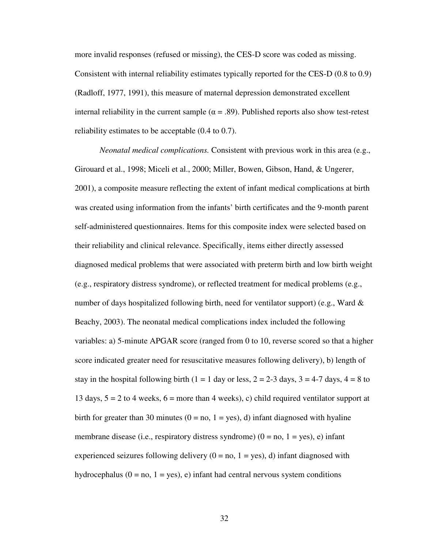more invalid responses (refused or missing), the CES-D score was coded as missing. Consistent with internal reliability estimates typically reported for the CES-D (0.8 to 0.9) (Radloff, 1977, 1991), this measure of maternal depression demonstrated excellent internal reliability in the current sample ( $\alpha$  = .89). Published reports also show test-retest reliability estimates to be acceptable (0.4 to 0.7).

*Neonatal medical complications.* Consistent with previous work in this area (e.g., Girouard et al., 1998; Miceli et al., 2000; Miller, Bowen, Gibson, Hand, & Ungerer, 2001), a composite measure reflecting the extent of infant medical complications at birth was created using information from the infants' birth certificates and the 9-month parent self-administered questionnaires. Items for this composite index were selected based on their reliability and clinical relevance. Specifically, items either directly assessed diagnosed medical problems that were associated with preterm birth and low birth weight (e.g., respiratory distress syndrome), or reflected treatment for medical problems (e.g., number of days hospitalized following birth, need for ventilator support) (e.g., Ward  $\&$ Beachy, 2003). The neonatal medical complications index included the following variables: a) 5-minute APGAR score (ranged from 0 to 10, reverse scored so that a higher score indicated greater need for resuscitative measures following delivery), b) length of stay in the hospital following birth (1 = 1 day or less, 2 = 2-3 days, 3 = 4-7 days, 4 = 8 to 13 days,  $5 = 2$  to 4 weeks,  $6 =$  more than 4 weeks), c) child required ventilator support at birth for greater than 30 minutes ( $0 = no$ ,  $1 = yes$ ), d) infant diagnosed with hyaline membrane disease (i.e., respiratory distress syndrome)  $(0 = no, 1 = yes)$ , e) infant experienced seizures following delivery  $(0 = no, 1 = yes), d$  infant diagnosed with hydrocephalus  $(0 = no, 1 = yes)$ , e) infant had central nervous system conditions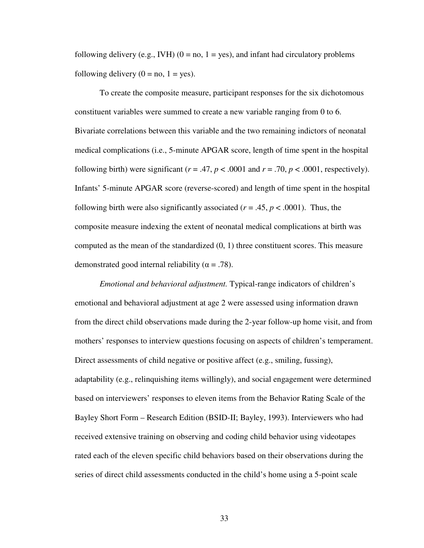following delivery (e.g., IVH) ( $0 = no$ ,  $1 = yes$ ), and infant had circulatory problems following delivery  $(0 = no, 1 = yes)$ .

To create the composite measure, participant responses for the six dichotomous constituent variables were summed to create a new variable ranging from 0 to 6. Bivariate correlations between this variable and the two remaining indictors of neonatal medical complications (i.e., 5-minute APGAR score, length of time spent in the hospital following birth) were significant ( $r = .47$ ,  $p < .0001$  and  $r = .70$ ,  $p < .0001$ , respectively). Infants' 5-minute APGAR score (reverse-scored) and length of time spent in the hospital following birth were also significantly associated ( $r = .45$ ,  $p < .0001$ ). Thus, the composite measure indexing the extent of neonatal medical complications at birth was computed as the mean of the standardized (0, 1) three constituent scores. This measure demonstrated good internal reliability ( $\alpha$  = .78).

*Emotional and behavioral adjustment.* Typical-range indicators of children's emotional and behavioral adjustment at age 2 were assessed using information drawn from the direct child observations made during the 2-year follow-up home visit, and from mothers' responses to interview questions focusing on aspects of children's temperament. Direct assessments of child negative or positive affect (e.g., smiling, fussing), adaptability (e.g., relinquishing items willingly), and social engagement were determined based on interviewers' responses to eleven items from the Behavior Rating Scale of the Bayley Short Form – Research Edition (BSID-II; Bayley, 1993). Interviewers who had received extensive training on observing and coding child behavior using videotapes rated each of the eleven specific child behaviors based on their observations during the series of direct child assessments conducted in the child's home using a 5-point scale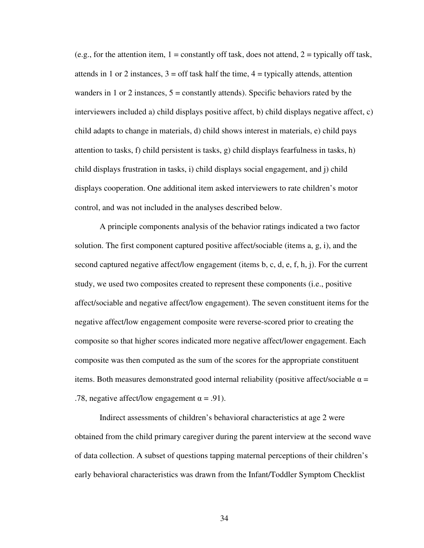(e.g., for the attention item,  $1 =$  constantly off task, does not attend,  $2 =$  typically off task, attends in 1 or 2 instances,  $3 =$  off task half the time,  $4 =$  typically attends, attention wanders in 1 or 2 instances,  $5 =$  constantly attends). Specific behaviors rated by the interviewers included a) child displays positive affect, b) child displays negative affect, c) child adapts to change in materials, d) child shows interest in materials, e) child pays attention to tasks, f) child persistent is tasks, g) child displays fearfulness in tasks, h) child displays frustration in tasks, i) child displays social engagement, and j) child displays cooperation. One additional item asked interviewers to rate children's motor control, and was not included in the analyses described below.

A principle components analysis of the behavior ratings indicated a two factor solution. The first component captured positive affect/sociable (items a, g, i), and the second captured negative affect/low engagement (items b, c, d, e, f, h, j). For the current study, we used two composites created to represent these components (i.e., positive affect/sociable and negative affect/low engagement). The seven constituent items for the negative affect/low engagement composite were reverse-scored prior to creating the composite so that higher scores indicated more negative affect/lower engagement. Each composite was then computed as the sum of the scores for the appropriate constituent items. Both measures demonstrated good internal reliability (positive affect/sociable  $\alpha$  = .78, negative affect/low engagement  $\alpha = .91$ ).

Indirect assessments of children's behavioral characteristics at age 2 were obtained from the child primary caregiver during the parent interview at the second wave of data collection. A subset of questions tapping maternal perceptions of their children's early behavioral characteristics was drawn from the Infant/Toddler Symptom Checklist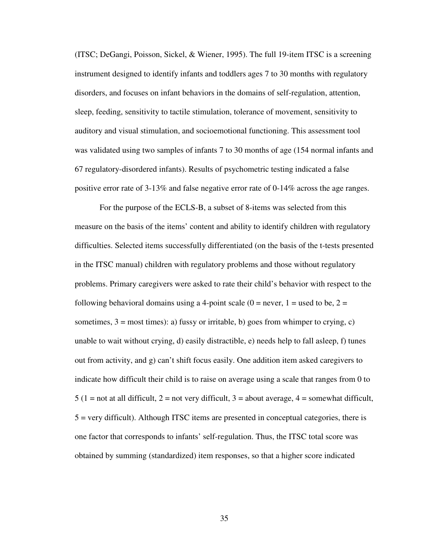(ITSC; DeGangi, Poisson, Sickel, & Wiener, 1995). The full 19-item ITSC is a screening instrument designed to identify infants and toddlers ages 7 to 30 months with regulatory disorders, and focuses on infant behaviors in the domains of self-regulation, attention, sleep, feeding, sensitivity to tactile stimulation, tolerance of movement, sensitivity to auditory and visual stimulation, and socioemotional functioning. This assessment tool was validated using two samples of infants 7 to 30 months of age (154 normal infants and 67 regulatory-disordered infants). Results of psychometric testing indicated a false positive error rate of 3-13% and false negative error rate of 0-14% across the age ranges.

For the purpose of the ECLS-B, a subset of 8-items was selected from this measure on the basis of the items' content and ability to identify children with regulatory difficulties. Selected items successfully differentiated (on the basis of the t-tests presented in the ITSC manual) children with regulatory problems and those without regulatory problems. Primary caregivers were asked to rate their child's behavior with respect to the following behavioral domains using a 4-point scale  $(0 =$  never,  $1 =$  used to be,  $2 =$ sometimes,  $3 = \text{most times}$ : a) fussy or irritable, b) goes from whimper to crying, c) unable to wait without crying, d) easily distractible, e) needs help to fall asleep, f) tunes out from activity, and g) can't shift focus easily. One addition item asked caregivers to indicate how difficult their child is to raise on average using a scale that ranges from 0 to  $5$  (1 = not at all difficult, 2 = not very difficult, 3 = about average, 4 = somewhat difficult, 5 = very difficult). Although ITSC items are presented in conceptual categories, there is one factor that corresponds to infants' self-regulation. Thus, the ITSC total score was obtained by summing (standardized) item responses, so that a higher score indicated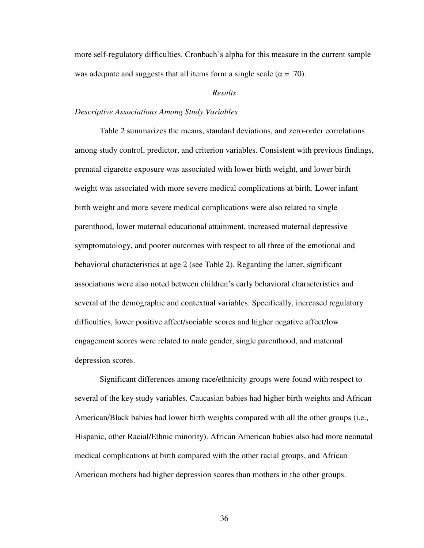more self-regulatory difficulties. Cronbach's alpha for this measure in the current sample was adequate and suggests that all items form a single scale ( $\alpha = .70$ ).

### *Results*

### *Descriptive Associations Among Study Variables*

 Table 2 summarizes the means, standard deviations, and zero-order correlations among study control, predictor, and criterion variables. Consistent with previous findings, prenatal cigarette exposure was associated with lower birth weight, and lower birth weight was associated with more severe medical complications at birth. Lower infant birth weight and more severe medical complications were also related to single parenthood, lower maternal educational attainment, increased maternal depressive symptomatology, and poorer outcomes with respect to all three of the emotional and behavioral characteristics at age 2 (see Table 2). Regarding the latter, significant associations were also noted between children's early behavioral characteristics and several of the demographic and contextual variables. Specifically, increased regulatory difficulties, lower positive affect/sociable scores and higher negative affect/low engagement scores were related to male gender, single parenthood, and maternal depression scores.

 Significant differences among race/ethnicity groups were found with respect to several of the key study variables. Caucasian babies had higher birth weights and African American/Black babies had lower birth weights compared with all the other groups (i.e., Hispanic, other Racial/Ethnic minority). African American babies also had more neonatal medical complications at birth compared with the other racial groups, and African American mothers had higher depression scores than mothers in the other groups.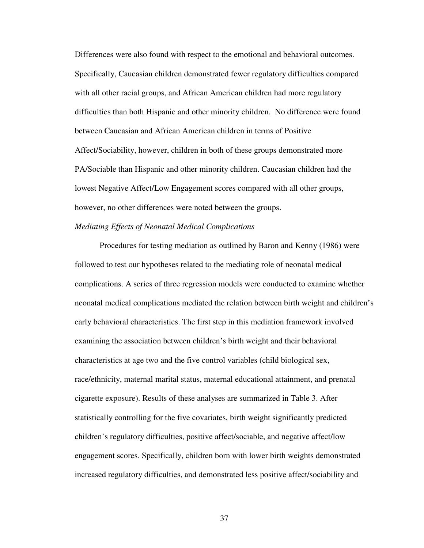Differences were also found with respect to the emotional and behavioral outcomes. Specifically, Caucasian children demonstrated fewer regulatory difficulties compared with all other racial groups, and African American children had more regulatory difficulties than both Hispanic and other minority children. No difference were found between Caucasian and African American children in terms of Positive Affect/Sociability, however, children in both of these groups demonstrated more PA/Sociable than Hispanic and other minority children. Caucasian children had the lowest Negative Affect/Low Engagement scores compared with all other groups, however, no other differences were noted between the groups.

# *Mediating Effects of Neonatal Medical Complications*

 Procedures for testing mediation as outlined by Baron and Kenny (1986) were followed to test our hypotheses related to the mediating role of neonatal medical complications. A series of three regression models were conducted to examine whether neonatal medical complications mediated the relation between birth weight and children's early behavioral characteristics. The first step in this mediation framework involved examining the association between children's birth weight and their behavioral characteristics at age two and the five control variables (child biological sex, race/ethnicity, maternal marital status, maternal educational attainment, and prenatal cigarette exposure). Results of these analyses are summarized in Table 3. After statistically controlling for the five covariates, birth weight significantly predicted children's regulatory difficulties, positive affect/sociable, and negative affect/low engagement scores. Specifically, children born with lower birth weights demonstrated increased regulatory difficulties, and demonstrated less positive affect/sociability and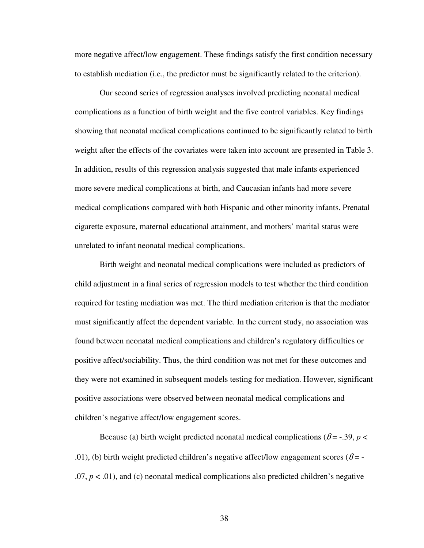more negative affect/low engagement. These findings satisfy the first condition necessary to establish mediation (i.e., the predictor must be significantly related to the criterion).

 Our second series of regression analyses involved predicting neonatal medical complications as a function of birth weight and the five control variables. Key findings showing that neonatal medical complications continued to be significantly related to birth weight after the effects of the covariates were taken into account are presented in Table 3. In addition, results of this regression analysis suggested that male infants experienced more severe medical complications at birth, and Caucasian infants had more severe medical complications compared with both Hispanic and other minority infants. Prenatal cigarette exposure, maternal educational attainment, and mothers' marital status were unrelated to infant neonatal medical complications.

 Birth weight and neonatal medical complications were included as predictors of child adjustment in a final series of regression models to test whether the third condition required for testing mediation was met. The third mediation criterion is that the mediator must significantly affect the dependent variable. In the current study, no association was found between neonatal medical complications and children's regulatory difficulties or positive affect/sociability. Thus, the third condition was not met for these outcomes and they were not examined in subsequent models testing for mediation. However, significant positive associations were observed between neonatal medical complications and children's negative affect/low engagement scores.

Because (a) birth weight predicted neonatal medical complications ( $\beta = -0.39$ ,  $p <$ .01), (b) birth weight predicted children's negative affect/low engagement scores ( $\beta$ = - $.07, p < .01$ ), and (c) neonatal medical complications also predicted children's negative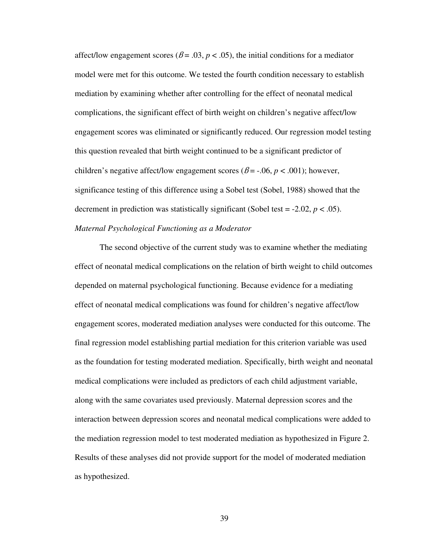affect/low engagement scores ( $\beta$  = .03,  $p$  < .05), the initial conditions for a mediator model were met for this outcome. We tested the fourth condition necessary to establish mediation by examining whether after controlling for the effect of neonatal medical complications, the significant effect of birth weight on children's negative affect/low engagement scores was eliminated or significantly reduced. Our regression model testing this question revealed that birth weight continued to be a significant predictor of children's negative affect/low engagement scores ( $\beta$  = -.06,  $p$  < .001); however, significance testing of this difference using a Sobel test (Sobel, 1988) showed that the decrement in prediction was statistically significant (Sobel test =  $-2.02$ ,  $p < .05$ ). *Maternal Psychological Functioning as a Moderator*

 The second objective of the current study was to examine whether the mediating effect of neonatal medical complications on the relation of birth weight to child outcomes depended on maternal psychological functioning. Because evidence for a mediating effect of neonatal medical complications was found for children's negative affect/low engagement scores, moderated mediation analyses were conducted for this outcome. The final regression model establishing partial mediation for this criterion variable was used as the foundation for testing moderated mediation. Specifically, birth weight and neonatal medical complications were included as predictors of each child adjustment variable, along with the same covariates used previously. Maternal depression scores and the interaction between depression scores and neonatal medical complications were added to the mediation regression model to test moderated mediation as hypothesized in Figure 2. Results of these analyses did not provide support for the model of moderated mediation as hypothesized.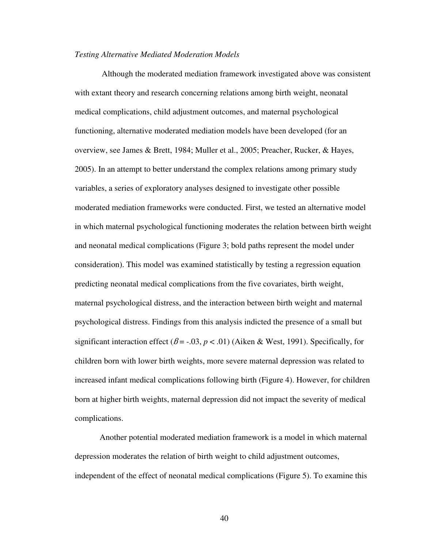### *Testing Alternative Mediated Moderation Models*

 Although the moderated mediation framework investigated above was consistent with extant theory and research concerning relations among birth weight, neonatal medical complications, child adjustment outcomes, and maternal psychological functioning, alternative moderated mediation models have been developed (for an overview, see James & Brett, 1984; Muller et al., 2005; Preacher, Rucker, & Hayes, 2005). In an attempt to better understand the complex relations among primary study variables, a series of exploratory analyses designed to investigate other possible moderated mediation frameworks were conducted. First, we tested an alternative model in which maternal psychological functioning moderates the relation between birth weight and neonatal medical complications (Figure 3; bold paths represent the model under consideration). This model was examined statistically by testing a regression equation predicting neonatal medical complications from the five covariates, birth weight, maternal psychological distress, and the interaction between birth weight and maternal psychological distress. Findings from this analysis indicted the presence of a small but significant interaction effect  $(\beta = -0.03, p < 0.01)$  (Aiken & West, 1991). Specifically, for children born with lower birth weights, more severe maternal depression was related to increased infant medical complications following birth (Figure 4). However, for children born at higher birth weights, maternal depression did not impact the severity of medical complications.

Another potential moderated mediation framework is a model in which maternal depression moderates the relation of birth weight to child adjustment outcomes, independent of the effect of neonatal medical complications (Figure 5). To examine this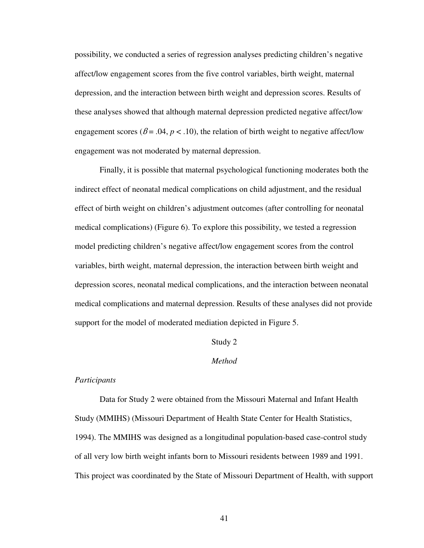possibility, we conducted a series of regression analyses predicting children's negative affect/low engagement scores from the five control variables, birth weight, maternal depression, and the interaction between birth weight and depression scores. Results of these analyses showed that although maternal depression predicted negative affect/low engagement scores ( $\beta$  = .04,  $p$  < .10), the relation of birth weight to negative affect/low engagement was not moderated by maternal depression.

Finally, it is possible that maternal psychological functioning moderates both the indirect effect of neonatal medical complications on child adjustment, and the residual effect of birth weight on children's adjustment outcomes (after controlling for neonatal medical complications) (Figure 6). To explore this possibility, we tested a regression model predicting children's negative affect/low engagement scores from the control variables, birth weight, maternal depression, the interaction between birth weight and depression scores, neonatal medical complications, and the interaction between neonatal medical complications and maternal depression. Results of these analyses did not provide support for the model of moderated mediation depicted in Figure 5.

### Study 2

### *Method*

#### *Participants*

Data for Study 2 were obtained from the Missouri Maternal and Infant Health Study (MMIHS) (Missouri Department of Health State Center for Health Statistics, 1994). The MMIHS was designed as a longitudinal population-based case-control study of all very low birth weight infants born to Missouri residents between 1989 and 1991. This project was coordinated by the State of Missouri Department of Health, with support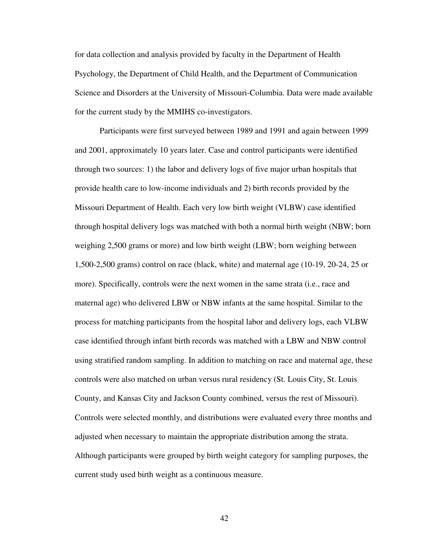for data collection and analysis provided by faculty in the Department of Health Psychology, the Department of Child Health, and the Department of Communication Science and Disorders at the University of Missouri-Columbia. Data were made available for the current study by the MMIHS co-investigators.

Participants were first surveyed between 1989 and 1991 and again between 1999 and 2001, approximately 10 years later. Case and control participants were identified through two sources: 1) the labor and delivery logs of five major urban hospitals that provide health care to low-income individuals and 2) birth records provided by the Missouri Department of Health. Each very low birth weight (VLBW) case identified through hospital delivery logs was matched with both a normal birth weight (NBW; born weighing 2,500 grams or more) and low birth weight (LBW; born weighing between 1,500-2,500 grams) control on race (black, white) and maternal age (10-19, 20-24, 25 or more). Specifically, controls were the next women in the same strata (i.e., race and maternal age) who delivered LBW or NBW infants at the same hospital. Similar to the process for matching participants from the hospital labor and delivery logs, each VLBW case identified through infant birth records was matched with a LBW and NBW control using stratified random sampling. In addition to matching on race and maternal age, these controls were also matched on urban versus rural residency (St. Louis City, St. Louis County, and Kansas City and Jackson County combined, versus the rest of Missouri). Controls were selected monthly, and distributions were evaluated every three months and adjusted when necessary to maintain the appropriate distribution among the strata. Although participants were grouped by birth weight category for sampling purposes, the current study used birth weight as a continuous measure.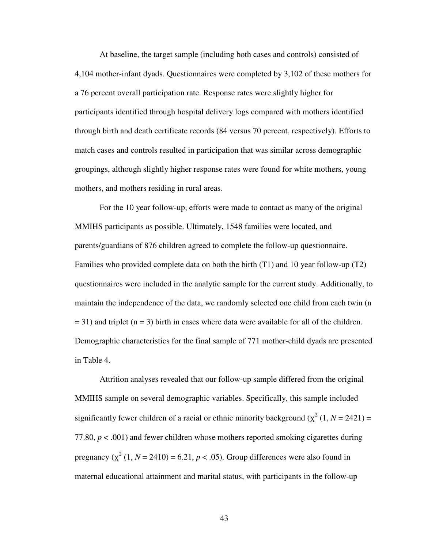At baseline, the target sample (including both cases and controls) consisted of 4,104 mother-infant dyads. Questionnaires were completed by 3,102 of these mothers for a 76 percent overall participation rate. Response rates were slightly higher for participants identified through hospital delivery logs compared with mothers identified through birth and death certificate records (84 versus 70 percent, respectively). Efforts to match cases and controls resulted in participation that was similar across demographic groupings, although slightly higher response rates were found for white mothers, young mothers, and mothers residing in rural areas.

For the 10 year follow-up, efforts were made to contact as many of the original MMIHS participants as possible. Ultimately, 1548 families were located, and parents/guardians of 876 children agreed to complete the follow-up questionnaire. Families who provided complete data on both the birth (T1) and 10 year follow-up (T2) questionnaires were included in the analytic sample for the current study. Additionally, to maintain the independence of the data, we randomly selected one child from each twin (n  $=$  31) and triplet (n = 3) birth in cases where data were available for all of the children. Demographic characteristics for the final sample of 771 mother-child dyads are presented in Table 4.

Attrition analyses revealed that our follow-up sample differed from the original MMIHS sample on several demographic variables. Specifically, this sample included significantly fewer children of a racial or ethnic minority background  $(\chi^2(1, N = 2421))$  = 77.80,  $p < .001$ ) and fewer children whose mothers reported smoking cigarettes during pregnancy  $(\chi^2 (1, N = 2410) = 6.21, p < .05)$ . Group differences were also found in maternal educational attainment and marital status, with participants in the follow-up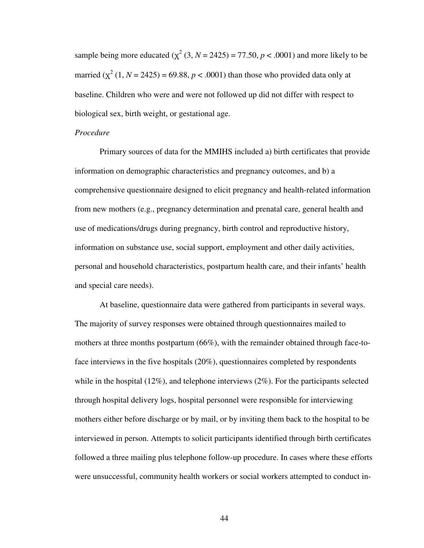sample being more educated  $(\chi^2 (3, N = 2425) = 77.50, p < .0001)$  and more likely to be married  $(\chi^2 (1, N = 2425) = 69.88, p < .0001)$  than those who provided data only at baseline. Children who were and were not followed up did not differ with respect to biological sex, birth weight, or gestational age.

### *Procedure*

Primary sources of data for the MMIHS included a) birth certificates that provide information on demographic characteristics and pregnancy outcomes, and b) a comprehensive questionnaire designed to elicit pregnancy and health-related information from new mothers (e.g., pregnancy determination and prenatal care, general health and use of medications/drugs during pregnancy, birth control and reproductive history, information on substance use, social support, employment and other daily activities, personal and household characteristics, postpartum health care, and their infants' health and special care needs).

At baseline, questionnaire data were gathered from participants in several ways. The majority of survey responses were obtained through questionnaires mailed to mothers at three months postpartum (66%), with the remainder obtained through face-toface interviews in the five hospitals (20%), questionnaires completed by respondents while in the hospital  $(12\%)$ , and telephone interviews  $(2\%)$ . For the participants selected through hospital delivery logs, hospital personnel were responsible for interviewing mothers either before discharge or by mail, or by inviting them back to the hospital to be interviewed in person. Attempts to solicit participants identified through birth certificates followed a three mailing plus telephone follow-up procedure. In cases where these efforts were unsuccessful, community health workers or social workers attempted to conduct in-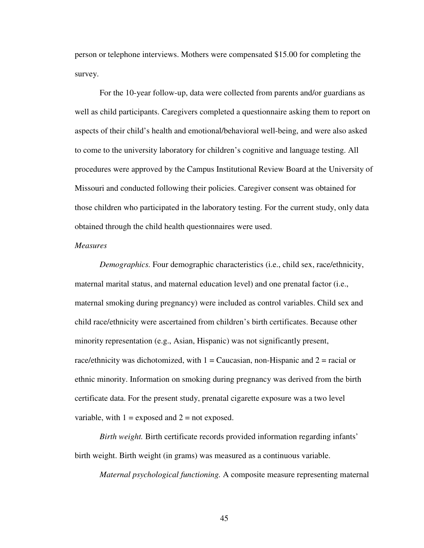person or telephone interviews. Mothers were compensated \$15.00 for completing the survey.

For the 10-year follow-up, data were collected from parents and/or guardians as well as child participants. Caregivers completed a questionnaire asking them to report on aspects of their child's health and emotional/behavioral well-being, and were also asked to come to the university laboratory for children's cognitive and language testing. All procedures were approved by the Campus Institutional Review Board at the University of Missouri and conducted following their policies. Caregiver consent was obtained for those children who participated in the laboratory testing. For the current study, only data obtained through the child health questionnaires were used.

#### *Measures*

*Demographics.* Four demographic characteristics (i.e., child sex, race/ethnicity, maternal marital status, and maternal education level) and one prenatal factor (i.e., maternal smoking during pregnancy) were included as control variables. Child sex and child race/ethnicity were ascertained from children's birth certificates. Because other minority representation (e.g., Asian, Hispanic) was not significantly present, race/ethnicity was dichotomized, with  $1 =$  Caucasian, non-Hispanic and  $2 =$  racial or ethnic minority. Information on smoking during pregnancy was derived from the birth certificate data. For the present study, prenatal cigarette exposure was a two level variable, with  $1 =$  exposed and  $2 =$  not exposed.

*Birth weight.* Birth certificate records provided information regarding infants' birth weight. Birth weight (in grams) was measured as a continuous variable.

*Maternal psychological functioning.* A composite measure representing maternal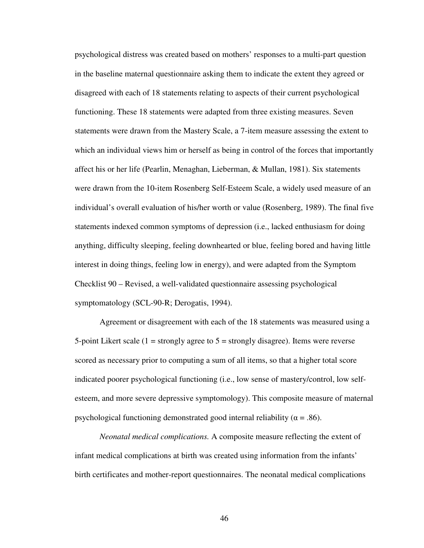psychological distress was created based on mothers' responses to a multi-part question in the baseline maternal questionnaire asking them to indicate the extent they agreed or disagreed with each of 18 statements relating to aspects of their current psychological functioning. These 18 statements were adapted from three existing measures. Seven statements were drawn from the Mastery Scale, a 7-item measure assessing the extent to which an individual views him or herself as being in control of the forces that importantly affect his or her life (Pearlin, Menaghan, Lieberman, & Mullan, 1981). Six statements were drawn from the 10-item Rosenberg Self-Esteem Scale, a widely used measure of an individual's overall evaluation of his/her worth or value (Rosenberg, 1989). The final five statements indexed common symptoms of depression (i.e., lacked enthusiasm for doing anything, difficulty sleeping, feeling downhearted or blue, feeling bored and having little interest in doing things, feeling low in energy), and were adapted from the Symptom Checklist 90 – Revised, a well-validated questionnaire assessing psychological symptomatology (SCL-90-R; Derogatis, 1994).

Agreement or disagreement with each of the 18 statements was measured using a 5-point Likert scale  $(1 =$  strongly agree to  $5 =$  strongly disagree). Items were reverse scored as necessary prior to computing a sum of all items, so that a higher total score indicated poorer psychological functioning (i.e., low sense of mastery/control, low selfesteem, and more severe depressive symptomology). This composite measure of maternal psychological functioning demonstrated good internal reliability ( $\alpha = .86$ ).

*Neonatal medical complications.* A composite measure reflecting the extent of infant medical complications at birth was created using information from the infants' birth certificates and mother-report questionnaires. The neonatal medical complications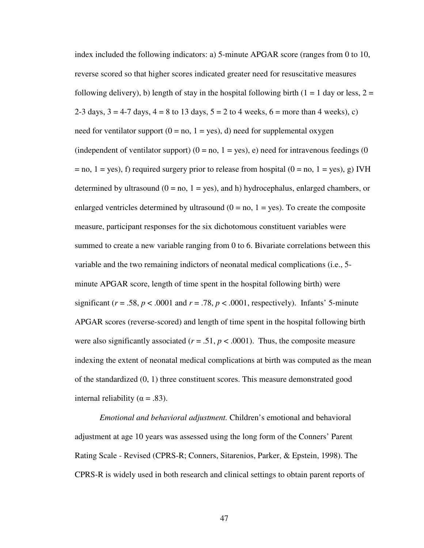index included the following indicators: a) 5-minute APGAR score (ranges from 0 to 10, reverse scored so that higher scores indicated greater need for resuscitative measures following delivery), b) length of stay in the hospital following birth  $(1 = 1)$  day or less,  $2 = 1$ 2-3 days,  $3 = 4-7$  days,  $4 = 8$  to 13 days,  $5 = 2$  to 4 weeks,  $6 =$  more than 4 weeks), c) need for ventilator support ( $0 = no$ ,  $1 = yes$ ), d) need for supplemental oxygen (independent of ventilator support)  $(0 = no, 1 = yes)$ , e) need for intravenous feedings (0)  $=$  no, 1 = yes), f) required surgery prior to release from hospital (0 = no, 1 = yes), g) IVH determined by ultrasound  $(0 = no, 1 = yes)$ , and h) hydrocephalus, enlarged chambers, or enlarged ventricles determined by ultrasound  $(0 = no, 1 = yes)$ . To create the composite measure, participant responses for the six dichotomous constituent variables were summed to create a new variable ranging from 0 to 6. Bivariate correlations between this variable and the two remaining indictors of neonatal medical complications (i.e., 5 minute APGAR score, length of time spent in the hospital following birth) were significant ( $r = .58$ ,  $p < .0001$  and  $r = .78$ ,  $p < .0001$ , respectively). Infants' 5-minute APGAR scores (reverse-scored) and length of time spent in the hospital following birth were also significantly associated  $(r = .51, p < .0001)$ . Thus, the composite measure indexing the extent of neonatal medical complications at birth was computed as the mean of the standardized (0, 1) three constituent scores. This measure demonstrated good internal reliability ( $α = .83$ ).

*Emotional and behavioral adjustment.* Children's emotional and behavioral adjustment at age 10 years was assessed using the long form of the Conners' Parent Rating Scale - Revised (CPRS-R; Conners, Sitarenios, Parker, & Epstein, 1998). The CPRS-R is widely used in both research and clinical settings to obtain parent reports of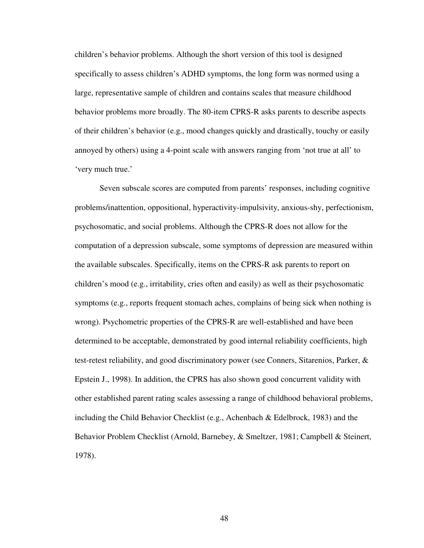children's behavior problems. Although the short version of this tool is designed specifically to assess children's ADHD symptoms, the long form was normed using a large, representative sample of children and contains scales that measure childhood behavior problems more broadly. The 80-item CPRS-R asks parents to describe aspects of their children's behavior (e.g., mood changes quickly and drastically, touchy or easily annoyed by others) using a 4-point scale with answers ranging from 'not true at all' to 'very much true.'

Seven subscale scores are computed from parents' responses, including cognitive problems/inattention, oppositional, hyperactivity-impulsivity, anxious-shy, perfectionism, psychosomatic, and social problems. Although the CPRS-R does not allow for the computation of a depression subscale, some symptoms of depression are measured within the available subscales. Specifically, items on the CPRS-R ask parents to report on children's mood (e.g., irritability, cries often and easily) as well as their psychosomatic symptoms (e.g., reports frequent stomach aches, complains of being sick when nothing is wrong). Psychometric properties of the CPRS-R are well-established and have been determined to be acceptable, demonstrated by good internal reliability coefficients, high test-retest reliability, and good discriminatory power (see Conners, Sitarenios, Parker, & Epstein J., 1998). In addition, the CPRS has also shown good concurrent validity with other established parent rating scales assessing a range of childhood behavioral problems, including the Child Behavior Checklist (e.g., Achenbach & Edelbrock, 1983) and the Behavior Problem Checklist (Arnold, Barnebey, & Smeltzer, 1981; Campbell & Steinert, 1978).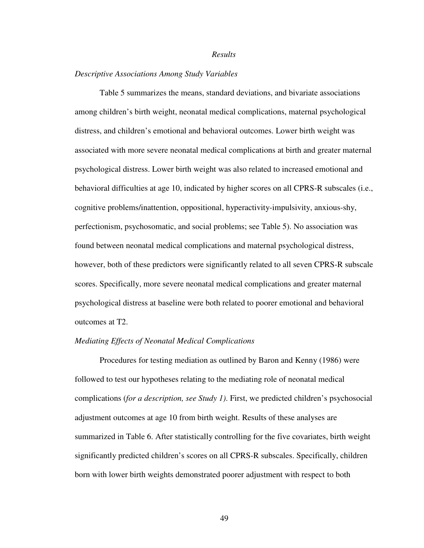#### *Results*

### *Descriptive Associations Among Study Variables*

Table 5 summarizes the means, standard deviations, and bivariate associations among children's birth weight, neonatal medical complications, maternal psychological distress, and children's emotional and behavioral outcomes. Lower birth weight was associated with more severe neonatal medical complications at birth and greater maternal psychological distress. Lower birth weight was also related to increased emotional and behavioral difficulties at age 10, indicated by higher scores on all CPRS-R subscales (i.e., cognitive problems/inattention, oppositional, hyperactivity-impulsivity, anxious-shy, perfectionism, psychosomatic, and social problems; see Table 5). No association was found between neonatal medical complications and maternal psychological distress, however, both of these predictors were significantly related to all seven CPRS-R subscale scores. Specifically, more severe neonatal medical complications and greater maternal psychological distress at baseline were both related to poorer emotional and behavioral outcomes at T2.

#### *Mediating Effects of Neonatal Medical Complications*

 Procedures for testing mediation as outlined by Baron and Kenny (1986) were followed to test our hypotheses relating to the mediating role of neonatal medical complications (*for a description, see Study 1)*. First, we predicted children's psychosocial adjustment outcomes at age 10 from birth weight. Results of these analyses are summarized in Table 6. After statistically controlling for the five covariates, birth weight significantly predicted children's scores on all CPRS-R subscales. Specifically, children born with lower birth weights demonstrated poorer adjustment with respect to both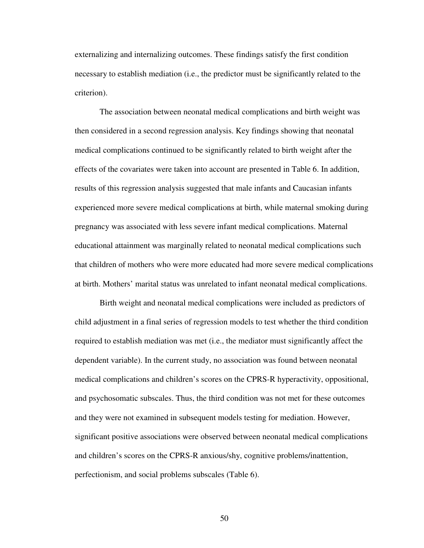externalizing and internalizing outcomes. These findings satisfy the first condition necessary to establish mediation (i.e., the predictor must be significantly related to the criterion).

 The association between neonatal medical complications and birth weight was then considered in a second regression analysis. Key findings showing that neonatal medical complications continued to be significantly related to birth weight after the effects of the covariates were taken into account are presented in Table 6. In addition, results of this regression analysis suggested that male infants and Caucasian infants experienced more severe medical complications at birth, while maternal smoking during pregnancy was associated with less severe infant medical complications. Maternal educational attainment was marginally related to neonatal medical complications such that children of mothers who were more educated had more severe medical complications at birth. Mothers' marital status was unrelated to infant neonatal medical complications.

 Birth weight and neonatal medical complications were included as predictors of child adjustment in a final series of regression models to test whether the third condition required to establish mediation was met (i.e., the mediator must significantly affect the dependent variable). In the current study, no association was found between neonatal medical complications and children's scores on the CPRS-R hyperactivity, oppositional, and psychosomatic subscales. Thus, the third condition was not met for these outcomes and they were not examined in subsequent models testing for mediation. However, significant positive associations were observed between neonatal medical complications and children's scores on the CPRS-R anxious/shy, cognitive problems/inattention, perfectionism, and social problems subscales (Table 6).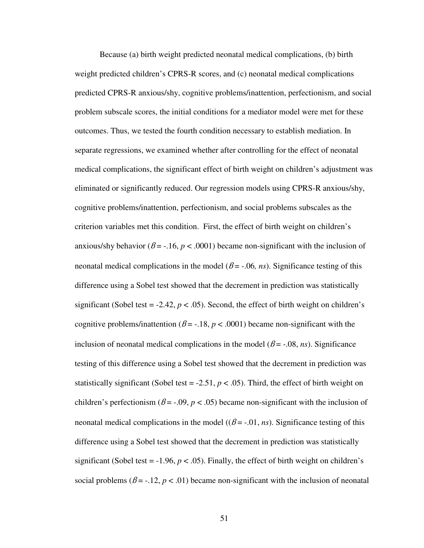Because (a) birth weight predicted neonatal medical complications, (b) birth weight predicted children's CPRS-R scores, and (c) neonatal medical complications predicted CPRS-R anxious/shy, cognitive problems/inattention, perfectionism, and social problem subscale scores, the initial conditions for a mediator model were met for these outcomes. Thus, we tested the fourth condition necessary to establish mediation. In separate regressions, we examined whether after controlling for the effect of neonatal medical complications, the significant effect of birth weight on children's adjustment was eliminated or significantly reduced. Our regression models using CPRS-R anxious/shy, cognitive problems/inattention, perfectionism, and social problems subscales as the criterion variables met this condition. First, the effect of birth weight on children's anxious/shy behavior ( $\beta$  = -.16,  $p < .0001$ ) became non-significant with the inclusion of neonatal medical complications in the model ( $\beta$  = -.06, *ns*). Significance testing of this difference using a Sobel test showed that the decrement in prediction was statistically significant (Sobel test =  $-2.42$ ,  $p < .05$ ). Second, the effect of birth weight on children's cognitive problems/inattention ( $\beta$  = -.18,  $p$  < .0001) became non-significant with the inclusion of neonatal medical complications in the model ( $\beta$  = -.08, *ns*). Significance testing of this difference using a Sobel test showed that the decrement in prediction was statistically significant (Sobel test =  $-2.51$ ,  $p < .05$ ). Third, the effect of birth weight on children's perfectionism ( $\beta$  = -.09,  $p$  < .05) became non-significant with the inclusion of neonatal medical complications in the model ( $(\beta = -0.01, ns)$ ). Significance testing of this difference using a Sobel test showed that the decrement in prediction was statistically significant (Sobel test =  $-1.96$ ,  $p < .05$ ). Finally, the effect of birth weight on children's social problems  $(\beta = -12, p < 0.01)$  became non-significant with the inclusion of neonatal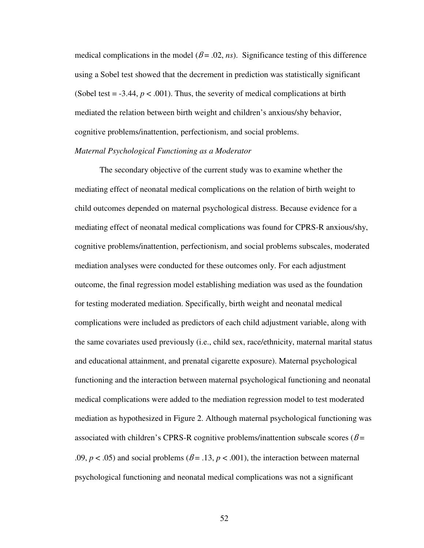medical complications in the model ( $\beta$  = .02, *ns*). Significance testing of this difference using a Sobel test showed that the decrement in prediction was statistically significant (Sobel test  $= -3.44$ ,  $p < .001$ ). Thus, the severity of medical complications at birth mediated the relation between birth weight and children's anxious/shy behavior, cognitive problems/inattention, perfectionism, and social problems.

## *Maternal Psychological Functioning as a Moderator*

 The secondary objective of the current study was to examine whether the mediating effect of neonatal medical complications on the relation of birth weight to child outcomes depended on maternal psychological distress. Because evidence for a mediating effect of neonatal medical complications was found for CPRS-R anxious/shy, cognitive problems/inattention, perfectionism, and social problems subscales, moderated mediation analyses were conducted for these outcomes only. For each adjustment outcome, the final regression model establishing mediation was used as the foundation for testing moderated mediation. Specifically, birth weight and neonatal medical complications were included as predictors of each child adjustment variable, along with the same covariates used previously (i.e., child sex, race/ethnicity, maternal marital status and educational attainment, and prenatal cigarette exposure). Maternal psychological functioning and the interaction between maternal psychological functioning and neonatal medical complications were added to the mediation regression model to test moderated mediation as hypothesized in Figure 2. Although maternal psychological functioning was associated with children's CPRS-R cognitive problems/inattention subscale scores ( $\beta$ = .09,  $p < .05$ ) and social problems ( $\beta = .13$ ,  $p < .001$ ), the interaction between maternal psychological functioning and neonatal medical complications was not a significant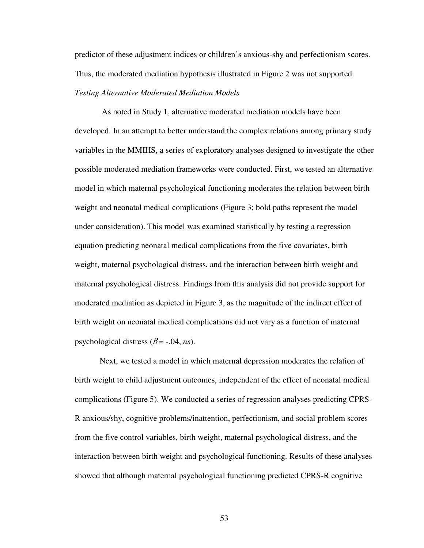predictor of these adjustment indices or children's anxious-shy and perfectionism scores. Thus, the moderated mediation hypothesis illustrated in Figure 2 was not supported. *Testing Alternative Moderated Mediation Models* 

 As noted in Study 1, alternative moderated mediation models have been developed. In an attempt to better understand the complex relations among primary study variables in the MMIHS, a series of exploratory analyses designed to investigate the other possible moderated mediation frameworks were conducted. First, we tested an alternative model in which maternal psychological functioning moderates the relation between birth weight and neonatal medical complications (Figure 3; bold paths represent the model under consideration). This model was examined statistically by testing a regression equation predicting neonatal medical complications from the five covariates, birth weight, maternal psychological distress, and the interaction between birth weight and maternal psychological distress. Findings from this analysis did not provide support for moderated mediation as depicted in Figure 3, as the magnitude of the indirect effect of birth weight on neonatal medical complications did not vary as a function of maternal psychological distress ( $\beta$  = -.04, *ns*).

Next, we tested a model in which maternal depression moderates the relation of birth weight to child adjustment outcomes, independent of the effect of neonatal medical complications (Figure 5). We conducted a series of regression analyses predicting CPRS-R anxious/shy, cognitive problems/inattention, perfectionism, and social problem scores from the five control variables, birth weight, maternal psychological distress, and the interaction between birth weight and psychological functioning. Results of these analyses showed that although maternal psychological functioning predicted CPRS-R cognitive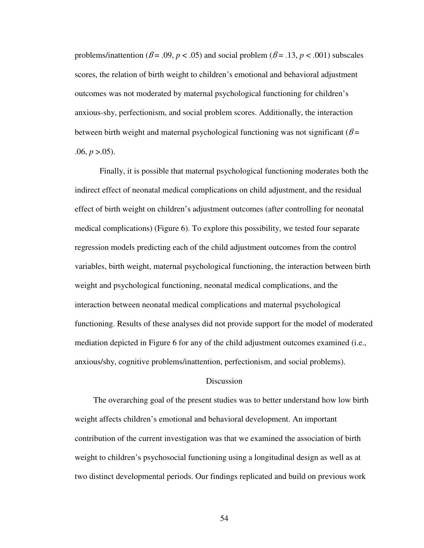problems/inattention ( $\beta$  = .09,  $p$  < .05) and social problem ( $\beta$  = .13,  $p$  < .001) subscales scores, the relation of birth weight to children's emotional and behavioral adjustment outcomes was not moderated by maternal psychological functioning for children's anxious-shy, perfectionism, and social problem scores. Additionally, the interaction between birth weight and maternal psychological functioning was not significant ( $\beta$  = .06,  $p > .05$ ).

 Finally, it is possible that maternal psychological functioning moderates both the indirect effect of neonatal medical complications on child adjustment, and the residual effect of birth weight on children's adjustment outcomes (after controlling for neonatal medical complications) (Figure 6). To explore this possibility, we tested four separate regression models predicting each of the child adjustment outcomes from the control variables, birth weight, maternal psychological functioning, the interaction between birth weight and psychological functioning, neonatal medical complications, and the interaction between neonatal medical complications and maternal psychological functioning. Results of these analyses did not provide support for the model of moderated mediation depicted in Figure 6 for any of the child adjustment outcomes examined (i.e., anxious/shy, cognitive problems/inattention, perfectionism, and social problems).

# Discussion

 The overarching goal of the present studies was to better understand how low birth weight affects children's emotional and behavioral development. An important contribution of the current investigation was that we examined the association of birth weight to children's psychosocial functioning using a longitudinal design as well as at two distinct developmental periods. Our findings replicated and build on previous work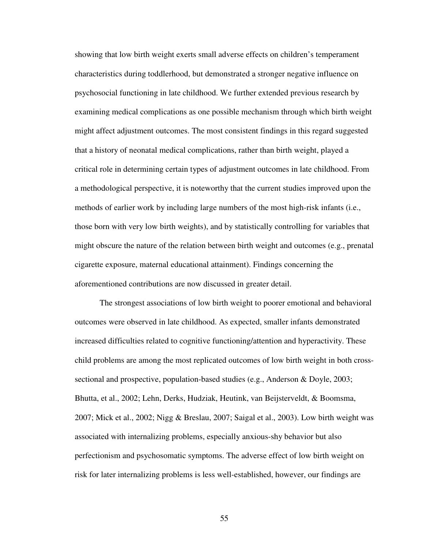showing that low birth weight exerts small adverse effects on children's temperament characteristics during toddlerhood, but demonstrated a stronger negative influence on psychosocial functioning in late childhood. We further extended previous research by examining medical complications as one possible mechanism through which birth weight might affect adjustment outcomes. The most consistent findings in this regard suggested that a history of neonatal medical complications, rather than birth weight, played a critical role in determining certain types of adjustment outcomes in late childhood. From a methodological perspective, it is noteworthy that the current studies improved upon the methods of earlier work by including large numbers of the most high-risk infants (i.e., those born with very low birth weights), and by statistically controlling for variables that might obscure the nature of the relation between birth weight and outcomes (e.g., prenatal cigarette exposure, maternal educational attainment). Findings concerning the aforementioned contributions are now discussed in greater detail.

The strongest associations of low birth weight to poorer emotional and behavioral outcomes were observed in late childhood. As expected, smaller infants demonstrated increased difficulties related to cognitive functioning/attention and hyperactivity. These child problems are among the most replicated outcomes of low birth weight in both crosssectional and prospective, population-based studies (e.g., Anderson & Doyle, 2003; Bhutta, et al., 2002; Lehn, Derks, Hudziak, Heutink, van Beijsterveldt, & Boomsma, 2007; Mick et al., 2002; Nigg & Breslau, 2007; Saigal et al., 2003). Low birth weight was associated with internalizing problems, especially anxious-shy behavior but also perfectionism and psychosomatic symptoms. The adverse effect of low birth weight on risk for later internalizing problems is less well-established, however, our findings are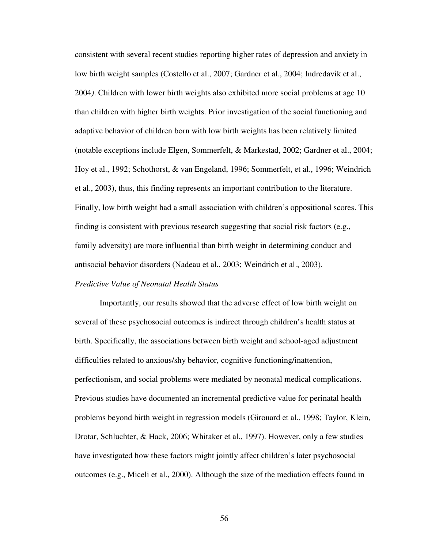consistent with several recent studies reporting higher rates of depression and anxiety in low birth weight samples (Costello et al., 2007; Gardner et al., 2004; Indredavik et al., 2004*)*. Children with lower birth weights also exhibited more social problems at age 10 than children with higher birth weights. Prior investigation of the social functioning and adaptive behavior of children born with low birth weights has been relatively limited (notable exceptions include Elgen, Sommerfelt, & Markestad, 2002; Gardner et al., 2004; Hoy et al., 1992; Schothorst, & van Engeland, 1996; Sommerfelt, et al., 1996; Weindrich et al., 2003), thus, this finding represents an important contribution to the literature. Finally, low birth weight had a small association with children's oppositional scores. This finding is consistent with previous research suggesting that social risk factors (e.g., family adversity) are more influential than birth weight in determining conduct and antisocial behavior disorders (Nadeau et al., 2003; Weindrich et al., 2003).

### *Predictive Value of Neonatal Health Status*

Importantly, our results showed that the adverse effect of low birth weight on several of these psychosocial outcomes is indirect through children's health status at birth. Specifically, the associations between birth weight and school-aged adjustment difficulties related to anxious/shy behavior, cognitive functioning/inattention, perfectionism, and social problems were mediated by neonatal medical complications. Previous studies have documented an incremental predictive value for perinatal health problems beyond birth weight in regression models (Girouard et al., 1998; Taylor, Klein, Drotar, Schluchter, & Hack, 2006; Whitaker et al., 1997). However, only a few studies have investigated how these factors might jointly affect children's later psychosocial outcomes (e.g., Miceli et al., 2000). Although the size of the mediation effects found in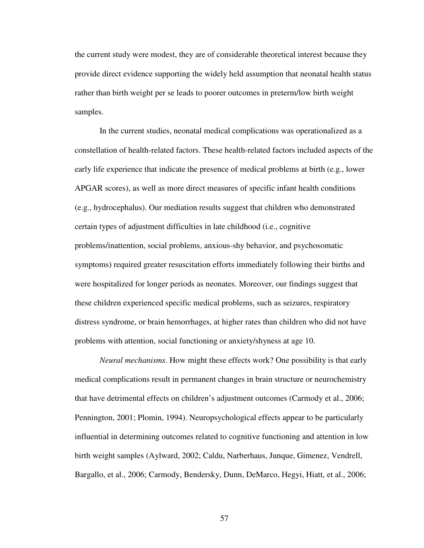the current study were modest, they are of considerable theoretical interest because they provide direct evidence supporting the widely held assumption that neonatal health status rather than birth weight per se leads to poorer outcomes in preterm/low birth weight samples.

In the current studies, neonatal medical complications was operationalized as a constellation of health-related factors. These health-related factors included aspects of the early life experience that indicate the presence of medical problems at birth (e.g., lower APGAR scores), as well as more direct measures of specific infant health conditions (e.g., hydrocephalus). Our mediation results suggest that children who demonstrated certain types of adjustment difficulties in late childhood (i.e., cognitive problems/inattention, social problems, anxious-shy behavior, and psychosomatic symptoms) required greater resuscitation efforts immediately following their births and were hospitalized for longer periods as neonates. Moreover, our findings suggest that these children experienced specific medical problems, such as seizures, respiratory distress syndrome, or brain hemorrhages, at higher rates than children who did not have problems with attention, social functioning or anxiety/shyness at age 10.

*Neural mechanisms*. How might these effects work? One possibility is that early medical complications result in permanent changes in brain structure or neurochemistry that have detrimental effects on children's adjustment outcomes (Carmody et al., 2006; Pennington, 2001; Plomin, 1994). Neuropsychological effects appear to be particularly influential in determining outcomes related to cognitive functioning and attention in low birth weight samples (Aylward, 2002; Caldu, Narberhaus, Junque, Gimenez, Vendrell, Bargallo, et al., 2006; Carmody, Bendersky, Dunn, DeMarco, Hegyi, Hiatt, et al., 2006;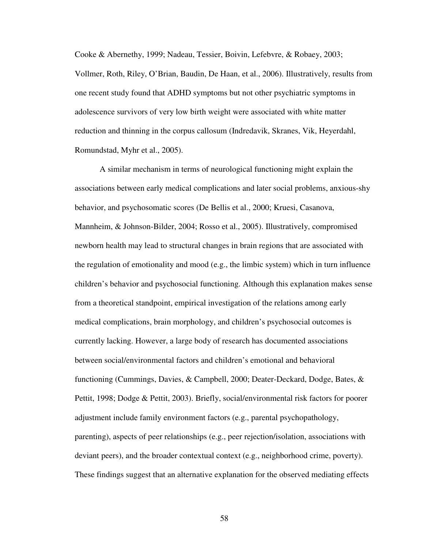Cooke & Abernethy, 1999; Nadeau, Tessier, Boivin, Lefebvre, & Robaey, 2003; Vollmer, Roth, Riley, O'Brian, Baudin, De Haan, et al., 2006). Illustratively, results from one recent study found that ADHD symptoms but not other psychiatric symptoms in adolescence survivors of very low birth weight were associated with white matter reduction and thinning in the corpus callosum (Indredavik, Skranes, Vik, Heyerdahl, Romundstad, Myhr et al., 2005).

 A similar mechanism in terms of neurological functioning might explain the associations between early medical complications and later social problems, anxious-shy behavior, and psychosomatic scores (De Bellis et al., 2000; Kruesi, Casanova, Mannheim, & Johnson-Bilder, 2004; Rosso et al., 2005). Illustratively, compromised newborn health may lead to structural changes in brain regions that are associated with the regulation of emotionality and mood (e.g., the limbic system) which in turn influence children's behavior and psychosocial functioning. Although this explanation makes sense from a theoretical standpoint, empirical investigation of the relations among early medical complications, brain morphology, and children's psychosocial outcomes is currently lacking. However, a large body of research has documented associations between social/environmental factors and children's emotional and behavioral functioning (Cummings, Davies, & Campbell, 2000; Deater-Deckard, Dodge, Bates, & Pettit, 1998; Dodge & Pettit, 2003). Briefly, social/environmental risk factors for poorer adjustment include family environment factors (e.g., parental psychopathology, parenting), aspects of peer relationships (e.g., peer rejection/isolation, associations with deviant peers), and the broader contextual context (e.g., neighborhood crime, poverty). These findings suggest that an alternative explanation for the observed mediating effects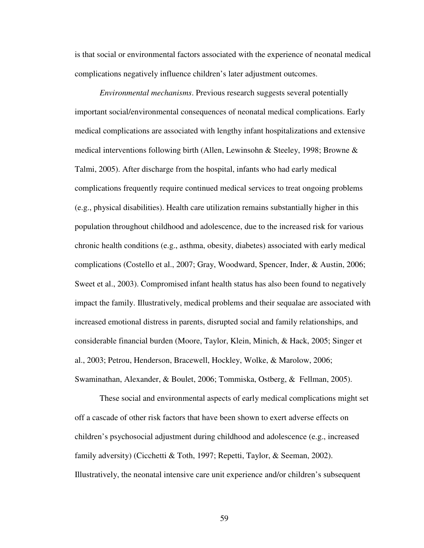is that social or environmental factors associated with the experience of neonatal medical complications negatively influence children's later adjustment outcomes.

*Environmental mechanisms*. Previous research suggests several potentially important social/environmental consequences of neonatal medical complications. Early medical complications are associated with lengthy infant hospitalizations and extensive medical interventions following birth (Allen, Lewinsohn & Steeley, 1998; Browne & Talmi, 2005). After discharge from the hospital, infants who had early medical complications frequently require continued medical services to treat ongoing problems (e.g., physical disabilities). Health care utilization remains substantially higher in this population throughout childhood and adolescence, due to the increased risk for various chronic health conditions (e.g., asthma, obesity, diabetes) associated with early medical complications (Costello et al., 2007; Gray, Woodward, Spencer, Inder, & Austin, 2006; Sweet et al., 2003). Compromised infant health status has also been found to negatively impact the family. Illustratively, medical problems and their sequalae are associated with increased emotional distress in parents, disrupted social and family relationships, and considerable financial burden (Moore, Taylor, Klein, Minich, & Hack, 2005; Singer et al., 2003; Petrou, Henderson, Bracewell, Hockley, Wolke, & Marolow, 2006; Swaminathan, Alexander, & Boulet, 2006; Tommiska, Ostberg, & Fellman, 2005).

These social and environmental aspects of early medical complications might set off a cascade of other risk factors that have been shown to exert adverse effects on children's psychosocial adjustment during childhood and adolescence (e.g., increased family adversity) (Cicchetti & Toth, 1997; Repetti, Taylor, & Seeman, 2002). Illustratively, the neonatal intensive care unit experience and/or children's subsequent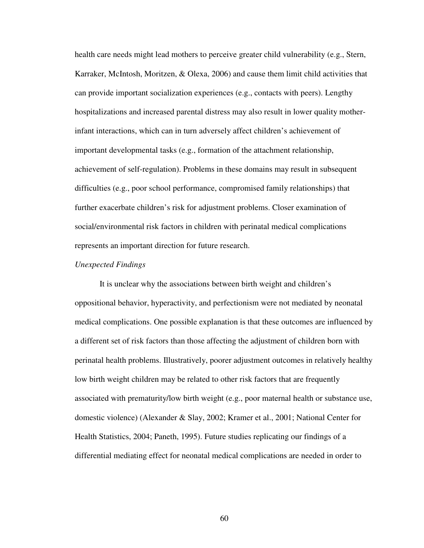health care needs might lead mothers to perceive greater child vulnerability (e.g., Stern, Karraker, McIntosh, Moritzen, & Olexa, 2006) and cause them limit child activities that can provide important socialization experiences (e.g., contacts with peers). Lengthy hospitalizations and increased parental distress may also result in lower quality motherinfant interactions, which can in turn adversely affect children's achievement of important developmental tasks (e.g., formation of the attachment relationship, achievement of self-regulation). Problems in these domains may result in subsequent difficulties (e.g., poor school performance, compromised family relationships) that further exacerbate children's risk for adjustment problems. Closer examination of social/environmental risk factors in children with perinatal medical complications represents an important direction for future research.

#### *Unexpected Findings*

 It is unclear why the associations between birth weight and children's oppositional behavior, hyperactivity, and perfectionism were not mediated by neonatal medical complications. One possible explanation is that these outcomes are influenced by a different set of risk factors than those affecting the adjustment of children born with perinatal health problems. Illustratively, poorer adjustment outcomes in relatively healthy low birth weight children may be related to other risk factors that are frequently associated with prematurity/low birth weight (e.g., poor maternal health or substance use, domestic violence) (Alexander & Slay, 2002; Kramer et al., 2001; National Center for Health Statistics, 2004; Paneth, 1995). Future studies replicating our findings of a differential mediating effect for neonatal medical complications are needed in order to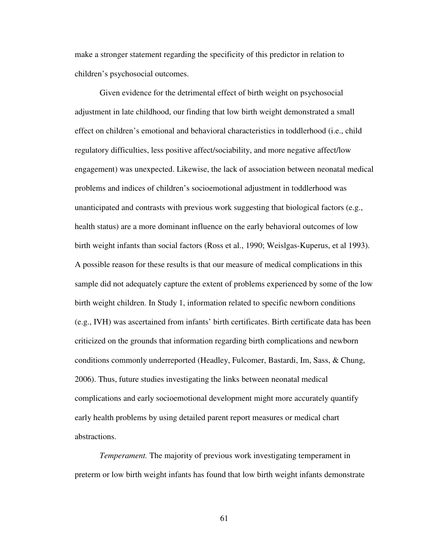make a stronger statement regarding the specificity of this predictor in relation to children's psychosocial outcomes.

 Given evidence for the detrimental effect of birth weight on psychosocial adjustment in late childhood, our finding that low birth weight demonstrated a small effect on children's emotional and behavioral characteristics in toddlerhood (i.e., child regulatory difficulties, less positive affect/sociability, and more negative affect/low engagement) was unexpected. Likewise, the lack of association between neonatal medical problems and indices of children's socioemotional adjustment in toddlerhood was unanticipated and contrasts with previous work suggesting that biological factors (e.g., health status) are a more dominant influence on the early behavioral outcomes of low birth weight infants than social factors (Ross et al., 1990; Weislgas-Kuperus, et al 1993). A possible reason for these results is that our measure of medical complications in this sample did not adequately capture the extent of problems experienced by some of the low birth weight children. In Study 1, information related to specific newborn conditions (e.g., IVH) was ascertained from infants' birth certificates. Birth certificate data has been criticized on the grounds that information regarding birth complications and newborn conditions commonly underreported (Headley, Fulcomer, Bastardi, Im, Sass, & Chung, 2006). Thus, future studies investigating the links between neonatal medical complications and early socioemotional development might more accurately quantify early health problems by using detailed parent report measures or medical chart abstractions.

*Temperament.* The majority of previous work investigating temperament in preterm or low birth weight infants has found that low birth weight infants demonstrate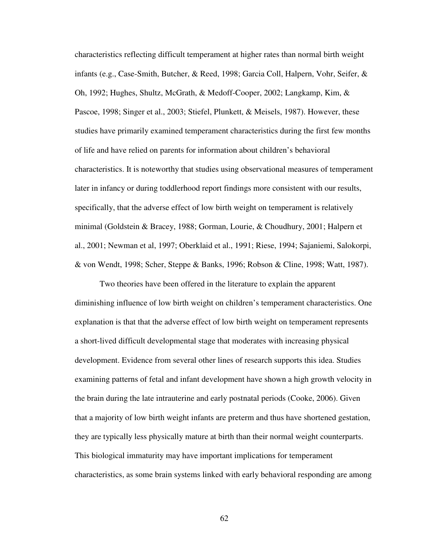characteristics reflecting difficult temperament at higher rates than normal birth weight infants (e.g., Case-Smith, Butcher, & Reed, 1998; Garcia Coll, Halpern, Vohr, Seifer, & Oh, 1992; Hughes, Shultz, McGrath, & Medoff-Cooper, 2002; Langkamp, Kim, & Pascoe, 1998; Singer et al., 2003; Stiefel, Plunkett, & Meisels, 1987). However, these studies have primarily examined temperament characteristics during the first few months of life and have relied on parents for information about children's behavioral characteristics. It is noteworthy that studies using observational measures of temperament later in infancy or during toddlerhood report findings more consistent with our results, specifically, that the adverse effect of low birth weight on temperament is relatively minimal (Goldstein & Bracey, 1988; Gorman, Lourie, & Choudhury, 2001; Halpern et al., 2001; Newman et al, 1997; Oberklaid et al., 1991; Riese, 1994; Sajaniemi, Salokorpi, & von Wendt, 1998; Scher, Steppe & Banks, 1996; Robson & Cline, 1998; Watt, 1987).

 Two theories have been offered in the literature to explain the apparent diminishing influence of low birth weight on children's temperament characteristics. One explanation is that that the adverse effect of low birth weight on temperament represents a short-lived difficult developmental stage that moderates with increasing physical development. Evidence from several other lines of research supports this idea. Studies examining patterns of fetal and infant development have shown a high growth velocity in the brain during the late intrauterine and early postnatal periods (Cooke, 2006). Given that a majority of low birth weight infants are preterm and thus have shortened gestation, they are typically less physically mature at birth than their normal weight counterparts. This biological immaturity may have important implications for temperament characteristics, as some brain systems linked with early behavioral responding are among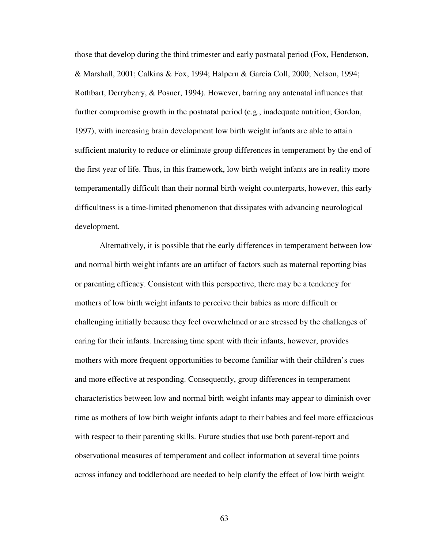those that develop during the third trimester and early postnatal period (Fox, Henderson, & Marshall, 2001; Calkins & Fox, 1994; Halpern & Garcia Coll, 2000; Nelson, 1994; Rothbart, Derryberry, & Posner, 1994). However, barring any antenatal influences that further compromise growth in the postnatal period (e.g., inadequate nutrition; Gordon, 1997), with increasing brain development low birth weight infants are able to attain sufficient maturity to reduce or eliminate group differences in temperament by the end of the first year of life. Thus, in this framework, low birth weight infants are in reality more temperamentally difficult than their normal birth weight counterparts, however, this early difficultness is a time-limited phenomenon that dissipates with advancing neurological development.

Alternatively, it is possible that the early differences in temperament between low and normal birth weight infants are an artifact of factors such as maternal reporting bias or parenting efficacy. Consistent with this perspective, there may be a tendency for mothers of low birth weight infants to perceive their babies as more difficult or challenging initially because they feel overwhelmed or are stressed by the challenges of caring for their infants. Increasing time spent with their infants, however, provides mothers with more frequent opportunities to become familiar with their children's cues and more effective at responding. Consequently, group differences in temperament characteristics between low and normal birth weight infants may appear to diminish over time as mothers of low birth weight infants adapt to their babies and feel more efficacious with respect to their parenting skills. Future studies that use both parent-report and observational measures of temperament and collect information at several time points across infancy and toddlerhood are needed to help clarify the effect of low birth weight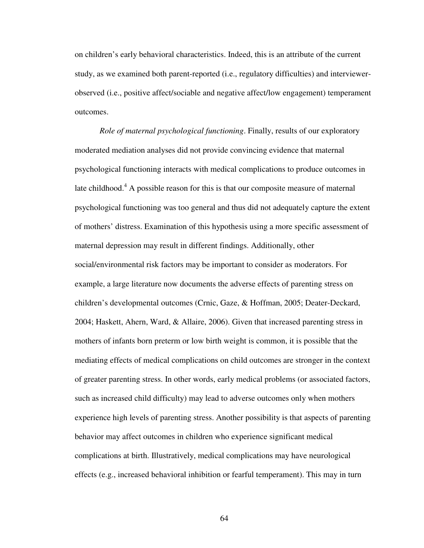on children's early behavioral characteristics. Indeed, this is an attribute of the current study, as we examined both parent-reported (i.e., regulatory difficulties) and interviewerobserved (i.e., positive affect/sociable and negative affect/low engagement) temperament outcomes.

*Role of maternal psychological functioning*. Finally, results of our exploratory moderated mediation analyses did not provide convincing evidence that maternal psychological functioning interacts with medical complications to produce outcomes in late childhood.<sup>4</sup> A possible reason for this is that our composite measure of maternal psychological functioning was too general and thus did not adequately capture the extent of mothers' distress. Examination of this hypothesis using a more specific assessment of maternal depression may result in different findings. Additionally, other social/environmental risk factors may be important to consider as moderators. For example, a large literature now documents the adverse effects of parenting stress on children's developmental outcomes (Crnic, Gaze, & Hoffman, 2005; Deater-Deckard, 2004; Haskett, Ahern, Ward, & Allaire, 2006). Given that increased parenting stress in mothers of infants born preterm or low birth weight is common, it is possible that the mediating effects of medical complications on child outcomes are stronger in the context of greater parenting stress. In other words, early medical problems (or associated factors, such as increased child difficulty) may lead to adverse outcomes only when mothers experience high levels of parenting stress. Another possibility is that aspects of parenting behavior may affect outcomes in children who experience significant medical complications at birth. Illustratively, medical complications may have neurological effects (e.g., increased behavioral inhibition or fearful temperament). This may in turn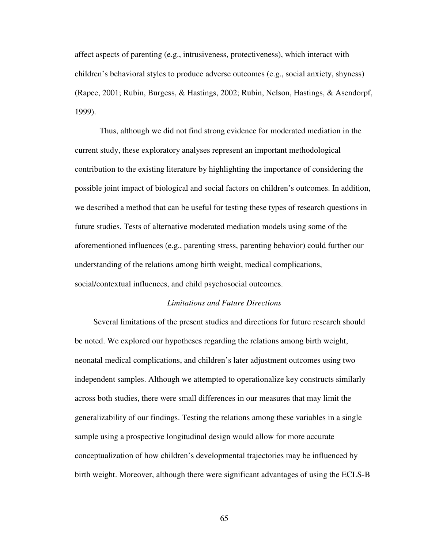affect aspects of parenting (e.g., intrusiveness, protectiveness), which interact with children's behavioral styles to produce adverse outcomes (e.g., social anxiety, shyness) (Rapee, 2001; Rubin, Burgess, & Hastings, 2002; Rubin, Nelson, Hastings, & Asendorpf, 1999).

 Thus, although we did not find strong evidence for moderated mediation in the current study, these exploratory analyses represent an important methodological contribution to the existing literature by highlighting the importance of considering the possible joint impact of biological and social factors on children's outcomes. In addition, we described a method that can be useful for testing these types of research questions in future studies. Tests of alternative moderated mediation models using some of the aforementioned influences (e.g., parenting stress, parenting behavior) could further our understanding of the relations among birth weight, medical complications, social/contextual influences, and child psychosocial outcomes.

## *Limitations and Future Directions*

 Several limitations of the present studies and directions for future research should be noted. We explored our hypotheses regarding the relations among birth weight, neonatal medical complications, and children's later adjustment outcomes using two independent samples. Although we attempted to operationalize key constructs similarly across both studies, there were small differences in our measures that may limit the generalizability of our findings. Testing the relations among these variables in a single sample using a prospective longitudinal design would allow for more accurate conceptualization of how children's developmental trajectories may be influenced by birth weight. Moreover, although there were significant advantages of using the ECLS-B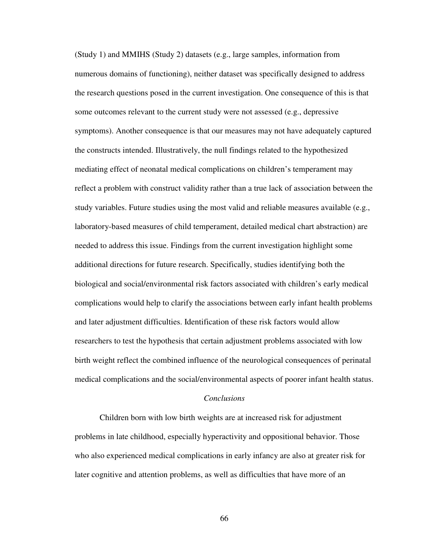(Study 1) and MMIHS (Study 2) datasets (e.g., large samples, information from numerous domains of functioning), neither dataset was specifically designed to address the research questions posed in the current investigation. One consequence of this is that some outcomes relevant to the current study were not assessed (e.g., depressive symptoms). Another consequence is that our measures may not have adequately captured the constructs intended. Illustratively, the null findings related to the hypothesized mediating effect of neonatal medical complications on children's temperament may reflect a problem with construct validity rather than a true lack of association between the study variables. Future studies using the most valid and reliable measures available (e.g., laboratory-based measures of child temperament, detailed medical chart abstraction) are needed to address this issue. Findings from the current investigation highlight some additional directions for future research. Specifically, studies identifying both the biological and social/environmental risk factors associated with children's early medical complications would help to clarify the associations between early infant health problems and later adjustment difficulties. Identification of these risk factors would allow researchers to test the hypothesis that certain adjustment problems associated with low birth weight reflect the combined influence of the neurological consequences of perinatal medical complications and the social/environmental aspects of poorer infant health status.

## *Conclusions*

 Children born with low birth weights are at increased risk for adjustment problems in late childhood, especially hyperactivity and oppositional behavior. Those who also experienced medical complications in early infancy are also at greater risk for later cognitive and attention problems, as well as difficulties that have more of an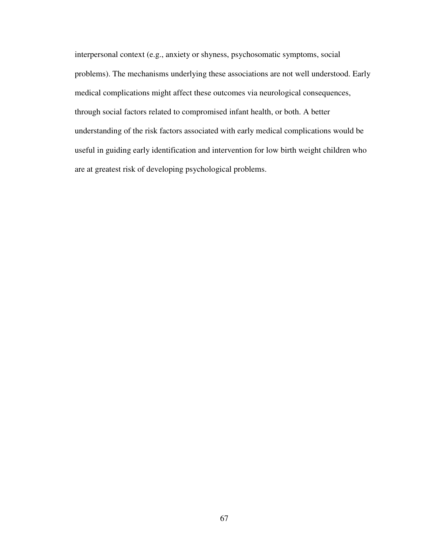interpersonal context (e.g., anxiety or shyness, psychosomatic symptoms, social problems). The mechanisms underlying these associations are not well understood. Early medical complications might affect these outcomes via neurological consequences, through social factors related to compromised infant health, or both. A better understanding of the risk factors associated with early medical complications would be useful in guiding early identification and intervention for low birth weight children who are at greatest risk of developing psychological problems.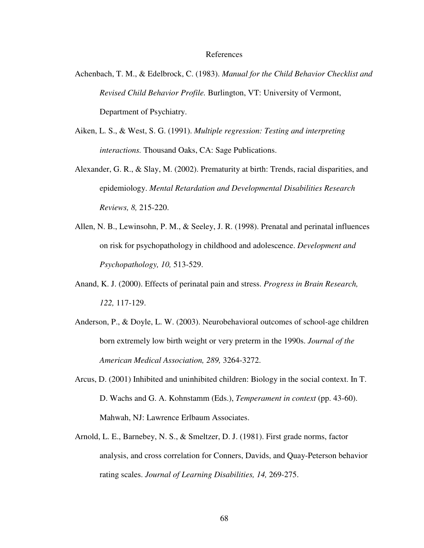## References

- Achenbach, T. M., & Edelbrock, C. (1983). *Manual for the Child Behavior Checklist and Revised Child Behavior Profile.* Burlington, VT: University of Vermont, Department of Psychiatry.
- Aiken, L. S., & West, S. G. (1991). *Multiple regression: Testing and interpreting interactions.* Thousand Oaks, CA: Sage Publications.
- Alexander, G. R., & Slay, M. (2002). Prematurity at birth: Trends, racial disparities, and epidemiology. *Mental Retardation and Developmental Disabilities Research Reviews, 8,* 215-220.
- Allen, N. B., Lewinsohn, P. M., & Seeley, J. R. (1998). Prenatal and perinatal influences on risk for psychopathology in childhood and adolescence. *Development and Psychopathology, 10,* 513-529.
- Anand, K. J. (2000). Effects of perinatal pain and stress. *Progress in Brain Research, 122,* 117-129.
- Anderson, P., & Doyle, L. W. (2003). Neurobehavioral outcomes of school-age children born extremely low birth weight or very preterm in the 1990s. *Journal of the American Medical Association, 289,* 3264-3272.
- Arcus, D. (2001) Inhibited and uninhibited children: Biology in the social context. In T. D. Wachs and G. A. Kohnstamm (Eds.), *Temperament in context* (pp. 43-60). Mahwah, NJ: Lawrence Erlbaum Associates.
- Arnold, L. E., Barnebey, N. S., & Smeltzer, D. J. (1981). First grade norms, factor analysis, and cross correlation for Conners, Davids, and Quay-Peterson behavior rating scales. *Journal of Learning Disabilities, 14,* 269-275.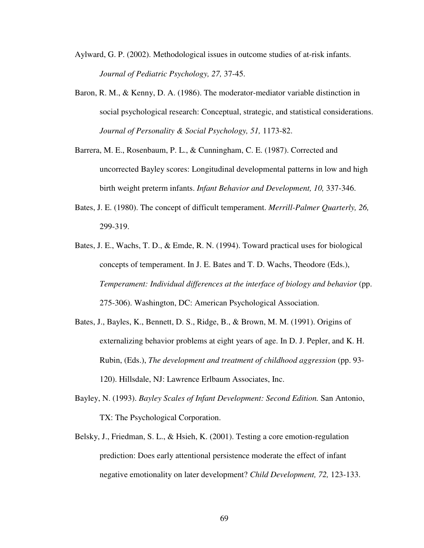- Aylward, G. P. (2002). Methodological issues in outcome studies of at-risk infants. *Journal of Pediatric Psychology, 27,* 37-45.
- Baron, R. M., & Kenny, D. A. (1986). The moderator-mediator variable distinction in social psychological research: Conceptual, strategic, and statistical considerations. *Journal of Personality & Social Psychology, 51,* 1173-82.
- Barrera, M. E., Rosenbaum, P. L., & Cunningham, C. E. (1987). Corrected and uncorrected Bayley scores: Longitudinal developmental patterns in low and high birth weight preterm infants. *Infant Behavior and Development, 10,* 337-346.
- Bates, J. E. (1980). The concept of difficult temperament. *Merrill-Palmer Quarterly, 26,* 299-319.
- Bates, J. E., Wachs, T. D., & Emde, R. N. (1994). Toward practical uses for biological concepts of temperament. In J. E. Bates and T. D. Wachs, Theodore (Eds.), *Temperament: Individual differences at the interface of biology and behavior* (pp. 275-306). Washington, DC: American Psychological Association.
- Bates, J., Bayles, K., Bennett, D. S., Ridge, B., & Brown, M. M. (1991). Origins of externalizing behavior problems at eight years of age. In D. J. Pepler, and K. H. Rubin, (Eds.), *The development and treatment of childhood aggression* (pp. 93- 120). Hillsdale, NJ: Lawrence Erlbaum Associates, Inc.
- Bayley, N. (1993). *Bayley Scales of Infant Development: Second Edition.* San Antonio, TX: The Psychological Corporation.
- Belsky, J., Friedman, S. L., & Hsieh, K. (2001). Testing a core emotion-regulation prediction: Does early attentional persistence moderate the effect of infant negative emotionality on later development? *Child Development, 72,* 123-133.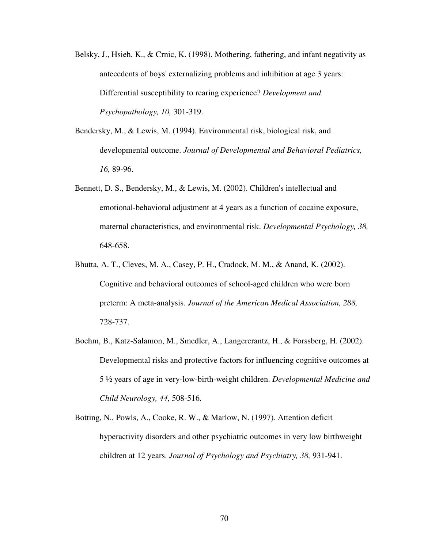- Belsky, J., Hsieh, K., & Crnic, K. (1998). Mothering, fathering, and infant negativity as antecedents of boys' externalizing problems and inhibition at age 3 years: Differential susceptibility to rearing experience? *Development and Psychopathology, 10,* 301-319.
- Bendersky, M., & Lewis, M. (1994). Environmental risk, biological risk, and developmental outcome. *Journal of Developmental and Behavioral Pediatrics, 16,* 89-96.
- Bennett, D. S., Bendersky, M., & Lewis, M. (2002). Children's intellectual and emotional-behavioral adjustment at 4 years as a function of cocaine exposure, maternal characteristics, and environmental risk. *Developmental Psychology, 38,* 648-658.
- Bhutta, A. T., Cleves, M. A., Casey, P. H., Cradock, M. M., & Anand, K. (2002). Cognitive and behavioral outcomes of school-aged children who were born preterm: A meta-analysis. *Journal of the American Medical Association, 288,*  728-737.
- Boehm, B., Katz-Salamon, M., Smedler, A., Langercrantz, H., & Forssberg, H. (2002). Developmental risks and protective factors for influencing cognitive outcomes at 5 ½ years of age in very-low-birth-weight children. *Developmental Medicine and Child Neurology, 44,* 508-516.
- Botting, N., Powls, A., Cooke, R. W., & Marlow, N. (1997). Attention deficit hyperactivity disorders and other psychiatric outcomes in very low birthweight children at 12 years. *Journal of Psychology and Psychiatry, 38,* 931-941.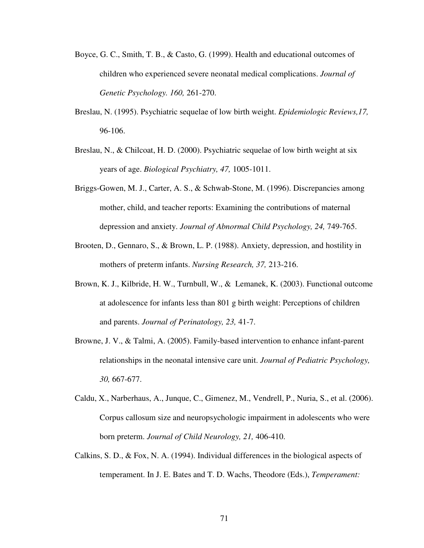- Boyce, G. C., Smith, T. B., & Casto, G. (1999). Health and educational outcomes of children who experienced severe neonatal medical complications. *Journal of Genetic Psychology. 160,* 261-270.
- Breslau, N. (1995). Psychiatric sequelae of low birth weight. *Epidemiologic Reviews,17,*  96-106.
- Breslau, N., & Chilcoat, H. D. (2000). Psychiatric sequelae of low birth weight at six years of age. *Biological Psychiatry, 47,* 1005-1011.
- Briggs-Gowen, M. J., Carter, A. S., & Schwab-Stone, M. (1996). Discrepancies among mother, child, and teacher reports: Examining the contributions of maternal depression and anxiety. *Journal of Abnormal Child Psychology, 24,* 749-765.
- Brooten, D., Gennaro, S., & Brown, L. P. (1988). Anxiety, depression, and hostility in mothers of preterm infants. *Nursing Research, 37,* 213-216.
- Brown, K. J., Kilbride, H. W., Turnbull, W., & Lemanek, K. (2003). Functional outcome at adolescence for infants less than 801 g birth weight: Perceptions of children and parents. *Journal of Perinatology, 23,* 41-7.
- Browne, J. V., & Talmi, A. (2005). Family-based intervention to enhance infant-parent relationships in the neonatal intensive care unit. *Journal of Pediatric Psychology, 30,* 667-677.
- Caldu, X., Narberhaus, A., Junque, C., Gimenez, M., Vendrell, P., Nuria, S., et al. (2006). Corpus callosum size and neuropsychologic impairment in adolescents who were born preterm. *Journal of Child Neurology, 21,* 406-410.
- Calkins, S. D., & Fox, N. A. (1994). Individual differences in the biological aspects of temperament. In J. E. Bates and T. D. Wachs, Theodore (Eds.), *Temperament:*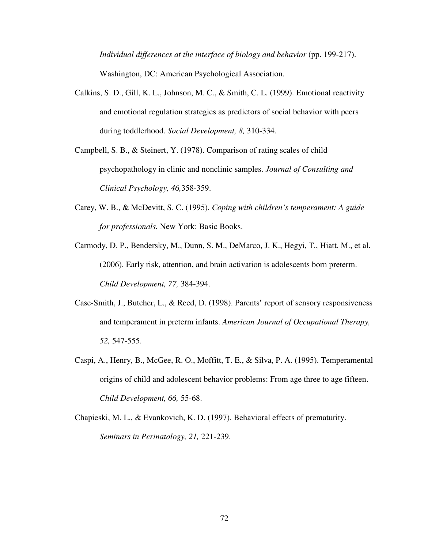*Individual differences at the interface of biology and behavior (pp. 199-217).* Washington, DC: American Psychological Association.

- Calkins, S. D., Gill, K. L., Johnson, M. C., & Smith, C. L. (1999). Emotional reactivity and emotional regulation strategies as predictors of social behavior with peers during toddlerhood. *Social Development, 8,* 310-334.
- Campbell, S. B., & Steinert, Y. (1978). Comparison of rating scales of child psychopathology in clinic and nonclinic samples. *Journal of Consulting and Clinical Psychology, 46,*358-359.
- Carey, W. B., & McDevitt, S. C. (1995). *Coping with children's temperament: A guide for professionals.* New York: Basic Books.
- Carmody, D. P., Bendersky, M., Dunn, S. M., DeMarco, J. K., Hegyi, T., Hiatt, M., et al. (2006). Early risk, attention, and brain activation is adolescents born preterm. *Child Development, 77,* 384-394.
- Case-Smith, J., Butcher, L., & Reed, D. (1998). Parents' report of sensory responsiveness and temperament in preterm infants. *American Journal of Occupational Therapy, 52,* 547-555.
- Caspi, A., Henry, B., McGee, R. O., Moffitt, T. E., & Silva, P. A. (1995). Temperamental origins of child and adolescent behavior problems: From age three to age fifteen. *Child Development, 66,* 55-68.
- Chapieski, M. L., & Evankovich, K. D. (1997). Behavioral effects of prematurity. *Seminars in Perinatology, 21,* 221-239.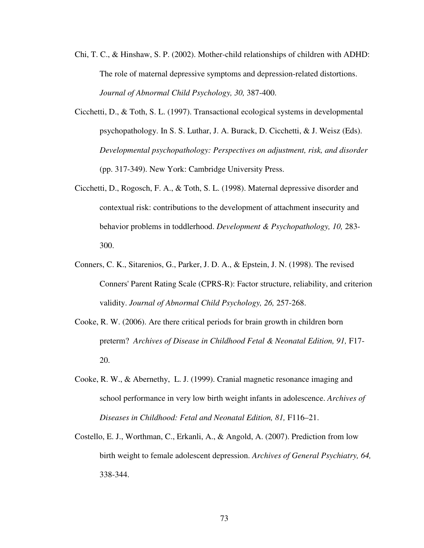- Chi, T. C., & Hinshaw, S. P. (2002). Mother-child relationships of children with ADHD: The role of maternal depressive symptoms and depression-related distortions. *Journal of Abnormal Child Psychology, 30,* 387-400.
- Cicchetti, D., & Toth, S. L. (1997). Transactional ecological systems in developmental psychopathology. In S. S. Luthar, J. A. Burack, D. Cicchetti, & J. Weisz (Eds). *Developmental psychopathology: Perspectives on adjustment, risk, and disorder* (pp. 317-349). New York: Cambridge University Press.
- Cicchetti, D., Rogosch, F. A., & Toth, S. L. (1998). Maternal depressive disorder and contextual risk: contributions to the development of attachment insecurity and behavior problems in toddlerhood. *Development & Psychopathology, 10,* 283- 300.
- Conners, C. K., Sitarenios, G., Parker, J. D. A., & Epstein, J. N. (1998). The revised Conners' Parent Rating Scale (CPRS-R): Factor structure, reliability, and criterion validity. *Journal of Abnormal Child Psychology, 26,* 257-268.
- Cooke, R. W. (2006). Are there critical periods for brain growth in children born preterm? *Archives of Disease in Childhood Fetal & Neonatal Edition, 91,* F17- 20.
- Cooke, R. W., & Abernethy, L. J. (1999). Cranial magnetic resonance imaging and school performance in very low birth weight infants in adolescence. *Archives of Diseases in Childhood: Fetal and Neonatal Edition, 81,* F116–21.
- Costello, E. J., Worthman, C., Erkanli, A., & Angold, A. (2007). Prediction from low birth weight to female adolescent depression. *Archives of General Psychiatry, 64,*  338-344.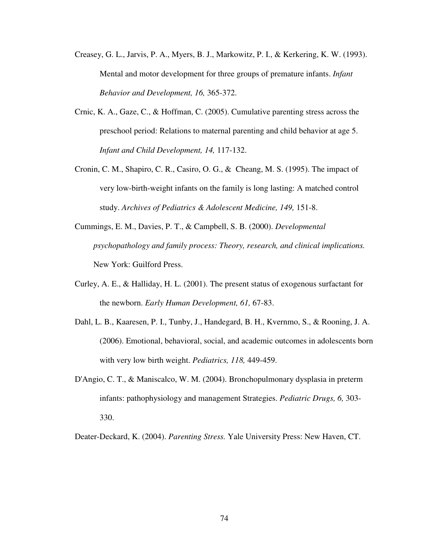- Creasey, G. L., Jarvis, P. A., Myers, B. J., Markowitz, P. I., & Kerkering, K. W. (1993). Mental and motor development for three groups of premature infants. *Infant Behavior and Development, 16,* 365-372.
- Crnic, K. A., Gaze, C., & Hoffman, C. (2005). Cumulative parenting stress across the preschool period: Relations to maternal parenting and child behavior at age 5. *Infant and Child Development, 14,* 117-132.
- Cronin, C. M., Shapiro, C. R., Casiro, O. G., & Cheang, M. S. (1995). The impact of very low-birth-weight infants on the family is long lasting: A matched control study. *Archives of Pediatrics & Adolescent Medicine, 149,* 151-8.
- Cummings, E. M., Davies, P. T., & Campbell, S. B. (2000). *Developmental psychopathology and family process: Theory, research, and clinical implications.* New York: Guilford Press.
- Curley, A. E., & Halliday, H. L. (2001). The present status of exogenous surfactant for the newborn. *Early Human Development, 61,* 67-83.
- Dahl, L. B., Kaaresen, P. I., Tunby, J., Handegard, B. H., Kvernmo, S., & Rooning, J. A. (2006). Emotional, behavioral, social, and academic outcomes in adolescents born with very low birth weight. *Pediatrics, 118,* 449-459.
- D'Angio, C. T., & Maniscalco, W. M. (2004). Bronchopulmonary dysplasia in preterm infants: pathophysiology and management Strategies. *Pediatric Drugs, 6,* 303- 330.

Deater-Deckard, K. (2004). *Parenting Stress.* Yale University Press: New Haven, CT.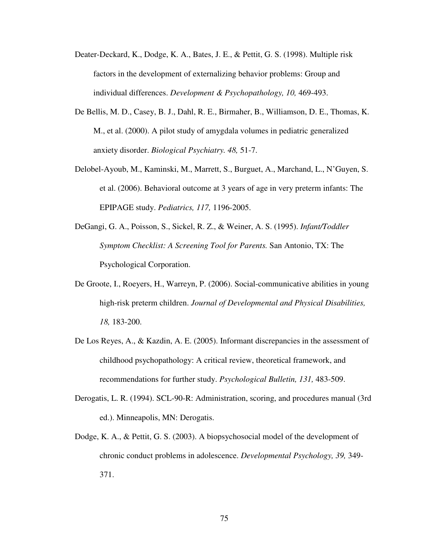- Deater-Deckard, K., Dodge, K. A., Bates, J. E., & Pettit, G. S. (1998). Multiple risk factors in the development of externalizing behavior problems: Group and individual differences. *Development & Psychopathology, 10,* 469-493.
- De Bellis, M. D., Casey, B. J., Dahl, R. E., Birmaher, B., Williamson, D. E., Thomas, K. M., et al. (2000). A pilot study of amygdala volumes in pediatric generalized anxiety disorder. *Biological Psychiatry. 48,* 51-7.
- Delobel-Ayoub, M., Kaminski, M., Marrett, S., Burguet, A., Marchand, L., N'Guyen, S. et al. (2006). Behavioral outcome at 3 years of age in very preterm infants: The EPIPAGE study. *Pediatrics, 117,* 1196-2005.
- DeGangi, G. A., Poisson, S., Sickel, R. Z., & Weiner, A. S. (1995). *Infant/Toddler Symptom Checklist: A Screening Tool for Parents.* San Antonio, TX: The Psychological Corporation.
- De Groote, I., Roeyers, H., Warreyn, P. (2006). Social-communicative abilities in young high-risk preterm children. *Journal of Developmental and Physical Disabilities, 18,* 183-200.
- De Los Reyes, A., & Kazdin, A. E. (2005). Informant discrepancies in the assessment of childhood psychopathology: A critical review, theoretical framework, and recommendations for further study. *Psychological Bulletin, 131,* 483-509.
- Derogatis, L. R. (1994). SCL-90-R: Administration, scoring, and procedures manual (3rd ed.). Minneapolis, MN: Derogatis.
- Dodge, K. A., & Pettit, G. S. (2003). A biopsychosocial model of the development of chronic conduct problems in adolescence. *Developmental Psychology, 39,* 349- 371.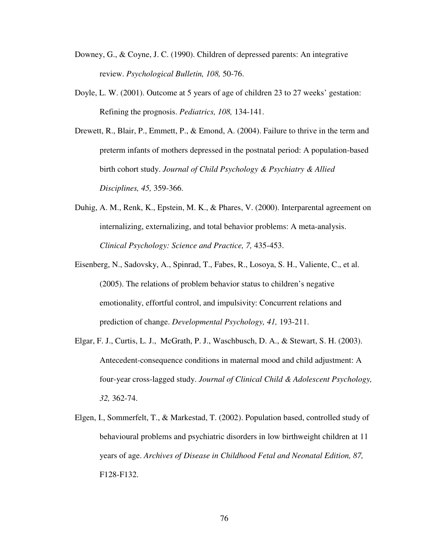- Downey, G., & Coyne, J. C. (1990). Children of depressed parents: An integrative review. *Psychological Bulletin, 108,* 50-76.
- Doyle, L. W. (2001). Outcome at 5 years of age of children 23 to 27 weeks' gestation: Refining the prognosis. *Pediatrics, 108,* 134-141.
- Drewett, R., Blair, P., Emmett, P., & Emond, A. (2004). Failure to thrive in the term and preterm infants of mothers depressed in the postnatal period: A population-based birth cohort study. *Journal of Child Psychology & Psychiatry & Allied Disciplines, 45,* 359-366.
- Duhig, A. M., Renk, K., Epstein, M. K., & Phares, V. (2000). Interparental agreement on internalizing, externalizing, and total behavior problems: A meta-analysis. *Clinical Psychology: Science and Practice, 7,* 435-453.
- Eisenberg, N., Sadovsky, A., Spinrad, T., Fabes, R., Losoya, S. H., Valiente, C., et al. (2005). The relations of problem behavior status to children's negative emotionality, effortful control, and impulsivity: Concurrent relations and prediction of change. *Developmental Psychology, 41,* 193-211.
- Elgar, F. J., Curtis, L. J., McGrath, P. J., Waschbusch, D. A., & Stewart, S. H. (2003). Antecedent-consequence conditions in maternal mood and child adjustment: A four-year cross-lagged study. *Journal of Clinical Child & Adolescent Psychology, 32,* 362-74.
- Elgen, I., Sommerfelt, T., & Markestad, T. (2002). Population based, controlled study of behavioural problems and psychiatric disorders in low birthweight children at 11 years of age. *Archives of Disease in Childhood Fetal and Neonatal Edition, 87,* F128-F132.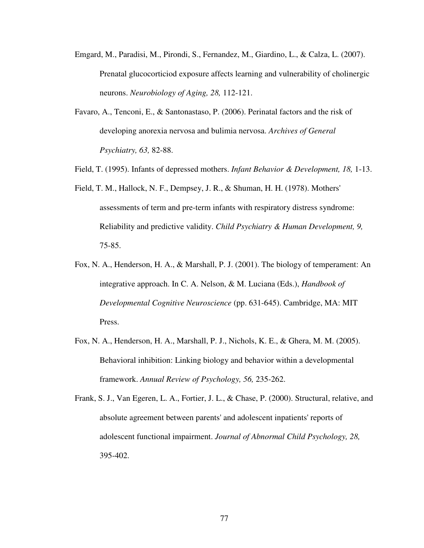- Emgard, M., Paradisi, M., Pirondi, S., Fernandez, M., Giardino, L., & Calza, L. (2007). Prenatal glucocorticiod exposure affects learning and vulnerability of cholinergic neurons. *Neurobiology of Aging, 28,* 112-121.
- Favaro, A., Tenconi, E., & Santonastaso, P. (2006). Perinatal factors and the risk of developing anorexia nervosa and bulimia nervosa. *Archives of General Psychiatry, 63,* 82-88.
- Field, T. (1995). Infants of depressed mothers. *Infant Behavior & Development, 18,* 1-13.
- Field, T. M., Hallock, N. F., Dempsey, J. R., & Shuman, H. H. (1978). Mothers' assessments of term and pre-term infants with respiratory distress syndrome: Reliability and predictive validity. *Child Psychiatry & Human Development, 9,* 75-85.
- Fox, N. A., Henderson, H. A., & Marshall, P. J. (2001). The biology of temperament: An integrative approach. In C. A. Nelson, & M. Luciana (Eds.), *Handbook of Developmental Cognitive Neuroscience* (pp. 631-645). Cambridge, MA: MIT Press.
- Fox, N. A., Henderson, H. A., Marshall, P. J., Nichols, K. E., & Ghera, M. M. (2005). Behavioral inhibition: Linking biology and behavior within a developmental framework. *Annual Review of Psychology, 56,* 235-262.
- Frank, S. J., Van Egeren, L. A., Fortier, J. L., & Chase, P. (2000). Structural, relative, and absolute agreement between parents' and adolescent inpatients' reports of adolescent functional impairment. *Journal of Abnormal Child Psychology, 28,* 395-402.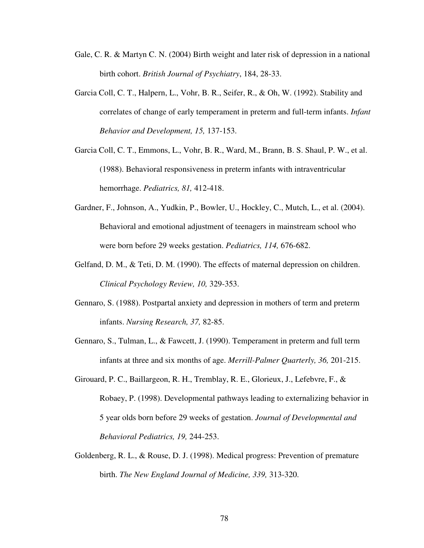- Gale, C. R. & Martyn C. N. (2004) Birth weight and later risk of depression in a national birth cohort. *British Journal of Psychiatry*, 184, 28-33.
- Garcia Coll, C. T., Halpern, L., Vohr, B. R., Seifer, R., & Oh, W. (1992). Stability and correlates of change of early temperament in preterm and full-term infants. *Infant Behavior and Development, 15,* 137-153.
- Garcia Coll, C. T., Emmons, L., Vohr, B. R., Ward, M., Brann, B. S. Shaul, P. W., et al. (1988). Behavioral responsiveness in preterm infants with intraventricular hemorrhage. *Pediatrics, 81,* 412-418.
- Gardner, F., Johnson, A., Yudkin, P., Bowler, U., Hockley, C., Mutch, L., et al. (2004). Behavioral and emotional adjustment of teenagers in mainstream school who were born before 29 weeks gestation. *Pediatrics, 114,* 676-682.
- Gelfand, D. M., & Teti, D. M. (1990). The effects of maternal depression on children. *Clinical Psychology Review, 10,* 329-353.
- Gennaro, S. (1988). Postpartal anxiety and depression in mothers of term and preterm infants. *Nursing Research, 37,* 82-85.
- Gennaro, S., Tulman, L., & Fawcett, J. (1990). Temperament in preterm and full term infants at three and six months of age. *Merrill-Palmer Quarterly, 36,* 201-215.
- Girouard, P. C., Baillargeon, R. H., Tremblay, R. E., Glorieux, J., Lefebvre, F., & Robaey, P. (1998). Developmental pathways leading to externalizing behavior in 5 year olds born before 29 weeks of gestation. *Journal of Developmental and Behavioral Pediatrics, 19,* 244-253.
- Goldenberg, R. L., & Rouse, D. J. (1998). Medical progress: Prevention of premature birth. *The New England Journal of Medicine, 339,* 313-320.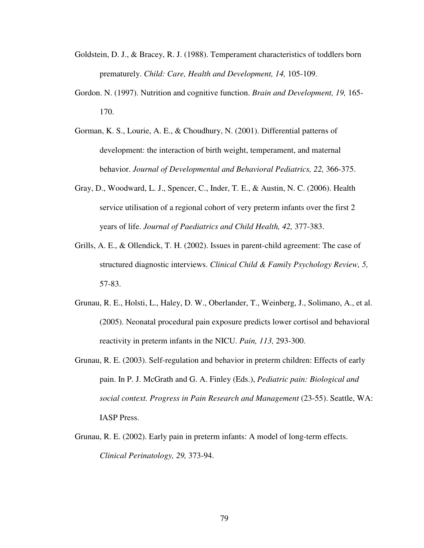- Goldstein, D. J., & Bracey, R. J. (1988). Temperament characteristics of toddlers born prematurely. *Child: Care, Health and Development, 14,* 105-109.
- Gordon. N. (1997). Nutrition and cognitive function. *Brain and Development, 19,* 165- 170.
- Gorman, K. S., Lourie, A. E., & Choudhury, N. (2001). Differential patterns of development: the interaction of birth weight, temperament, and maternal behavior. *Journal of Developmental and Behavioral Pediatrics, 22,* 366-375.
- Gray, D., Woodward, L. J., Spencer, C., Inder, T. E., & Austin, N. C. (2006). Health service utilisation of a regional cohort of very preterm infants over the first 2 years of life. *Journal of Paediatrics and Child Health, 42,* 377-383.
- Grills, A. E., & Ollendick, T. H. (2002). Issues in parent-child agreement: The case of structured diagnostic interviews. *Clinical Child & Family Psychology Review, 5,* 57-83.
- Grunau, R. E., Holsti, L., Haley, D. W., Oberlander, T., Weinberg, J., Solimano, A., et al. (2005). Neonatal procedural pain exposure predicts lower cortisol and behavioral reactivity in preterm infants in the NICU. *Pain, 113,* 293-300.
- Grunau, R. E. (2003). Self-regulation and behavior in preterm children: Effects of early pain. In P. J. McGrath and G. A. Finley (Eds.), *Pediatric pain: Biological and social context. Progress in Pain Research and Management* (23-55). Seattle, WA: IASP Press.
- Grunau, R. E. (2002). Early pain in preterm infants: A model of long-term effects. *Clinical Perinatology, 29,* 373-94.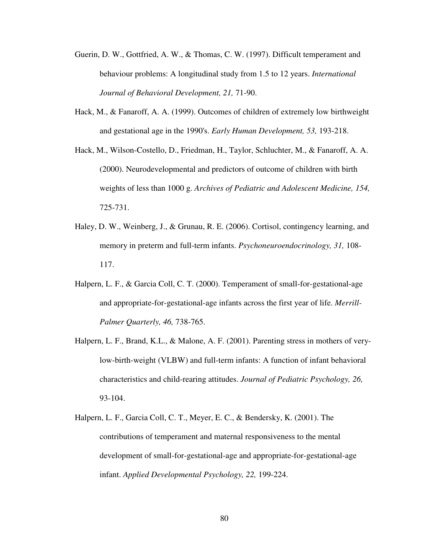- Guerin, D. W., Gottfried, A. W., & Thomas, C. W. (1997). Difficult temperament and behaviour problems: A longitudinal study from 1.5 to 12 years. *International Journal of Behavioral Development, 21,* 71-90.
- Hack, M., & Fanaroff, A. A. (1999). Outcomes of children of extremely low birthweight and gestational age in the 1990's. *Early Human Development, 53,* 193-218.
- Hack, M., Wilson-Costello, D., Friedman, H., Taylor, Schluchter, M., & Fanaroff, A. A. (2000). Neurodevelopmental and predictors of outcome of children with birth weights of less than 1000 g. *Archives of Pediatric and Adolescent Medicine, 154,* 725-731.
- Haley, D. W., Weinberg, J., & Grunau, R. E. (2006). Cortisol, contingency learning, and memory in preterm and full-term infants. *Psychoneuroendocrinology, 31,* 108- 117.
- Halpern, L. F., & Garcia Coll, C. T. (2000). Temperament of small-for-gestational-age and appropriate-for-gestational-age infants across the first year of life. *Merrill-Palmer Quarterly, 46,* 738-765.
- Halpern, L. F., Brand, K.L., & Malone, A. F. (2001). Parenting stress in mothers of verylow-birth-weight (VLBW) and full-term infants: A function of infant behavioral characteristics and child-rearing attitudes. *Journal of Pediatric Psychology, 26,* 93-104.
- Halpern, L. F., Garcia Coll, C. T., Meyer, E. C., & Bendersky, K. (2001). The contributions of temperament and maternal responsiveness to the mental development of small-for-gestational-age and appropriate-for-gestational-age infant. *Applied Developmental Psychology, 22,* 199-224.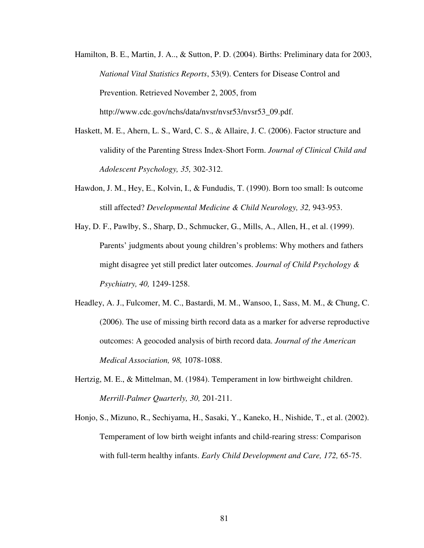- Hamilton, B. E., Martin, J. A.., & Sutton, P. D. (2004). Births: Preliminary data for 2003, *National Vital Statistics Reports*, 53(9). Centers for Disease Control and Prevention. Retrieved November 2, 2005, from http://www.cdc.gov/nchs/data/nvsr/nvsr53/nvsr53\_09.pdf.
- Haskett, M. E., Ahern, L. S., Ward, C. S., & Allaire, J. C. (2006). Factor structure and validity of the Parenting Stress Index-Short Form. *Journal of Clinical Child and Adolescent Psychology, 35,* 302-312.
- Hawdon, J. M., Hey, E., Kolvin, I., & Fundudis, T. (1990). Born too small: Is outcome still affected? *Developmental Medicine & Child Neurology, 32,* 943-953.
- Hay, D. F., Pawlby, S., Sharp, D., Schmucker, G., Mills, A., Allen, H., et al. (1999). Parents' judgments about young children's problems: Why mothers and fathers might disagree yet still predict later outcomes. *Journal of Child Psychology & Psychiatry, 40,* 1249-1258.
- Headley, A. J., Fulcomer, M. C., Bastardi, M. M., Wansoo, I., Sass, M. M., & Chung, C. (2006). The use of missing birth record data as a marker for adverse reproductive outcomes: A geocoded analysis of birth record data. *Journal of the American Medical Association, 98,* 1078-1088.
- Hertzig, M. E., & Mittelman, M. (1984). Temperament in low birthweight children. *Merrill-Palmer Quarterly, 30,* 201-211.
- Honjo, S., Mizuno, R., Sechiyama, H., Sasaki, Y., Kaneko, H., Nishide, T., et al. (2002). Temperament of low birth weight infants and child-rearing stress: Comparison with full-term healthy infants. *Early Child Development and Care, 172,* 65-75.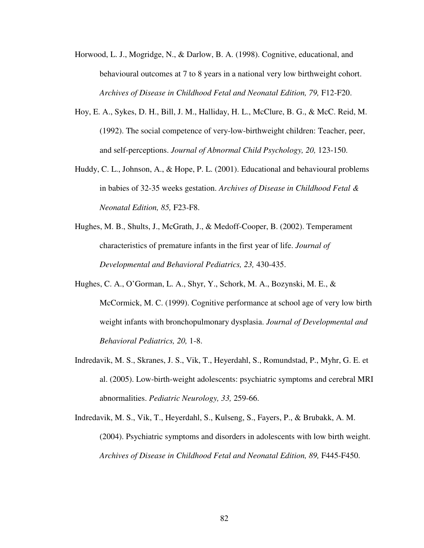- Horwood, L. J., Mogridge, N., & Darlow, B. A. (1998). Cognitive, educational, and behavioural outcomes at 7 to 8 years in a national very low birthweight cohort. *Archives of Disease in Childhood Fetal and Neonatal Edition, 79,* F12-F20.
- Hoy, E. A., Sykes, D. H., Bill, J. M., Halliday, H. L., McClure, B. G., & McC. Reid, M. (1992). The social competence of very-low-birthweight children: Teacher, peer, and self-perceptions. *Journal of Abnormal Child Psychology, 20,* 123-150.
- Huddy, C. L., Johnson, A., & Hope, P. L. (2001). Educational and behavioural problems in babies of 32-35 weeks gestation. *Archives of Disease in Childhood Fetal & Neonatal Edition, 85,* F23-F8.
- Hughes, M. B., Shults, J., McGrath, J., & Medoff-Cooper, B. (2002). Temperament characteristics of premature infants in the first year of life. *Journal of Developmental and Behavioral Pediatrics, 23,* 430-435.
- Hughes, C. A., O'Gorman, L. A., Shyr, Y., Schork, M. A., Bozynski, M. E., & McCormick, M. C. (1999). Cognitive performance at school age of very low birth weight infants with bronchopulmonary dysplasia. *Journal of Developmental and Behavioral Pediatrics, 20,* 1-8.
- Indredavik, M. S., Skranes, J. S., Vik, T., Heyerdahl, S., Romundstad, P., Myhr, G. E. et al. (2005). Low-birth-weight adolescents: psychiatric symptoms and cerebral MRI abnormalities. *Pediatric Neurology, 33,* 259-66.
- Indredavik, M. S., Vik, T., Heyerdahl, S., Kulseng, S., Fayers, P., & Brubakk, A. M. (2004). Psychiatric symptoms and disorders in adolescents with low birth weight. *Archives of Disease in Childhood Fetal and Neonatal Edition, 89,* F445-F450.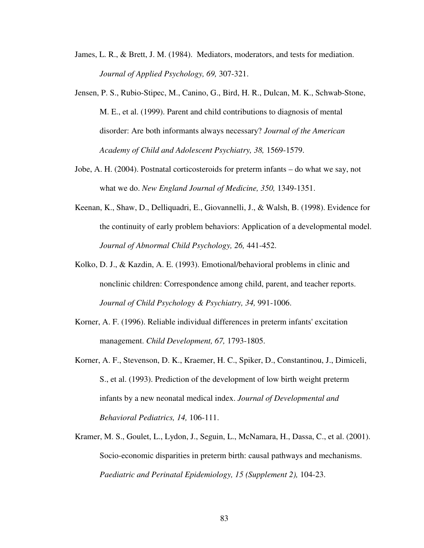- James, L. R., & Brett, J. M. (1984). Mediators, moderators, and tests for mediation. *Journal of Applied Psychology, 69,* 307-321.
- Jensen, P. S., Rubio-Stipec, M., Canino, G., Bird, H. R., Dulcan, M. K., Schwab-Stone, M. E., et al. (1999). Parent and child contributions to diagnosis of mental disorder: Are both informants always necessary? *Journal of the American Academy of Child and Adolescent Psychiatry, 38,* 1569-1579.
- Jobe, A. H. (2004). Postnatal corticosteroids for preterm infants do what we say, not what we do. *New England Journal of Medicine, 350,* 1349-1351.
- Keenan, K., Shaw, D., Delliquadri, E., Giovannelli, J., & Walsh, B. (1998). Evidence for the continuity of early problem behaviors: Application of a developmental model. *Journal of Abnormal Child Psychology, 26,* 441-452.
- Kolko, D. J., & Kazdin, A. E. (1993). Emotional/behavioral problems in clinic and nonclinic children: Correspondence among child, parent, and teacher reports. *Journal of Child Psychology & Psychiatry, 34,* 991-1006.
- Korner, A. F. (1996). Reliable individual differences in preterm infants' excitation management. *Child Development, 67,* 1793-1805.
- Korner, A. F., Stevenson, D. K., Kraemer, H. C., Spiker, D., Constantinou, J., Dimiceli, S., et al. (1993). Prediction of the development of low birth weight preterm infants by a new neonatal medical index. *Journal of Developmental and Behavioral Pediatrics, 14,* 106-111.
- Kramer, M. S., Goulet, L., Lydon, J., Seguin, L., McNamara, H., Dassa, C., et al. (2001). Socio-economic disparities in preterm birth: causal pathways and mechanisms. *Paediatric and Perinatal Epidemiology, 15 (Supplement 2), 104-23.*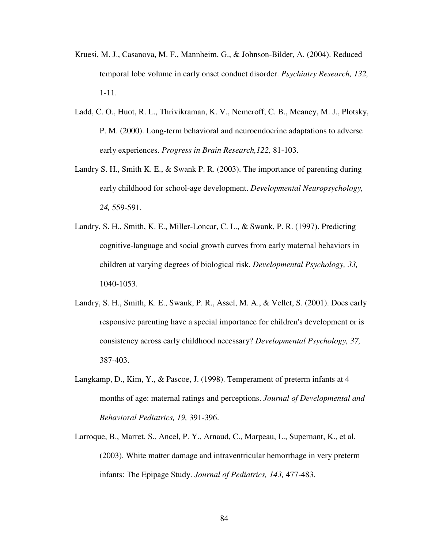- Kruesi, M. J., Casanova, M. F., Mannheim, G., & Johnson-Bilder, A. (2004). Reduced temporal lobe volume in early onset conduct disorder. *Psychiatry Research, 132,*  1-11.
- Ladd, C. O., Huot, R. L., Thrivikraman, K. V., Nemeroff, C. B., Meaney, M. J., Plotsky, P. M. (2000). Long-term behavioral and neuroendocrine adaptations to adverse early experiences. *Progress in Brain Research,122,* 81-103.
- Landry S. H., Smith K. E., & Swank P. R. (2003). The importance of parenting during early childhood for school-age development. *Developmental Neuropsychology, 24,* 559-591.
- Landry, S. H., Smith, K. E., Miller-Loncar, C. L., & Swank, P. R. (1997). Predicting cognitive-language and social growth curves from early maternal behaviors in children at varying degrees of biological risk. *Developmental Psychology, 33,* 1040-1053.
- Landry, S. H., Smith, K. E., Swank, P. R., Assel, M. A., & Vellet, S. (2001). Does early responsive parenting have a special importance for children's development or is consistency across early childhood necessary? *Developmental Psychology, 37,* 387-403.
- Langkamp, D., Kim, Y., & Pascoe, J. (1998). Temperament of preterm infants at 4 months of age: maternal ratings and perceptions. *Journal of Developmental and Behavioral Pediatrics, 19,* 391-396.
- Larroque, B., Marret, S., Ancel, P. Y., Arnaud, C., Marpeau, L., Supernant, K., et al. (2003). White matter damage and intraventricular hemorrhage in very preterm infants: The Epipage Study. *Journal of Pediatrics, 143,* 477-483.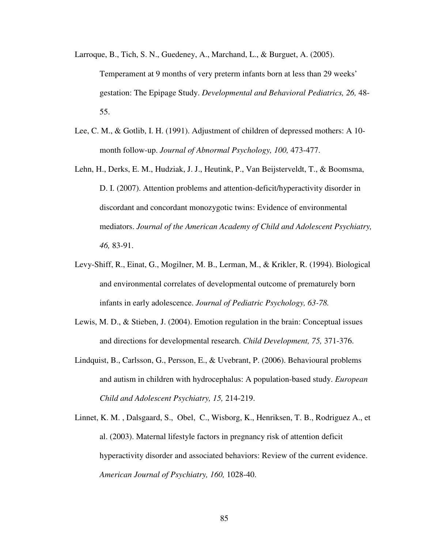- Larroque, B., Tich, S. N., Guedeney, A., Marchand, L., & Burguet, A. (2005). Temperament at 9 months of very preterm infants born at less than 29 weeks' gestation: The Epipage Study. *Developmental and Behavioral Pediatrics, 26,* 48- 55.
- Lee, C. M., & Gotlib, I. H. (1991). Adjustment of children of depressed mothers: A 10 month follow-up. *Journal of Abnormal Psychology, 100,* 473-477.
- Lehn, H., Derks, E. M., Hudziak, J. J., Heutink, P., Van Beijsterveldt, T., & Boomsma, D. I. (2007). Attention problems and attention-deficit/hyperactivity disorder in discordant and concordant monozygotic twins: Evidence of environmental mediators. *Journal of the American Academy of Child and Adolescent Psychiatry, 46,* 83-91.
- Levy-Shiff, R., Einat, G., Mogilner, M. B., Lerman, M., & Krikler, R. (1994). Biological and environmental correlates of developmental outcome of prematurely born infants in early adolescence. *Journal of Pediatric Psychology, 63-78.*
- Lewis, M. D., & Stieben, J. (2004). Emotion regulation in the brain: Conceptual issues and directions for developmental research. *Child Development, 75,* 371-376.
- Lindquist, B., Carlsson, G., Persson, E., & Uvebrant, P. (2006). Behavioural problems and autism in children with hydrocephalus: A population-based study. *European Child and Adolescent Psychiatry, 15,* 214-219.
- Linnet, K. M. , Dalsgaard, S., Obel, C., Wisborg, K., Henriksen, T. B., Rodriguez A., et al. (2003). Maternal lifestyle factors in pregnancy risk of attention deficit hyperactivity disorder and associated behaviors: Review of the current evidence. *American Journal of Psychiatry, 160,* 1028-40.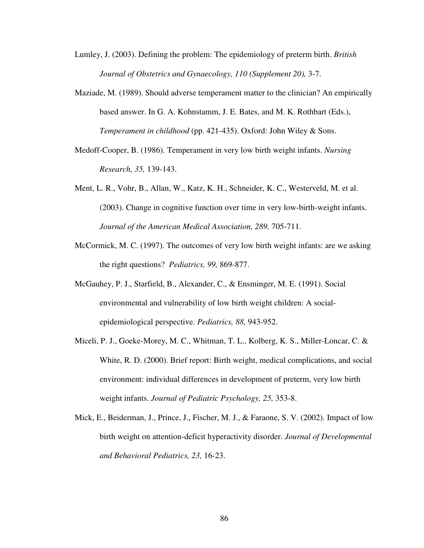Lumley, J. (2003). Defining the problem: The epidemiology of preterm birth. *British Journal of Obstetrics and Gynaecology, 110 (Supplement 20),* 3-7.

- Maziade, M. (1989). Should adverse temperament matter to the clinician? An empirically based answer. In G. A. Kohnstamm, J. E. Bates, and M. K. Rothbart (Eds.), *Temperament in childhood* (pp. 421-435). Oxford: John Wiley & Sons.
- Medoff-Cooper, B. (1986). Temperament in very low birth weight infants. *Nursing Research, 35,* 139-143.
- Ment, L. R., Vohr, B., Allan, W., Katz, K. H., Schneider, K. C., Westerveld, M. et al. (2003). Change in cognitive function over time in very low-birth-weight infants. *Journal of the American Medical Association, 289,* 705-711.
- McCormick, M. C. (1997). The outcomes of very low birth weight infants: are we asking the right questions? *Pediatrics, 99,* 869-877.
- McGauhey, P. J., Starfield, B., Alexander, C., & Ensminger, M. E. (1991). Social environmental and vulnerability of low birth weight children: A socialepidemiological perspective. *Pediatrics, 88,* 943-952.
- Miceli, P. J., Goeke-Morey, M. C., Whitman, T. L., Kolberg, K. S., Miller-Loncar, C. & White, R. D. (2000). Brief report: Birth weight, medical complications, and social environment: individual differences in development of preterm, very low birth weight infants. *Journal of Pediatric Psychology, 25,* 353-8.
- Mick, E., Beiderman, J., Prince, J., Fischer, M. J., & Faraone, S. V. (2002). Impact of low birth weight on attention-deficit hyperactivity disorder. *Journal of Developmental and Behavioral Pediatrics, 23,* 16-23.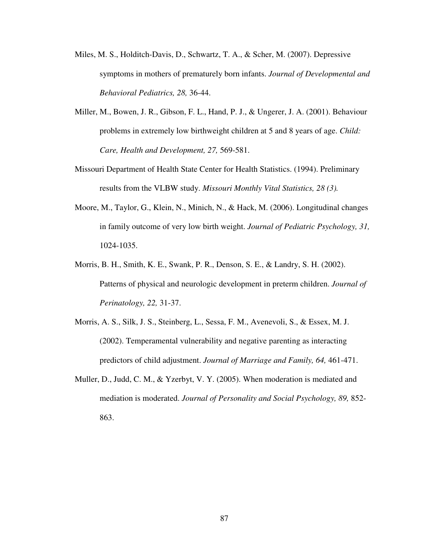- Miles, M. S., Holditch-Davis, D., Schwartz, T. A., & Scher, M. (2007). Depressive symptoms in mothers of prematurely born infants. *Journal of Developmental and Behavioral Pediatrics, 28,* 36-44.
- Miller, M., Bowen, J. R., Gibson, F. L., Hand, P. J., & Ungerer, J. A. (2001). Behaviour problems in extremely low birthweight children at 5 and 8 years of age. *Child: Care, Health and Development, 27,* 569-581.
- Missouri Department of Health State Center for Health Statistics. (1994). Preliminary results from the VLBW study. *Missouri Monthly Vital Statistics, 28 (3).*
- Moore, M., Taylor, G., Klein, N., Minich, N., & Hack, M. (2006). Longitudinal changes in family outcome of very low birth weight. *Journal of Pediatric Psychology, 31,*  1024-1035.
- Morris, B. H., Smith, K. E., Swank, P. R., Denson, S. E., & Landry, S. H. (2002). Patterns of physical and neurologic development in preterm children. *Journal of Perinatology, 22,* 31-37.
- Morris, A. S., Silk, J. S., Steinberg, L., Sessa, F. M., Avenevoli, S., & Essex, M. J. (2002). Temperamental vulnerability and negative parenting as interacting predictors of child adjustment. *Journal of Marriage and Family, 64,* 461-471.
- Muller, D., Judd, C. M., & Yzerbyt, V. Y. (2005). When moderation is mediated and mediation is moderated. *Journal of Personality and Social Psychology, 89,* 852- 863.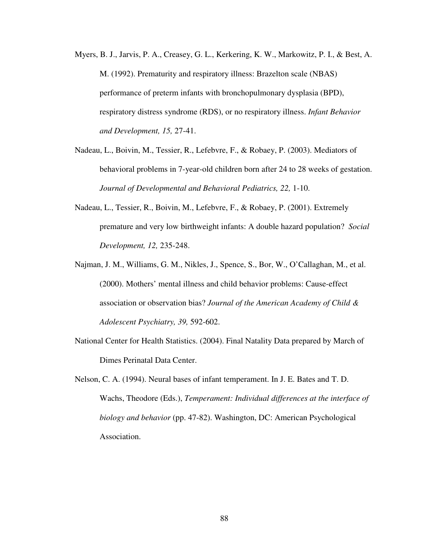- Myers, B. J., Jarvis, P. A., Creasey, G. L., Kerkering, K. W., Markowitz, P. I., & Best, A. M. (1992). Prematurity and respiratory illness: Brazelton scale (NBAS) performance of preterm infants with bronchopulmonary dysplasia (BPD), respiratory distress syndrome (RDS), or no respiratory illness. *Infant Behavior and Development, 15,* 27-41.
- Nadeau, L., Boivin, M., Tessier, R., Lefebvre, F., & Robaey, P. (2003). Mediators of behavioral problems in 7-year-old children born after 24 to 28 weeks of gestation. *Journal of Developmental and Behavioral Pediatrics, 22,* 1-10.
- Nadeau, L., Tessier, R., Boivin, M., Lefebvre, F., & Robaey, P. (2001). Extremely premature and very low birthweight infants: A double hazard population? *Social Development, 12,* 235-248.
- Najman, J. M., Williams, G. M., Nikles, J., Spence, S., Bor, W., O'Callaghan, M., et al. (2000). Mothers' mental illness and child behavior problems: Cause-effect association or observation bias? *Journal of the American Academy of Child & Adolescent Psychiatry, 39,* 592-602.
- National Center for Health Statistics. (2004). Final Natality Data prepared by March of Dimes Perinatal Data Center.
- Nelson, C. A. (1994). Neural bases of infant temperament. In J. E. Bates and T. D. Wachs, Theodore (Eds.), *Temperament: Individual differences at the interface of biology and behavior* (pp. 47-82). Washington, DC: American Psychological Association.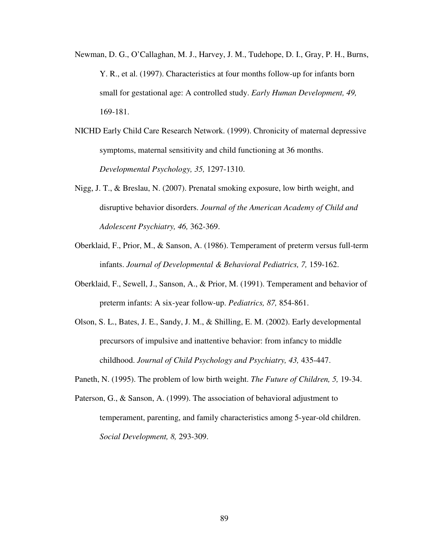- Newman, D. G., O'Callaghan, M. J., Harvey, J. M., Tudehope, D. I., Gray, P. H., Burns, Y. R., et al. (1997). Characteristics at four months follow-up for infants born small for gestational age: A controlled study. *Early Human Development, 49,* 169-181.
- NICHD Early Child Care Research Network. (1999). Chronicity of maternal depressive symptoms, maternal sensitivity and child functioning at 36 months. *Developmental Psychology, 35,* 1297-1310.
- Nigg, J. T., & Breslau, N. (2007). Prenatal smoking exposure, low birth weight, and disruptive behavior disorders. *Journal of the American Academy of Child and Adolescent Psychiatry, 46,* 362-369.
- Oberklaid, F., Prior, M., & Sanson, A. (1986). Temperament of preterm versus full-term infants. *Journal of Developmental & Behavioral Pediatrics, 7,* 159-162.
- Oberklaid, F., Sewell, J., Sanson, A., & Prior, M. (1991). Temperament and behavior of preterm infants: A six-year follow-up. *Pediatrics, 87,* 854-861.
- Olson, S. L., Bates, J. E., Sandy, J. M., & Shilling, E. M. (2002). Early developmental precursors of impulsive and inattentive behavior: from infancy to middle childhood. *Journal of Child Psychology and Psychiatry, 43,* 435-447.
- Paneth, N. (1995). The problem of low birth weight. *The Future of Children, 5,* 19-34.
- Paterson, G., & Sanson, A. (1999). The association of behavioral adjustment to temperament, parenting, and family characteristics among 5-year-old children. *Social Development, 8,* 293-309.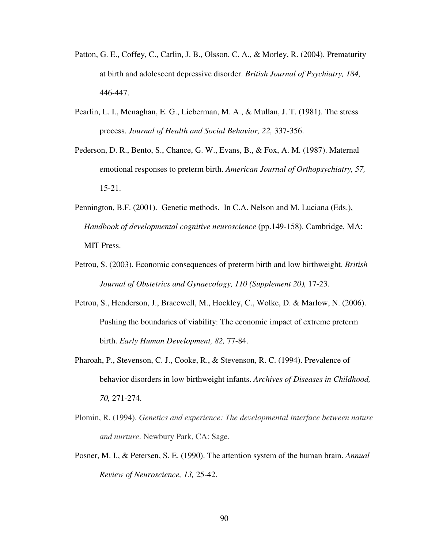- Patton, G. E., Coffey, C., Carlin, J. B., Olsson, C. A., & Morley, R. (2004). Prematurity at birth and adolescent depressive disorder. *British Journal of Psychiatry, 184,*  446-447.
- Pearlin, L. I., Menaghan, E. G., Lieberman, M. A., & Mullan, J. T. (1981). The stress process. *Journal of Health and Social Behavior, 22,* 337-356.
- Pederson, D. R., Bento, S., Chance, G. W., Evans, B., & Fox, A. M. (1987). Maternal emotional responses to preterm birth. *American Journal of Orthopsychiatry, 57,*  15-21.
- Pennington, B.F. (2001). Genetic methods. In C.A. Nelson and M. Luciana (Eds.), *Handbook of developmental cognitive neuroscience* (pp.149-158). Cambridge, MA: MIT Press.
- Petrou, S. (2003). Economic consequences of preterm birth and low birthweight. *British Journal of Obstetrics and Gynaecology, 110 (Supplement 20),* 17-23.
- Petrou, S., Henderson, J., Bracewell, M., Hockley, C., Wolke, D. & Marlow, N. (2006). Pushing the boundaries of viability: The economic impact of extreme preterm birth. *Early Human Development, 82,* 77-84.
- Pharoah, P., Stevenson, C. J., Cooke, R., & Stevenson, R. C. (1994). Prevalence of behavior disorders in low birthweight infants. *Archives of Diseases in Childhood, 70,* 271-274.
- Plomin, R. (1994). *Genetics and experience: The developmental interface between nature and nurture*. Newbury Park, CA: Sage.
- Posner, M. I., & Petersen, S. E. (1990). The attention system of the human brain. *Annual Review of Neuroscience, 13,* 25-42.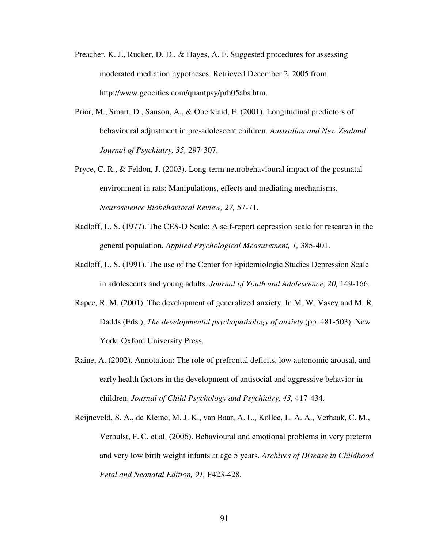- Preacher, K. J., Rucker, D. D., & Hayes, A. F. Suggested procedures for assessing moderated mediation hypotheses. Retrieved December 2, 2005 from http://www.geocities.com/quantpsy/prh05abs.htm.
- Prior, M., Smart, D., Sanson, A., & Oberklaid, F. (2001). Longitudinal predictors of behavioural adjustment in pre-adolescent children. *Australian and New Zealand Journal of Psychiatry, 35,* 297-307.
- Pryce, C. R., & Feldon, J. (2003). Long-term neurobehavioural impact of the postnatal environment in rats: Manipulations, effects and mediating mechanisms. *Neuroscience Biobehavioral Review, 27,* 57-71.
- Radloff, L. S. (1977). The CES-D Scale: A self-report depression scale for research in the general population. *Applied Psychological Measurement, 1,* 385-401.
- Radloff, L. S. (1991). The use of the Center for Epidemiologic Studies Depression Scale in adolescents and young adults. *Journal of Youth and Adolescence, 20,* 149-166.
- Rapee, R. M. (2001). The development of generalized anxiety. In M. W. Vasey and M. R. Dadds (Eds.), *The developmental psychopathology of anxiety* (pp. 481-503). New York: Oxford University Press.
- Raine, A. (2002). Annotation: The role of prefrontal deficits, low autonomic arousal, and early health factors in the development of antisocial and aggressive behavior in children. *Journal of Child Psychology and Psychiatry, 43,* 417-434.
- Reijneveld, S. A., de Kleine, M. J. K., van Baar, A. L., Kollee, L. A. A., Verhaak, C. M., Verhulst, F. C. et al. (2006). Behavioural and emotional problems in very preterm and very low birth weight infants at age 5 years. *Archives of Disease in Childhood Fetal and Neonatal Edition, 91,* F423-428.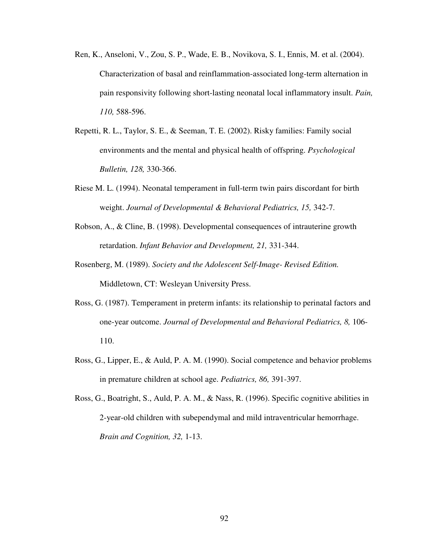- Ren, K., Anseloni, V., Zou, S. P., Wade, E. B., Novikova, S. I., Ennis, M. et al. (2004). Characterization of basal and reinflammation-associated long-term alternation in pain responsivity following short-lasting neonatal local inflammatory insult. *Pain, 110,* 588-596.
- Repetti, R. L., Taylor, S. E., & Seeman, T. E. (2002). Risky families: Family social environments and the mental and physical health of offspring. *Psychological Bulletin, 128,* 330-366.
- Riese M. L. (1994). Neonatal temperament in full-term twin pairs discordant for birth weight. *Journal of Developmental & Behavioral Pediatrics, 15,* 342-7.
- Robson, A., & Cline, B. (1998). Developmental consequences of intrauterine growth retardation. *Infant Behavior and Development, 21,* 331-344.
- Rosenberg, M. (1989). *Society and the Adolescent Self-Image- Revised Edition.* Middletown, CT: Wesleyan University Press.
- Ross, G. (1987). Temperament in preterm infants: its relationship to perinatal factors and one-year outcome. *Journal of Developmental and Behavioral Pediatrics, 8,* 106- 110.
- Ross, G., Lipper, E., & Auld, P. A. M. (1990). Social competence and behavior problems in premature children at school age. *Pediatrics, 86,* 391-397.
- Ross, G., Boatright, S., Auld, P. A. M., & Nass, R. (1996). Specific cognitive abilities in 2-year-old children with subependymal and mild intraventricular hemorrhage. *Brain and Cognition, 32,* 1-13.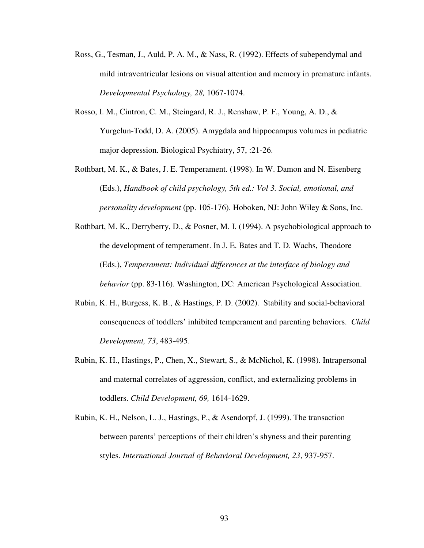- Ross, G., Tesman, J., Auld, P. A. M., & Nass, R. (1992). Effects of subependymal and mild intraventricular lesions on visual attention and memory in premature infants. *Developmental Psychology, 28,* 1067-1074.
- Rosso, I. M., Cintron, C. M., Steingard, R. J., Renshaw, P. F., Young, A. D., & Yurgelun-Todd, D. A. (2005). Amygdala and hippocampus volumes in pediatric major depression. Biological Psychiatry, 57, :21-26.
- Rothbart, M. K., & Bates, J. E. Temperament. (1998). In W. Damon and N. Eisenberg (Eds.), *Handbook of child psychology, 5th ed.: Vol 3. Social, emotional, and personality development* (pp. 105-176). Hoboken, NJ: John Wiley & Sons, Inc.
- Rothbart, M. K., Derryberry, D., & Posner, M. I. (1994). A psychobiological approach to the development of temperament. In J. E. Bates and T. D. Wachs, Theodore (Eds.), *Temperament: Individual differences at the interface of biology and behavior* (pp. 83-116). Washington, DC: American Psychological Association.
- Rubin, K. H., Burgess, K. B., & Hastings, P. D. (2002). Stability and social-behavioral consequences of toddlers' inhibited temperament and parenting behaviors. *Child Development, 73*, 483-495.
- Rubin, K. H., Hastings, P., Chen, X., Stewart, S., & McNichol, K. (1998). Intrapersonal and maternal correlates of aggression, conflict, and externalizing problems in toddlers. *Child Development, 69,* 1614-1629.
- Rubin, K. H., Nelson, L. J., Hastings, P., & Asendorpf, J. (1999). The transaction between parents' perceptions of their children's shyness and their parenting styles. *International Journal of Behavioral Development, 23*, 937-957.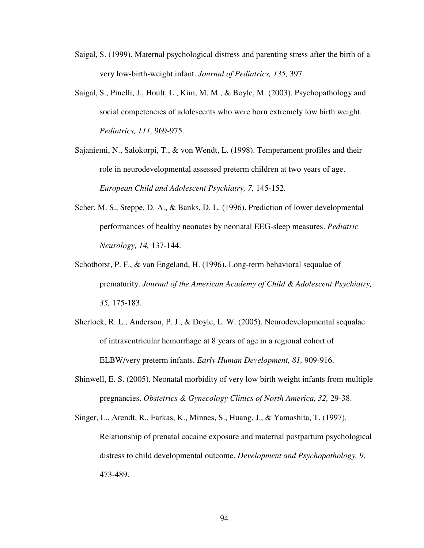- Saigal, S. (1999). Maternal psychological distress and parenting stress after the birth of a very low-birth-weight infant. *Journal of Pediatrics, 135,* 397.
- Saigal, S., Pinelli, J., Hoult, L., Kim, M. M., & Boyle, M. (2003). Psychopathology and social competencies of adolescents who were born extremely low birth weight. *Pediatrics, 111,* 969-975.
- Sajaniemi, N., Salokorpi, T., & von Wendt, L. (1998). Temperament profiles and their role in neurodevelopmental assessed preterm children at two years of age. *European Child and Adolescent Psychiatry, 7,* 145-152.
- Scher, M. S., Steppe, D. A., & Banks, D. L. (1996). Prediction of lower developmental performances of healthy neonates by neonatal EEG-sleep measures. *Pediatric Neurology, 14,* 137-144.
- Schothorst, P. F., & van Engeland, H. (1996). Long-term behavioral sequalae of prematurity. *Journal of the American Academy of Child & Adolescent Psychiatry, 35,* 175-183.
- Sherlock, R. L., Anderson, P. J., & Doyle, L. W. (2005). Neurodevelopmental sequalae of intraventricular hemorrhage at 8 years of age in a regional cohort of ELBW/very preterm infants. *Early Human Development, 81,* 909-916.
- Shinwell, E. S. (2005). Neonatal morbidity of very low birth weight infants from multiple pregnancies. *Obstetrics & Gynecology Clinics of North America, 32,* 29-38.
- Singer, L., Arendt, R., Farkas, K., Minnes, S., Huang, J., & Yamashita, T. (1997). Relationship of prenatal cocaine exposure and maternal postpartum psychological distress to child developmental outcome. *Development and Psychopathology, 9,* 473-489.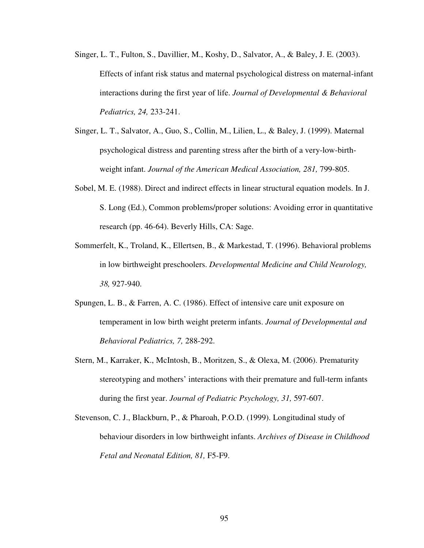- Singer, L. T., Fulton, S., Davillier, M., Koshy, D., Salvator, A., & Baley, J. E. (2003). Effects of infant risk status and maternal psychological distress on maternal-infant interactions during the first year of life. *Journal of Developmental & Behavioral Pediatrics, 24,* 233-241.
- Singer, L. T., Salvator, A., Guo, S., Collin, M., Lilien, L., & Baley, J. (1999). Maternal psychological distress and parenting stress after the birth of a very-low-birthweight infant. *Journal of the American Medical Association, 281,* 799-805.
- Sobel, M. E. (1988). Direct and indirect effects in linear structural equation models. In J. S. Long (Ed.), Common problems/proper solutions: Avoiding error in quantitative research (pp. 46-64). Beverly Hills, CA: Sage.
- Sommerfelt, K., Troland, K., Ellertsen, B., & Markestad, T. (1996). Behavioral problems in low birthweight preschoolers. *Developmental Medicine and Child Neurology, 38,* 927-940.
- Spungen, L. B., & Farren, A. C. (1986). Effect of intensive care unit exposure on temperament in low birth weight preterm infants. *Journal of Developmental and Behavioral Pediatrics, 7,* 288-292.
- Stern, M., Karraker, K., McIntosh, B., Moritzen, S., & Olexa, M. (2006). Prematurity stereotyping and mothers' interactions with their premature and full-term infants during the first year. *Journal of Pediatric Psychology, 31,* 597-607.
- Stevenson, C. J., Blackburn, P., & Pharoah, P.O.D. (1999). Longitudinal study of behaviour disorders in low birthweight infants. *Archives of Disease in Childhood Fetal and Neonatal Edition, 81,* F5-F9.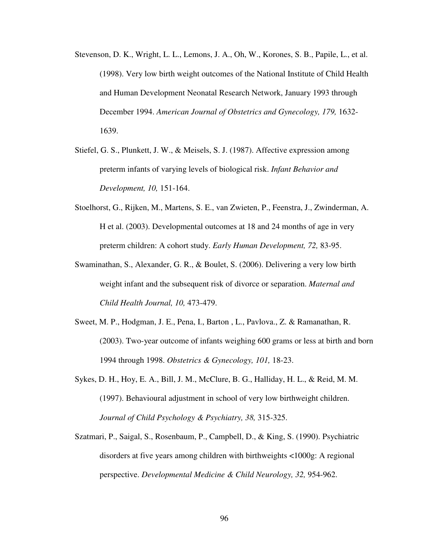- Stevenson, D. K., Wright, L. L., Lemons, J. A., Oh, W., Korones, S. B., Papile, L., et al. (1998). Very low birth weight outcomes of the National Institute of Child Health and Human Development Neonatal Research Network, January 1993 through December 1994. *American Journal of Obstetrics and Gynecology, 179,* 1632- 1639.
- Stiefel, G. S., Plunkett, J. W., & Meisels, S. J. (1987). Affective expression among preterm infants of varying levels of biological risk. *Infant Behavior and Development, 10,* 151-164.
- Stoelhorst, G., Rijken, M., Martens, S. E., van Zwieten, P., Feenstra, J., Zwinderman, A. H et al. (2003). Developmental outcomes at 18 and 24 months of age in very preterm children: A cohort study. *Early Human Development, 72,* 83-95.
- Swaminathan, S., Alexander, G. R., & Boulet, S. (2006). Delivering a very low birth weight infant and the subsequent risk of divorce or separation. *Maternal and Child Health Journal, 10,* 473-479.
- Sweet, M. P., Hodgman, J. E., Pena, I., Barton , L., Pavlova., Z. & Ramanathan, R. (2003). Two-year outcome of infants weighing 600 grams or less at birth and born 1994 through 1998. *Obstetrics & Gynecology, 101,* 18-23.
- Sykes, D. H., Hoy, E. A., Bill, J. M., McClure, B. G., Halliday, H. L., & Reid, M. M. (1997). Behavioural adjustment in school of very low birthweight children. *Journal of Child Psychology & Psychiatry, 38,* 315-325.
- Szatmari, P., Saigal, S., Rosenbaum, P., Campbell, D., & King, S. (1990). Psychiatric disorders at five years among children with birthweights <1000g: A regional perspective. *Developmental Medicine & Child Neurology, 32,* 954-962.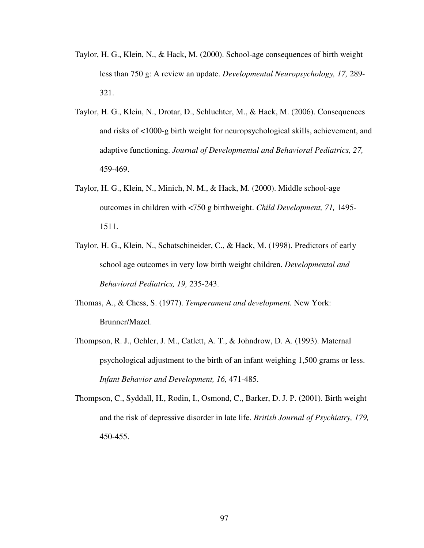- Taylor, H. G., Klein, N., & Hack, M. (2000). School-age consequences of birth weight less than 750 g: A review an update. *Developmental Neuropsychology, 17,* 289- 321.
- Taylor, H. G., Klein, N., Drotar, D., Schluchter, M., & Hack, M. (2006). Consequences and risks of <1000-g birth weight for neuropsychological skills, achievement, and adaptive functioning. *Journal of Developmental and Behavioral Pediatrics, 27,* 459-469.
- Taylor, H. G., Klein, N., Minich, N. M., & Hack, M. (2000). Middle school-age outcomes in children with <750 g birthweight. *Child Development, 71,* 1495- 1511.
- Taylor, H. G., Klein, N., Schatschineider, C., & Hack, M. (1998). Predictors of early school age outcomes in very low birth weight children. *Developmental and Behavioral Pediatrics, 19,* 235-243.
- Thomas, A., & Chess, S. (1977). *Temperament and development.* New York: Brunner/Mazel.
- Thompson, R. J., Oehler, J. M., Catlett, A. T., & Johndrow, D. A. (1993). Maternal psychological adjustment to the birth of an infant weighing 1,500 grams or less. *Infant Behavior and Development, 16,* 471-485.
- Thompson, C., Syddall, H., Rodin, I., Osmond, C., Barker, D. J. P. (2001). Birth weight and the risk of depressive disorder in late life. *British Journal of Psychiatry, 179,*  450-455.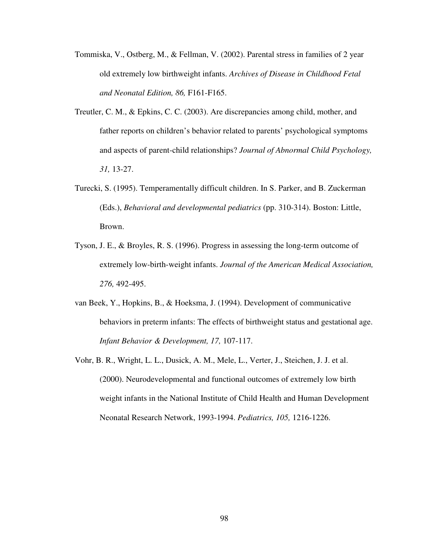- Tommiska, V., Ostberg, M., & Fellman, V. (2002). Parental stress in families of 2 year old extremely low birthweight infants. *Archives of Disease in Childhood Fetal and Neonatal Edition, 86,* F161-F165.
- Treutler, C. M., & Epkins, C. C. (2003). Are discrepancies among child, mother, and father reports on children's behavior related to parents' psychological symptoms and aspects of parent-child relationships? *Journal of Abnormal Child Psychology, 31,* 13-27.
- Turecki, S. (1995). Temperamentally difficult children. In S. Parker, and B. Zuckerman (Eds.), *Behavioral and developmental pediatrics* (pp. 310-314). Boston: Little, Brown.
- Tyson, J. E., & Broyles, R. S. (1996). Progress in assessing the long-term outcome of extremely low-birth-weight infants. *Journal of the American Medical Association, 276,* 492-495.
- van Beek, Y., Hopkins, B., & Hoeksma, J. (1994). Development of communicative behaviors in preterm infants: The effects of birthweight status and gestational age. *Infant Behavior & Development, 17,* 107-117.
- Vohr, B. R., Wright, L. L., Dusick, A. M., Mele, L., Verter, J., Steichen, J. J. et al. (2000). Neurodevelopmental and functional outcomes of extremely low birth weight infants in the National Institute of Child Health and Human Development Neonatal Research Network, 1993-1994. *Pediatrics, 105,* 1216-1226.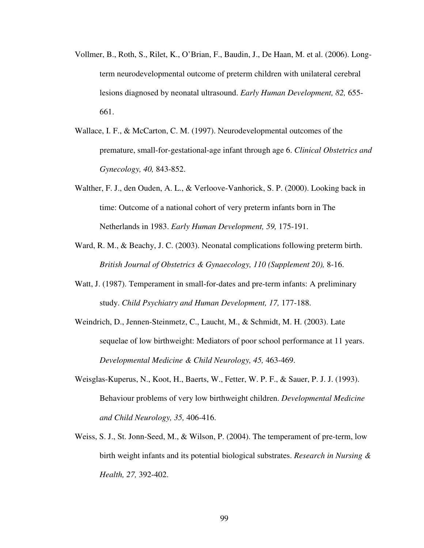- Vollmer, B., Roth, S., Rilet, K., O'Brian, F., Baudin, J., De Haan, M. et al. (2006). Longterm neurodevelopmental outcome of preterm children with unilateral cerebral lesions diagnosed by neonatal ultrasound. *Early Human Development, 82,* 655- 661.
- Wallace, I. F., & McCarton, C. M. (1997). Neurodevelopmental outcomes of the premature, small-for-gestational-age infant through age 6. *Clinical Obstetrics and Gynecology, 40,* 843-852.
- Walther, F. J., den Ouden, A. L., & Verloove-Vanhorick, S. P. (2000). Looking back in time: Outcome of a national cohort of very preterm infants born in The Netherlands in 1983. *Early Human Development, 59,* 175-191.
- Ward, R. M., & Beachy, J. C. (2003). Neonatal complications following preterm birth. *British Journal of Obstetrics & Gynaecology, 110 (Supplement 20),* 8-16.
- Watt, J. (1987). Temperament in small-for-dates and pre-term infants: A preliminary study. *Child Psychiatry and Human Development, 17,* 177-188.
- Weindrich, D., Jennen-Steinmetz, C., Laucht, M., & Schmidt, M. H. (2003). Late sequelae of low birthweight: Mediators of poor school performance at 11 years. *Developmental Medicine & Child Neurology, 45,* 463-469.
- Weisglas-Kuperus, N., Koot, H., Baerts, W., Fetter, W. P. F., & Sauer, P. J. J. (1993). Behaviour problems of very low birthweight children. *Developmental Medicine and Child Neurology, 35,* 406-416.
- Weiss, S. J., St. Jonn-Seed, M., & Wilson, P. (2004). The temperament of pre-term, low birth weight infants and its potential biological substrates. *Research in Nursing & Health, 27,* 392-402.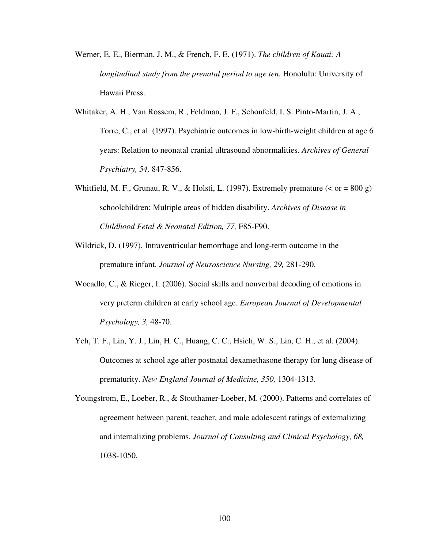- Werner, E. E., Bierman, J. M., & French, F. E. (1971). *The children of Kauai: A longitudinal study from the prenatal period to age ten.* Honolulu: University of Hawaii Press.
- Whitaker, A. H., Van Rossem, R., Feldman, J. F., Schonfeld, I. S. Pinto-Martin, J. A., Torre, C., et al. (1997). Psychiatric outcomes in low-birth-weight children at age 6 years: Relation to neonatal cranial ultrasound abnormalities. *Archives of General Psychiatry, 54,* 847-856.
- Whitfield, M. F., Grunau, R. V., & Holsti, L. (1997). Extremely premature  $(<$  or = 800 g) schoolchildren: Multiple areas of hidden disability. *Archives of Disease in Childhood Fetal & Neonatal Edition, 77,* F85-F90.
- Wildrick, D. (1997). Intraventricular hemorrhage and long-term outcome in the premature infant. *Journal of Neuroscience Nursing, 29,* 281-290.
- Wocadlo, C., & Rieger, I. (2006). Social skills and nonverbal decoding of emotions in very preterm children at early school age. *European Journal of Developmental Psychology, 3,* 48-70.
- Yeh, T. F., Lin, Y. J., Lin, H. C., Huang, C. C., Hsieh, W. S., Lin, C. H., et al. (2004). Outcomes at school age after postnatal dexamethasone therapy for lung disease of prematurity. *New England Journal of Medicine, 350,* 1304-1313.
- Youngstrom, E., Loeber, R., & Stouthamer-Loeber, M. (2000). Patterns and correlates of agreement between parent, teacher, and male adolescent ratings of externalizing and internalizing problems. *Journal of Consulting and Clinical Psychology, 68,*  1038-1050.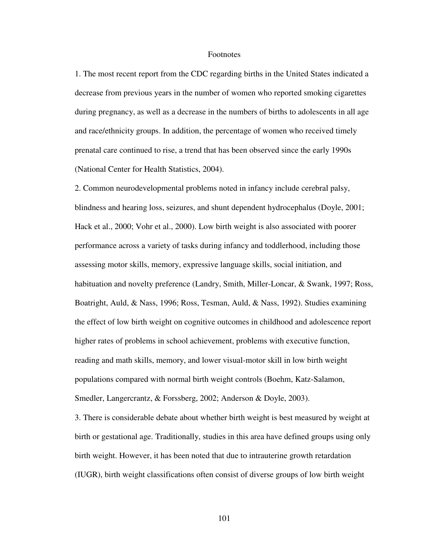## Footnotes

1. The most recent report from the CDC regarding births in the United States indicated a decrease from previous years in the number of women who reported smoking cigarettes during pregnancy, as well as a decrease in the numbers of births to adolescents in all age and race/ethnicity groups. In addition, the percentage of women who received timely prenatal care continued to rise, a trend that has been observed since the early 1990s (National Center for Health Statistics, 2004).

2. Common neurodevelopmental problems noted in infancy include cerebral palsy, blindness and hearing loss, seizures, and shunt dependent hydrocephalus (Doyle, 2001; Hack et al., 2000; Vohr et al., 2000). Low birth weight is also associated with poorer performance across a variety of tasks during infancy and toddlerhood, including those assessing motor skills, memory, expressive language skills, social initiation, and habituation and novelty preference (Landry, Smith, Miller-Loncar, & Swank, 1997; Ross, Boatright, Auld, & Nass, 1996; Ross, Tesman, Auld, & Nass, 1992). Studies examining the effect of low birth weight on cognitive outcomes in childhood and adolescence report higher rates of problems in school achievement, problems with executive function, reading and math skills, memory, and lower visual-motor skill in low birth weight populations compared with normal birth weight controls (Boehm, Katz-Salamon, Smedler, Langercrantz, & Forssberg, 2002; Anderson & Doyle, 2003).

3. There is considerable debate about whether birth weight is best measured by weight at birth or gestational age. Traditionally, studies in this area have defined groups using only birth weight. However, it has been noted that due to intrauterine growth retardation (IUGR), birth weight classifications often consist of diverse groups of low birth weight

101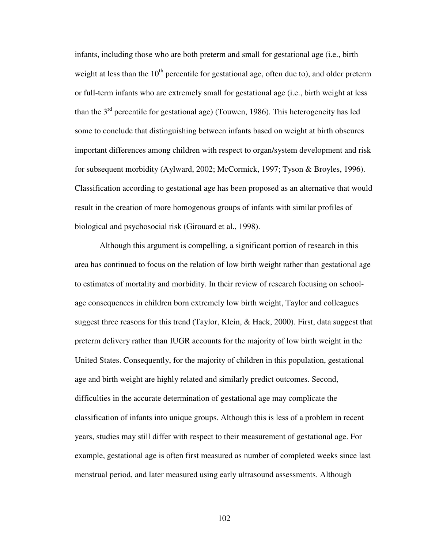infants, including those who are both preterm and small for gestational age (i.e., birth weight at less than the  $10<sup>th</sup>$  percentile for gestational age, often due to), and older preterm or full-term infants who are extremely small for gestational age (i.e., birth weight at less than the  $3<sup>rd</sup>$  percentile for gestational age) (Touwen, 1986). This heterogeneity has led some to conclude that distinguishing between infants based on weight at birth obscures important differences among children with respect to organ/system development and risk for subsequent morbidity (Aylward, 2002; McCormick, 1997; Tyson & Broyles, 1996). Classification according to gestational age has been proposed as an alternative that would result in the creation of more homogenous groups of infants with similar profiles of biological and psychosocial risk (Girouard et al., 1998).

Although this argument is compelling, a significant portion of research in this area has continued to focus on the relation of low birth weight rather than gestational age to estimates of mortality and morbidity. In their review of research focusing on schoolage consequences in children born extremely low birth weight, Taylor and colleagues suggest three reasons for this trend (Taylor, Klein, & Hack, 2000). First, data suggest that preterm delivery rather than IUGR accounts for the majority of low birth weight in the United States. Consequently, for the majority of children in this population, gestational age and birth weight are highly related and similarly predict outcomes. Second, difficulties in the accurate determination of gestational age may complicate the classification of infants into unique groups. Although this is less of a problem in recent years, studies may still differ with respect to their measurement of gestational age. For example, gestational age is often first measured as number of completed weeks since last menstrual period, and later measured using early ultrasound assessments. Although

102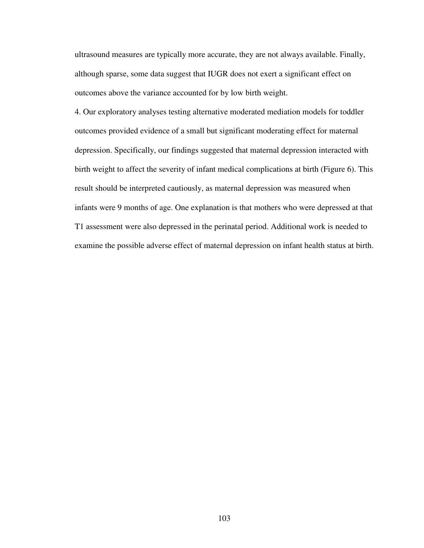ultrasound measures are typically more accurate, they are not always available. Finally, although sparse, some data suggest that IUGR does not exert a significant effect on outcomes above the variance accounted for by low birth weight.

4. Our exploratory analyses testing alternative moderated mediation models for toddler outcomes provided evidence of a small but significant moderating effect for maternal depression. Specifically, our findings suggested that maternal depression interacted with birth weight to affect the severity of infant medical complications at birth (Figure 6). This result should be interpreted cautiously, as maternal depression was measured when infants were 9 months of age. One explanation is that mothers who were depressed at that T1 assessment were also depressed in the perinatal period. Additional work is needed to examine the possible adverse effect of maternal depression on infant health status at birth.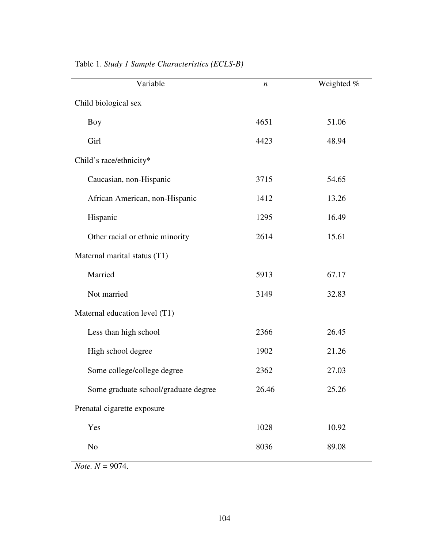| Variable                             | $\boldsymbol{n}$ | Weighted % |
|--------------------------------------|------------------|------------|
| Child biological sex                 |                  |            |
| <b>Boy</b>                           | 4651             | 51.06      |
| Girl                                 | 4423             | 48.94      |
| Child's race/ethnicity*              |                  |            |
| Caucasian, non-Hispanic              | 3715             | 54.65      |
| African American, non-Hispanic       | 1412             | 13.26      |
| Hispanic                             | 1295             | 16.49      |
| Other racial or ethnic minority      | 2614             | 15.61      |
| Maternal marital status (T1)         |                  |            |
| Married                              | 5913             | 67.17      |
| Not married                          | 3149             | 32.83      |
| Maternal education level (T1)        |                  |            |
| Less than high school                | 2366             | 26.45      |
| High school degree                   | 1902             | 21.26      |
| Some college/college degree          | 2362             | 27.03      |
| Some graduate school/graduate degree | 26.46            | 25.26      |
| Prenatal cigarette exposure          |                  |            |
| Yes                                  | 1028             | 10.92      |
| No                                   | 8036             | 89.08      |

Table 1. *Study 1 Sample Characteristics (ECLS-B)*

*Note. N =* 9074.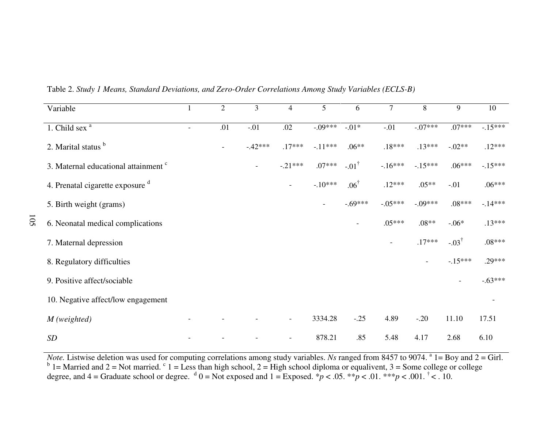| Variable                                        | $\perp$                  | $\overline{2}$ | 3                        | $\overline{4}$           | 5              | 6                        | $\overline{7}$           | 8         | 9                        | 10        |
|-------------------------------------------------|--------------------------|----------------|--------------------------|--------------------------|----------------|--------------------------|--------------------------|-----------|--------------------------|-----------|
| 1. Child sex <sup>a</sup>                       | $\overline{\phantom{a}}$ | .01            | $-.01$                   | .02                      | $-09***$       | $-01*$                   | $-.01$                   | $-07***$  | $.07***$                 | $-15***$  |
| 2. Marital status b                             |                          |                | $-.42***$                | $.17***$                 | $-.11***$      | $.06**$                  | $.18***$                 | $.13***$  | $-.02**$                 | $.12***$  |
| 3. Maternal educational attainment <sup>c</sup> |                          |                | $\overline{\phantom{a}}$ | $-21***$                 | $.07***$       | $-01^{\dagger}$          | $-16***$                 | $-15***$  | $.06***$                 | $-15***$  |
| 4. Prenatal cigarette exposure <sup>d</sup>     |                          |                |                          | $\overline{\phantom{a}}$ | $-.10***$      | $.06^{\dagger}$          | $.12***$                 | $.05**$   | $-.01$                   | $.06***$  |
| 5. Birth weight (grams)                         |                          |                |                          |                          | $\blacksquare$ | $-.69***$                | $-.05***$                | $-.09***$ | $.08***$                 | $-14***$  |
| 6. Neonatal medical complications               |                          |                |                          |                          |                | $\overline{\phantom{a}}$ | $.05***$                 | $.08**$   | $-.06*$                  | $.13***$  |
| 7. Maternal depression                          |                          |                |                          |                          |                |                          | $\overline{\phantom{a}}$ | $.17***$  | $-03^{\dagger}$          | $.08***$  |
| 8. Regulatory difficulties                      |                          |                |                          |                          |                |                          |                          |           | $-.15***$                | $.29***$  |
| 9. Positive affect/sociable                     |                          |                |                          |                          |                |                          |                          |           | $\overline{\phantom{a}}$ | $-.63***$ |
| 10. Negative affect/low engagement              |                          |                |                          |                          |                |                          |                          |           |                          |           |
| $M$ (weighted)                                  |                          |                |                          | $\overline{\phantom{a}}$ | 3334.28        | $-.25$                   | 4.89                     | $-20$     | 11.10                    | 17.51     |
| SD                                              |                          |                |                          | $\overline{\phantom{a}}$ | 878.21         | .85                      | 5.48                     | 4.17      | 2.68                     | 6.10      |

Table 2. *Study 1 Means, Standard Deviations, and Zero-Order Correlations Among Study Variables (ECLS-B)*

105

*Note*. Listwise deletion was used for computing correlations among study variables. *Ns* ranged from 8457 to 9074. <sup>a</sup> 1= Boy and 2 = Girl.<br><sup>b</sup> 1= Married and 2 = Not married. <sup>c</sup> 1 = Less than high school, 2 = High scho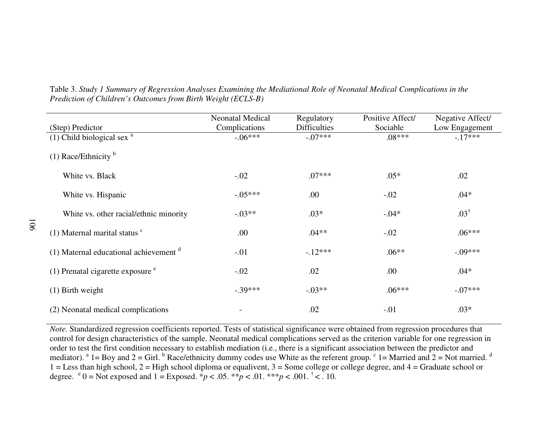|                                                     | <b>Neonatal Medical</b> | Regulatory          | Positive Affect/ | Negative Affect/ |
|-----------------------------------------------------|-------------------------|---------------------|------------------|------------------|
| (Step) Predictor                                    | Complications           | <b>Difficulties</b> | Sociable         | Low Engagement   |
| $(1)$ Child biological sex $a$                      | $-.06***$               | $-.07***$           | $.08***$         | $-.17***$        |
| (1) Race/Ethnicity $\rm^b$                          |                         |                     |                  |                  |
| White vs. Black                                     | $-.02$                  | $.07***$            | $.05*$           | .02              |
| White vs. Hispanic                                  | $-.05***$               | .00                 | $-.02$           | $.04*$           |
| White vs. other racial/ethnic minority              | $-.03**$                | $.03*$              | $-.04*$          | $.03^{\dagger}$  |
| $(1)$ Maternal marital status $\degree$             | .00.                    | $.04**$             | $-.02$           | $.06***$         |
| $(1)$ Maternal educational achievement <sup>d</sup> | $-.01$                  | $-12***$            | $.06**$          | $-.09***$        |
| $(1)$ Prenatal cigarette exposure $e$               | $-.02$                  | .02                 | .00              | $.04*$           |
| $(1)$ Birth weight                                  | $-.39***$               | $-.03**$            | $.06***$         | $-07***$         |
| (2) Neonatal medical complications                  |                         | .02                 | $-.01$           | $.03*$           |

Table 3. *Study 1 Summary of Regression Analyses Examining the Mediational Role of Neonatal Medical Complications in the Prediction of Children's Outcomes from Birth Weight (ECLS-B)*

*Note.* Standardized regression coefficients reported. Tests of statistical significance were obtained from regression procedures that control for design characteristics of the sample. Neonatal medical complications served as the criterion variable for one regression in order to test the first condition necessary to establish mediation (i.e., there is a significant association between the predictor and mediator).  $a_1 = Boy$  and  $2 = Girl$ .  $b_1$  Race/ethnicity dummy codes use White as the referent group.  $c_1 =$  Married and  $2 = Not$  married.  $d_1$  $1 =$  Less than high school,  $2 =$  High school diploma or equalivent,  $3 =$  Some college or college degree, and  $4 =$  Graduate school or degree.  $e^{i} = N$  of exposed and  $1 =$  Exposed.  $p^{*} = 0.05$ .  $p^{*} = 0.01$ .  $p^{*} = 0.01$ .  $p^{*} = 0.01$ .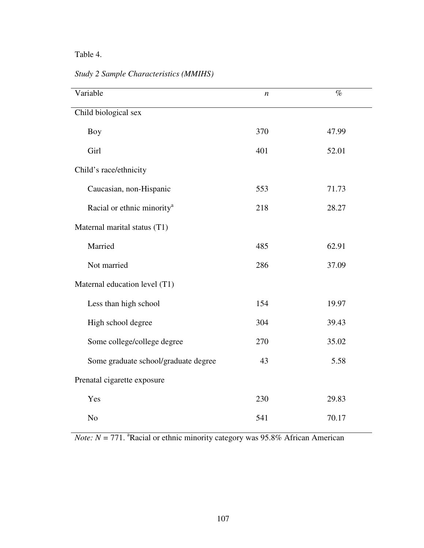## Table 4.

*Study 2 Sample Characteristics (MMIHS)*

| Variable                               | n   | $\%$  |
|----------------------------------------|-----|-------|
| Child biological sex                   |     |       |
| <b>Boy</b>                             | 370 | 47.99 |
| Girl                                   | 401 | 52.01 |
| Child's race/ethnicity                 |     |       |
| Caucasian, non-Hispanic                | 553 | 71.73 |
| Racial or ethnic minority <sup>a</sup> | 218 | 28.27 |
| Maternal marital status (T1)           |     |       |
| Married                                | 485 | 62.91 |
| Not married                            | 286 | 37.09 |
| Maternal education level (T1)          |     |       |
| Less than high school                  | 154 | 19.97 |
| High school degree                     | 304 | 39.43 |
| Some college/college degree            | 270 | 35.02 |
| Some graduate school/graduate degree   | 43  | 5.58  |
| Prenatal cigarette exposure            |     |       |
| Yes                                    | 230 | 29.83 |
| N <sub>o</sub>                         | 541 | 70.17 |

*Note: N* = 771.  $^{\circ}$ Racial or ethnic minority category was 95.8% African American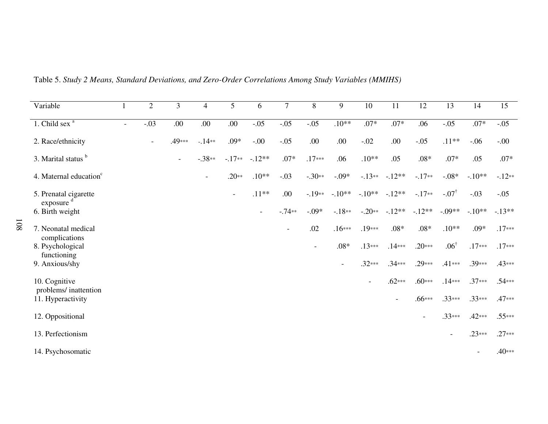| Variable                                  | $\mathbf{1}$             | $\overline{2}$           | 3      | $\overline{4}$           | 5              | 6                        | $\tau$                   | 8        | 9              | $10\,$                   | 11                       | 12                       | 13                       | 14                       | 15       |
|-------------------------------------------|--------------------------|--------------------------|--------|--------------------------|----------------|--------------------------|--------------------------|----------|----------------|--------------------------|--------------------------|--------------------------|--------------------------|--------------------------|----------|
| 1. Child sex $a$                          | $\overline{\phantom{a}}$ | $-.03$                   | .00.   | .00                      | .00.           | $-.05$                   | $-.05$                   | $-0.05$  | $.10**$        | $.07*$                   | $.07*$                   | .06                      | $-.05$                   | $.07*$                   | $-.05$   |
| 2. Race/ethnicity                         |                          | $\overline{\phantom{a}}$ | .49*** | $-14**$                  | $.09*$         | $-.00$                   | $-.05$                   | .00      | .00            | $-.02$                   | .00.                     | $-.05$                   | $.11**$                  | $-.06$                   | $-00$    |
| 3. Marital status b                       |                          |                          | $-$    | $-.38**$                 | $-.17**$       | $-12**$                  | $.07*$                   | $.17***$ | .06            | $.10**$                  | .05                      | $.08*$                   | $.07*$                   | .05                      | $.07*$   |
| 4. Maternal education <sup>c</sup>        |                          |                          |        | $\overline{\phantom{a}}$ | $.20**$        | $.10**$                  | $-.03$                   | $-.30**$ | $-.09*$        | $-13**$                  | $-12**$                  | $-.17**$                 | $-.08*$                  | $-.10**$                 | $-.12**$ |
| 5. Prenatal cigarette                     |                          |                          |        |                          | $\blacksquare$ | $.11**$                  | .00.                     | $-19**$  | $-.10**$       | $-.10**$                 | $-12**$                  | $-.17**$                 | $-.07$ <sup>†</sup>      | $-.03$                   | $-.05$   |
| exposure <sup>d</sup><br>6. Birth weight  |                          |                          |        |                          |                | $\overline{\phantom{a}}$ | $-.74**$                 | $-0.09*$ | $-18**$        | $-.20**$                 | $-12**$                  | $-.12**$                 | $-.09**$                 | $-.10**$                 | $-.13**$ |
| 7. Neonatal medical                       |                          |                          |        |                          |                |                          | $\overline{\phantom{a}}$ | .02      | $.16***$       | $.19***$                 | $.08*$                   | $.08\,{*}$               | $.10**$                  | $.09*$                   | $.17***$ |
| complications<br>8. Psychological         |                          |                          |        |                          |                |                          |                          |          | $.08*$         | $.13***$                 | $.14***$                 | $.20***$                 | $.06^{\dagger}$          | $.17***$                 | $.17***$ |
| functioning<br>9. Anxious/shy             |                          |                          |        |                          |                |                          |                          |          | $\blacksquare$ | $.32***$                 | $.34***$                 | $.29***$                 | $.41***$                 | .39***                   | .43***   |
| 10. Cognitive                             |                          |                          |        |                          |                |                          |                          |          |                | $\overline{\phantom{a}}$ | $.62***$                 | $.60***$                 | $.14***$                 | $.37***$                 | $.54***$ |
| problems/inattention<br>11. Hyperactivity |                          |                          |        |                          |                |                          |                          |          |                |                          | $\overline{\phantom{a}}$ | $.66***$                 | $.33***$                 | $.33***$                 | .47***   |
| 12. Oppositional                          |                          |                          |        |                          |                |                          |                          |          |                |                          |                          | $\overline{\phantom{a}}$ | $.33***$                 | $.42***$                 | $.55***$ |
| 13. Perfectionism                         |                          |                          |        |                          |                |                          |                          |          |                |                          |                          |                          | $\overline{\phantom{a}}$ | $.23***$                 | $.27***$ |
| 14. Psychosomatic                         |                          |                          |        |                          |                |                          |                          |          |                |                          |                          |                          |                          | $\overline{\phantom{a}}$ | .40***   |

Table 5. *Study 2 Means, Standard Deviations, and Zero-Order Correlations Among Study Variables (MMIHS)*

108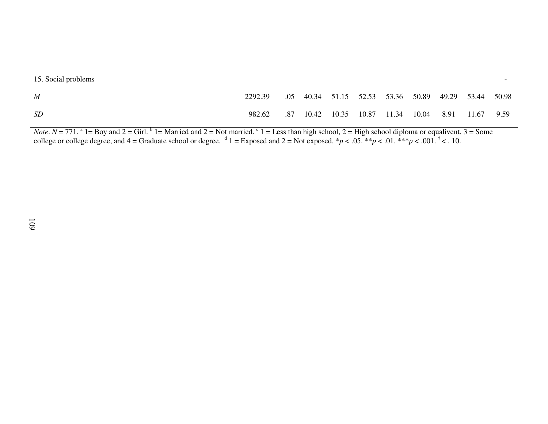15. Social problems

| M  | 2292.39                                                  |  |  |  | .05 40.34 51.15 52.53 53.36 50.89 49.29 53.44 50.98 |  |
|----|----------------------------------------------------------|--|--|--|-----------------------------------------------------|--|
| SD | 982.62 .87 10.42 10.35 10.87 11.34 10.04 8.91 11.67 9.59 |  |  |  |                                                     |  |

*Note*.  $N = 771$ . <sup>a</sup> 1= Boy and 2 = Girl. <sup>b</sup> 1= Married and 2 = Not married. <sup>c</sup> 1 = Less than high school, 2 = High school diploma or equalivent, 3 = Some college or college degree, and 4 = Graduate school or degree. <sup></sup>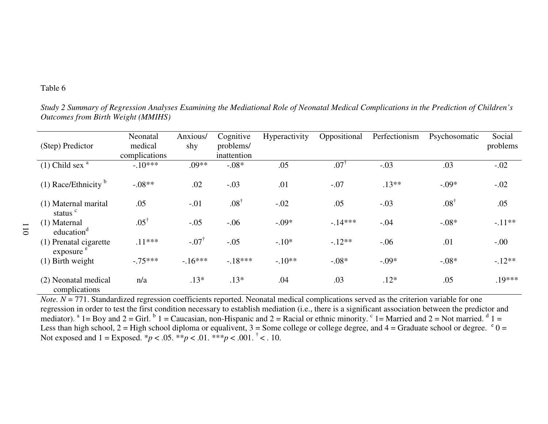## Table 6

*Study 2 Summary of Regression Analyses Examining the Mediational Role of Neonatal Medical Complications in the Prediction of Children's Outcomes from Birth Weight (MMIHS)* 

| (Step) Predictor                                | Neonatal<br>medical<br>complications | Anxious/<br>shy     | Cognitive<br>problems/<br>inattention | Hyperactivity | Oppositional    | Perfectionism | Psychosomatic   | Social<br>problems |
|-------------------------------------------------|--------------------------------------|---------------------|---------------------------------------|---------------|-----------------|---------------|-----------------|--------------------|
| $(1)$ Child sex $a$                             | $-.10***$                            | $.09**$             | $-.08*$                               | .05           | $.07^{\dagger}$ | $-.03$        | .03             | $-.02$             |
| $(1)$ Race/Ethnicity <sup>b</sup>               | $-.08**$                             | .02                 | $-.03$                                | .01           | $-.07$          | $.13**$       | $-.09*$         | $-.02$             |
| (1) Maternal marital<br>status <sup>c</sup>     | .05                                  | $-.01$              | $.08^{\dagger}$                       | $-.02$        | .05             | $-.03$        | $.08^{\dagger}$ | .05                |
| (1) Maternal<br>education <sup>d</sup>          | $.05^{\dagger}$                      | $-.05$              | $-.06$                                | $-.09*$       | $-14***$        | $-.04$        | $-.08*$         | $-.11**$           |
| (1) Prenatal cigarette<br>exposure <sup>e</sup> | $.11***$                             | $-.07$ <sup>†</sup> | $-.05$                                | $-.10*$       | $-.12**$        | $-.06$        | .01             | $-.00$             |
| $(1)$ Birth weight                              | $-.75***$                            | $-16***$            | $-.18***$                             | $-10**$       | $-.08*$         | $-.09*$       | $-.08*$         | $-12**$            |
| (2) Neonatal medical<br>complications           | n/a                                  | $.13*$              | $.13*$                                | .04           | .03             | $.12*$        | .05             | .19***             |

*Note. N* = 771. Standardized regression coefficients reported. Neonatal medical complications served as the criterion variable for one regression in order to test the first condition necessary to establish mediation (i.e., there is a significant association between the predictor and mediator). <sup>a</sup> 1= Boy and 2 = Girl. <sup>b</sup> 1 = Caucasian, non-Hispanic and 2 = Racial or ethnic minority. <sup>c</sup> 1= Married and 2 = Not married. <sup>d</sup> 1 = Less than high school,  $2 =$  High school diploma or equalivent,  $3 =$  Some college or college degree, and  $4 =$  Graduate school or degree.  $e^0 =$ Not exposed and  $1 =$  Exposed.  $* p < .05$ .  $* * p < .01$ .  $* * p < .001$ .  $* < .10$ .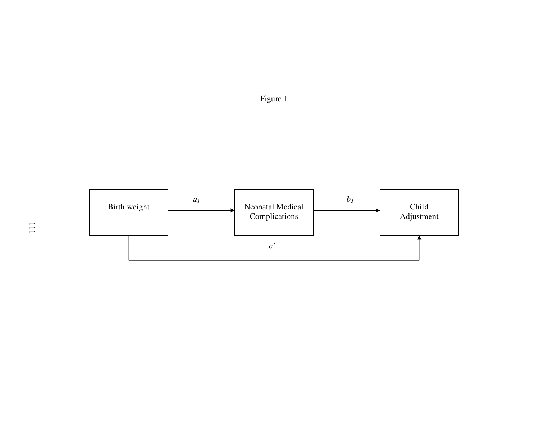

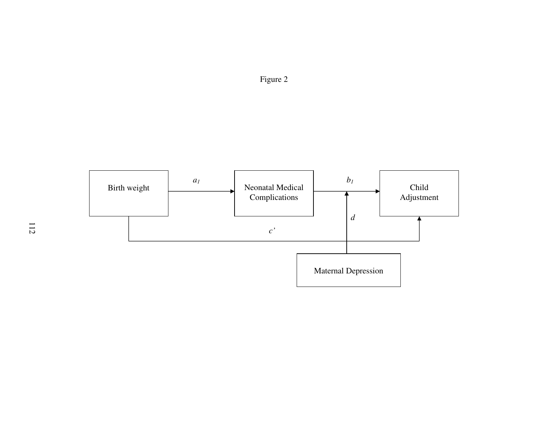

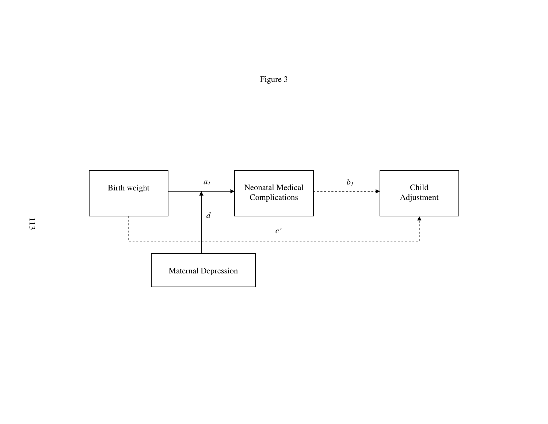

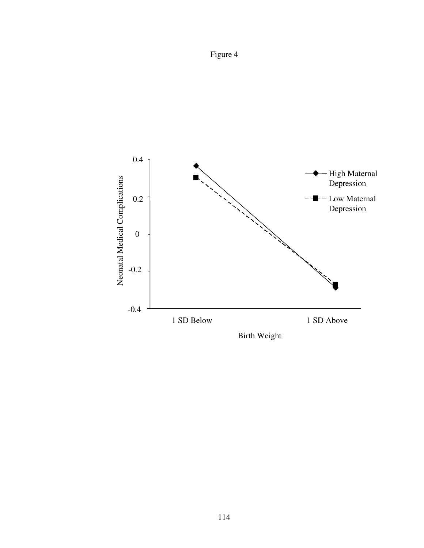

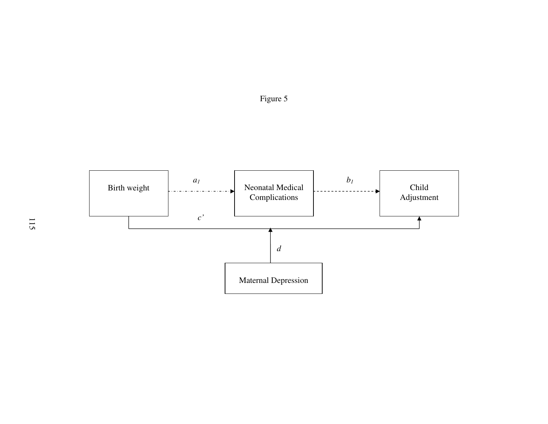

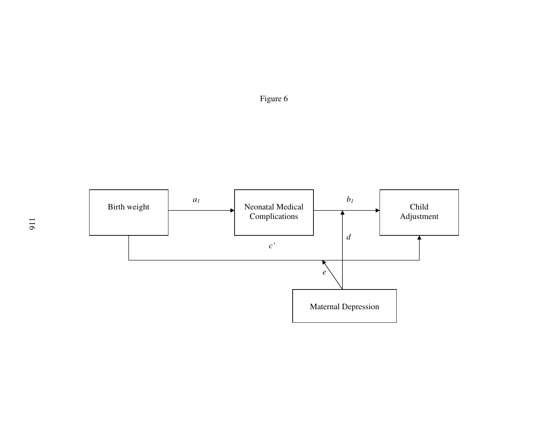